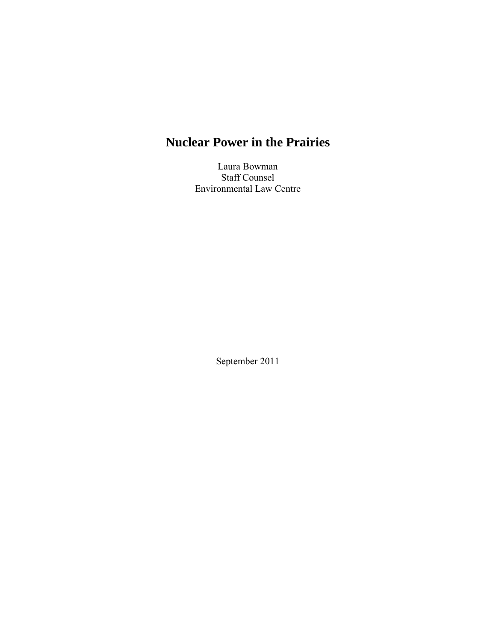# **Nuclear Power in the Prairies**

Laura Bowman Staff Counsel Environmental Law Centre

September 2011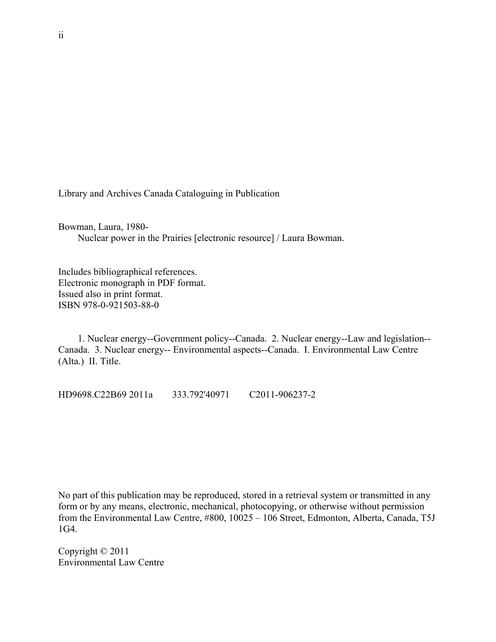Library and Archives Canada Cataloguing in Publication

Bowman, Laura, 1980- Nuclear power in the Prairies [electronic resource] / Laura Bowman.

Includes bibliographical references. Electronic monograph in PDF format. Issued also in print format. ISBN 978-0-921503-88-0

 1. Nuclear energy--Government policy--Canada. 2. Nuclear energy--Law and legislation-- Canada. 3. Nuclear energy-- Environmental aspects--Canada. I. Environmental Law Centre (Alta.) II. Title.

HD9698.C22B69 2011a 333.792'40971 C2011-906237-2

No part of this publication may be reproduced, stored in a retrieval system or transmitted in any form or by any means, electronic, mechanical, photocopying, or otherwise without permission from the Environmental Law Centre, #800, 10025 – 106 Street, Edmonton, Alberta, Canada, T5J 1G4.

Copyright © 2011 Environmental Law Centre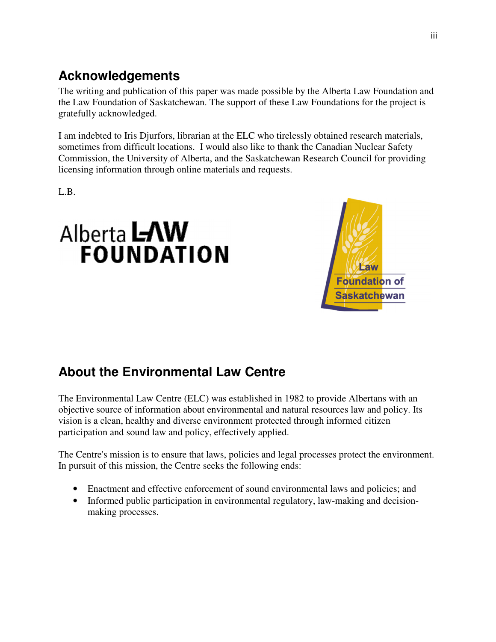# **Acknowledgements**

The writing and publication of this paper was made possible by the Alberta Law Foundation and the Law Foundation of Saskatchewan. The support of these Law Foundations for the project is gratefully acknowledged.

I am indebted to Iris Djurfors, librarian at the ELC who tirelessly obtained research materials, sometimes from difficult locations. I would also like to thank the Canadian Nuclear Safety Commission, the University of Alberta, and the Saskatchewan Research Council for providing licensing information through online materials and requests.

L.B.





# **About the Environmental Law Centre**

The Environmental Law Centre (ELC) was established in 1982 to provide Albertans with an objective source of information about environmental and natural resources law and policy. Its vision is a clean, healthy and diverse environment protected through informed citizen participation and sound law and policy, effectively applied.

The Centre's mission is to ensure that laws, policies and legal processes protect the environment. In pursuit of this mission, the Centre seeks the following ends:

- Enactment and effective enforcement of sound environmental laws and policies; and
- Informed public participation in environmental regulatory, law-making and decisionmaking processes.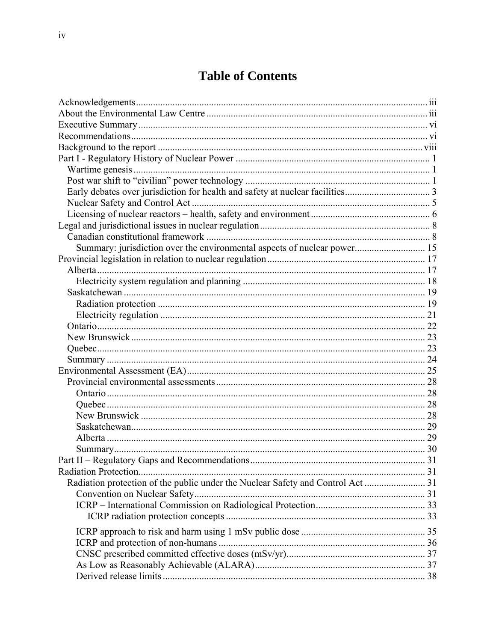# **Table of Contents**

| Summary: jurisdiction over the environmental aspects of nuclear power 15 |  |
|--------------------------------------------------------------------------|--|
|                                                                          |  |
|                                                                          |  |
|                                                                          |  |
|                                                                          |  |
|                                                                          |  |
|                                                                          |  |
|                                                                          |  |
|                                                                          |  |
|                                                                          |  |
|                                                                          |  |
|                                                                          |  |
|                                                                          |  |
|                                                                          |  |
|                                                                          |  |
|                                                                          |  |
|                                                                          |  |
|                                                                          |  |
|                                                                          |  |
|                                                                          |  |
|                                                                          |  |
|                                                                          |  |
|                                                                          |  |
|                                                                          |  |
|                                                                          |  |
|                                                                          |  |
|                                                                          |  |
|                                                                          |  |
|                                                                          |  |
|                                                                          |  |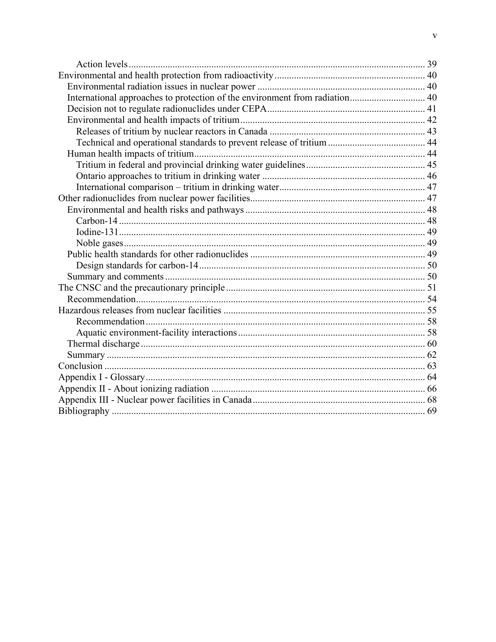| International approaches to protection of the environment from radiation 40 |  |
|-----------------------------------------------------------------------------|--|
|                                                                             |  |
|                                                                             |  |
|                                                                             |  |
|                                                                             |  |
|                                                                             |  |
|                                                                             |  |
|                                                                             |  |
|                                                                             |  |
|                                                                             |  |
|                                                                             |  |
|                                                                             |  |
|                                                                             |  |
|                                                                             |  |
|                                                                             |  |
|                                                                             |  |
|                                                                             |  |
|                                                                             |  |
|                                                                             |  |
|                                                                             |  |
|                                                                             |  |
|                                                                             |  |
|                                                                             |  |
|                                                                             |  |
|                                                                             |  |
|                                                                             |  |
|                                                                             |  |
|                                                                             |  |
|                                                                             |  |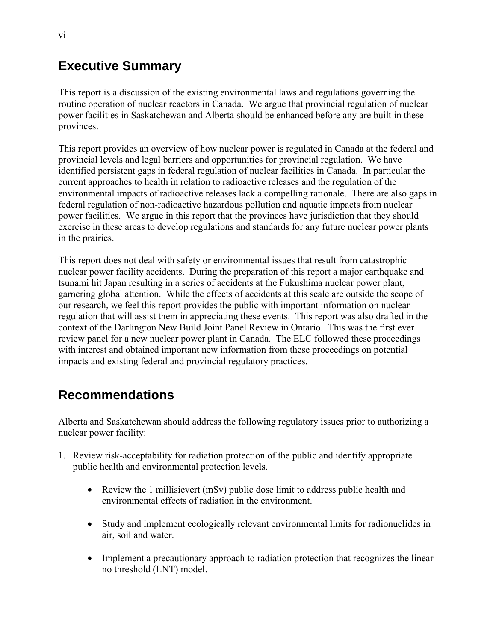## **Executive Summary**

This report is a discussion of the existing environmental laws and regulations governing the routine operation of nuclear reactors in Canada. We argue that provincial regulation of nuclear power facilities in Saskatchewan and Alberta should be enhanced before any are built in these provinces.

This report provides an overview of how nuclear power is regulated in Canada at the federal and provincial levels and legal barriers and opportunities for provincial regulation. We have identified persistent gaps in federal regulation of nuclear facilities in Canada. In particular the current approaches to health in relation to radioactive releases and the regulation of the environmental impacts of radioactive releases lack a compelling rationale. There are also gaps in federal regulation of non-radioactive hazardous pollution and aquatic impacts from nuclear power facilities. We argue in this report that the provinces have jurisdiction that they should exercise in these areas to develop regulations and standards for any future nuclear power plants in the prairies.

This report does not deal with safety or environmental issues that result from catastrophic nuclear power facility accidents. During the preparation of this report a major earthquake and tsunami hit Japan resulting in a series of accidents at the Fukushima nuclear power plant, garnering global attention. While the effects of accidents at this scale are outside the scope of our research, we feel this report provides the public with important information on nuclear regulation that will assist them in appreciating these events. This report was also drafted in the context of the Darlington New Build Joint Panel Review in Ontario. This was the first ever review panel for a new nuclear power plant in Canada. The ELC followed these proceedings with interest and obtained important new information from these proceedings on potential impacts and existing federal and provincial regulatory practices.

# **Recommendations**

Alberta and Saskatchewan should address the following regulatory issues prior to authorizing a nuclear power facility:

- 1. Review risk-acceptability for radiation protection of the public and identify appropriate public health and environmental protection levels.
	- Review the 1 millisievert (mSv) public dose limit to address public health and environmental effects of radiation in the environment.
	- Study and implement ecologically relevant environmental limits for radionuclides in air, soil and water.
	- Implement a precautionary approach to radiation protection that recognizes the linear no threshold (LNT) model.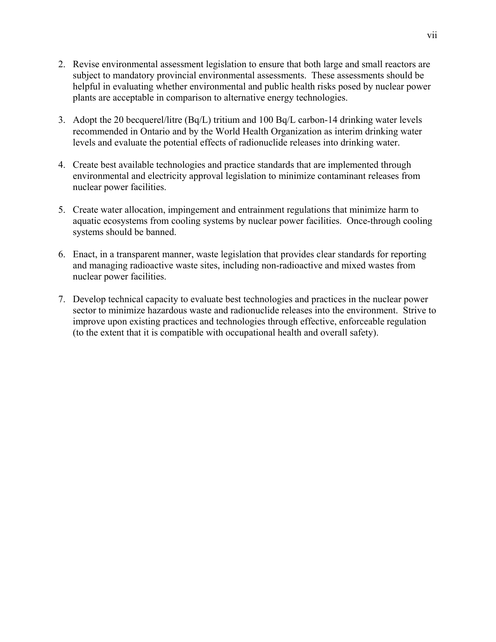- 2. Revise environmental assessment legislation to ensure that both large and small reactors are subject to mandatory provincial environmental assessments. These assessments should be helpful in evaluating whether environmental and public health risks posed by nuclear power plants are acceptable in comparison to alternative energy technologies.
- 3. Adopt the 20 becquerel/litre (Bq/L) tritium and 100 Bq/L carbon-14 drinking water levels recommended in Ontario and by the World Health Organization as interim drinking water levels and evaluate the potential effects of radionuclide releases into drinking water.
- 4. Create best available technologies and practice standards that are implemented through environmental and electricity approval legislation to minimize contaminant releases from nuclear power facilities.
- 5. Create water allocation, impingement and entrainment regulations that minimize harm to aquatic ecosystems from cooling systems by nuclear power facilities. Once-through cooling systems should be banned.
- 6. Enact, in a transparent manner, waste legislation that provides clear standards for reporting and managing radioactive waste sites, including non-radioactive and mixed wastes from nuclear power facilities.
- 7. Develop technical capacity to evaluate best technologies and practices in the nuclear power sector to minimize hazardous waste and radionuclide releases into the environment. Strive to improve upon existing practices and technologies through effective, enforceable regulation (to the extent that it is compatible with occupational health and overall safety).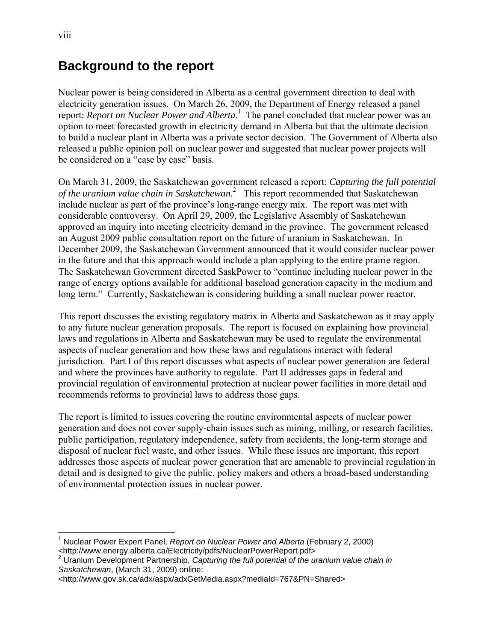### **Background to the report**

Nuclear power is being considered in Alberta as a central government direction to deal with electricity generation issues. On March 26, 2009, the Department of Energy released a panel report: *Report on Nuclear Power and Alberta*. 1 The panel concluded that nuclear power was an option to meet forecasted growth in electricity demand in Alberta but that the ultimate decision to build a nuclear plant in Alberta was a private sector decision. The Government of Alberta also released a public opinion poll on nuclear power and suggested that nuclear power projects will be considered on a "case by case" basis.

On March 31, 2009, the Saskatchewan government released a report: *Capturing the full potential of the uranium value chain in Saskatchewan*. 2 This report recommended that Saskatchewan include nuclear as part of the province's long-range energy mix. The report was met with considerable controversy. On April 29, 2009, the Legislative Assembly of Saskatchewan approved an inquiry into meeting electricity demand in the province. The government released an August 2009 public consultation report on the future of uranium in Saskatchewan. In December 2009, the Saskatchewan Government announced that it would consider nuclear power in the future and that this approach would include a plan applying to the entire prairie region. The Saskatchewan Government directed SaskPower to "continue including nuclear power in the range of energy options available for additional baseload generation capacity in the medium and long term." Currently, Saskatchewan is considering building a small nuclear power reactor.

This report discusses the existing regulatory matrix in Alberta and Saskatchewan as it may apply to any future nuclear generation proposals. The report is focused on explaining how provincial laws and regulations in Alberta and Saskatchewan may be used to regulate the environmental aspects of nuclear generation and how these laws and regulations interact with federal jurisdiction. Part I of this report discusses what aspects of nuclear power generation are federal and where the provinces have authority to regulate. Part II addresses gaps in federal and provincial regulation of environmental protection at nuclear power facilities in more detail and recommends reforms to provincial laws to address those gaps.

The report is limited to issues covering the routine environmental aspects of nuclear power generation and does not cover supply-chain issues such as mining, milling, or research facilities, public participation, regulatory independence, safety from accidents, the long-term storage and disposal of nuclear fuel waste, and other issues. While these issues are important, this report addresses those aspects of nuclear power generation that are amenable to provincial regulation in detail and is designed to give the public, policy makers and others a broad-based understanding of environmental protection issues in nuclear power.

 $\overline{a}$ <sup>1</sup> Nuclear Power Expert Panel, *Report on Nuclear Power and Alberta* (February 2, 2000)

<sup>&</sup>lt;http://www.energy.alberta.ca/Electricity/pdfs/NuclearPowerReport.pdf><br><sup>2</sup> Uranium Development Partnership, *Capturing the full potential of the uranium value chain in Saskatchewan*, (March 31, 2009) online:

<sup>&</sup>lt;http://www.gov.sk.ca/adx/aspx/adxGetMedia.aspx?mediaId=767&PN=Shared>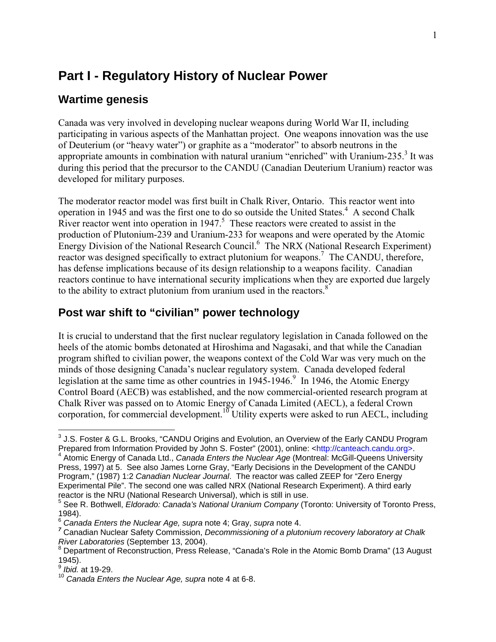## **Part I - Regulatory History of Nuclear Power**

### **Wartime genesis**

Canada was very involved in developing nuclear weapons during World War II, including participating in various aspects of the Manhattan project. One weapons innovation was the use of Deuterium (or "heavy water") or graphite as a "moderator" to absorb neutrons in the appropriate amounts in combination with natural uranium "enriched" with Uranium-235. $3$  It was during this period that the precursor to the CANDU (Canadian Deuterium Uranium) reactor was developed for military purposes.

The moderator reactor model was first built in Chalk River, Ontario. This reactor went into operation in 1945 and was the first one to do so outside the United States.<sup>4</sup> A second Chalk River reactor went into operation in  $1947$ <sup>5</sup>. These reactors were created to assist in the production of Plutonium-239 and Uranium-233 for weapons and were operated by the Atomic Energy Division of the National Research Council.<sup>6</sup> The NRX (National Research Experiment) reactor was designed specifically to extract plutonium for weapons.<sup>7</sup> The CANDU, therefore, has defense implications because of its design relationship to a weapons facility. Canadian reactors continue to have international security implications when they are exported due largely to the ability to extract plutonium from uranium used in the reactors. $8^{\circ}$ 

#### **Post war shift to "civilian" power technology**

It is crucial to understand that the first nuclear regulatory legislation in Canada followed on the heels of the atomic bombs detonated at Hiroshima and Nagasaki, and that while the Canadian program shifted to civilian power, the weapons context of the Cold War was very much on the minds of those designing Canada's nuclear regulatory system. Canada developed federal legislation at the same time as other countries in  $1945-1946$ .<sup>9</sup> In 1946, the Atomic Energy Control Board (AECB) was established, and the now commercial-oriented research program at Chalk River was passed on to Atomic Energy of Canada Limited (AECL), a federal Crown corporation, for commercial development.<sup>10</sup> Utility experts were asked to run AECL, including

 3 J.S. Foster & G.L. Brooks, "CANDU Origins and Evolution, an Overview of the Early CANDU Program Prepared from Information Provided by John S. Foster" (2001), online: <http://canteach.candu.org>.

<sup>&</sup>lt;sup>4</sup> Atomic Energy of Canada Ltd., *Canada Enters the Nuclear Age* (Montreal: McGill-Queens University Press, 1997) at 5. See also James Lorne Gray, "Early Decisions in the Development of the CANDU Program," (1987) 1:2 *Canadian Nuclear Journal*. The reactor was called ZEEP for "Zero Energy Experimental Pile". The second one was called NRX (National Research Experiment). A third early reactor is the NRU (National Research Universal), which is still in use.

<sup>5</sup> See R. Bothwell, *Eldorado: Canada's National Uranium Company* (Toronto: University of Toronto Press, 1984).

<sup>6</sup> *Canada Enters the Nuclear Age, supra* note 4; Gray, *supra* note 4.

*<sup>7</sup>* Canadian Nuclear Safety Commission, *Decommissioning of a plutonium recovery laboratory at Chalk* 

*River Laboratories* (September 13, 2004).<br><sup>8</sup> Department of Reconstruction, Press Release, "Canada's Role in the Atomic Bomb Drama" (13 August 1945).

<sup>9</sup> *Ibid.* at 19-29.

<sup>10</sup> *Canada Enters the Nuclear Age, supra* note 4 at 6-8.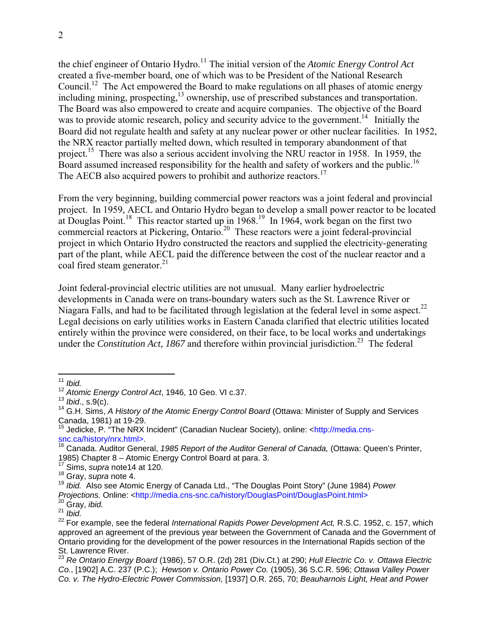the chief engineer of Ontario Hydro.<sup>11</sup> The initial version of the *Atomic Energy Control Act* created a five-member board, one of which was to be President of the National Research Council.<sup>12</sup> The Act empowered the Board to make regulations on all phases of atomic energy including mining, prospecting,<sup>13</sup> ownership, use of prescribed substances and transportation. The Board was also empowered to create and acquire companies. The objective of the Board was to provide atomic research, policy and security advice to the government.<sup>14</sup> Initially the Board did not regulate health and safety at any nuclear power or other nuclear facilities. In 1952, the NRX reactor partially melted down, which resulted in temporary abandonment of that project.<sup>15</sup> There was also a serious accident involving the NRU reactor in 1958. In 1959, the Board assumed increased responsibility for the health and safety of workers and the public.<sup>16</sup> The AECB also acquired powers to prohibit and authorize reactors.<sup>17</sup>

From the very beginning, building commercial power reactors was a joint federal and provincial project. In 1959, AECL and Ontario Hydro began to develop a small power reactor to be located at Douglas Point.<sup>18</sup> This reactor started up in  $1968$ <sup>19</sup> In 1964, work began on the first two commercial reactors at Pickering, Ontario.<sup>20</sup> These reactors were a joint federal-provincial project in which Ontario Hydro constructed the reactors and supplied the electricity-generating part of the plant, while AECL paid the difference between the cost of the nuclear reactor and a coal fired steam generator.<sup>21</sup>

Joint federal-provincial electric utilities are not unusual. Many earlier hydroelectric developments in Canada were on trans-boundary waters such as the St. Lawrence River or Niagara Falls, and had to be facilitated through legislation at the federal level in some aspect.<sup>22</sup> Legal decisions on early utilities works in Eastern Canada clarified that electric utilities located entirely within the province were considered, on their face, to be local works and undertakings under the *Constitution Act, 1867* and therefore within provincial jurisdiction.<sup>23</sup> The federal

*Projections.* Online: <http://media.cns-snc.ca/history/DouglasPoint/DouglasPoint.html><sup>20</sup> Gray, *ibid.*<br><sup>20</sup> Gray, *ibid.* 

 $11$ <sup>11</sup> *Ibid.* 

<sup>&</sup>lt;sup>12</sup> Atomic Energy Control Act, 1946, 10 Geo. VI c.37.<br><sup>13</sup> Ibid., s.9(c).

<sup>&</sup>lt;sup>14</sup> G.H. Sims, *A History of the Atomic Energy Control Board* (Ottawa: Minister of Supply and Services Canada, 1981) at 19-29.

<sup>&</sup>lt;sup>15</sup> Jedicke, P. "The NRX Incident" (Canadian Nuclear Society), online: <http://media.cnssnc.ca/history/nrx.html>. 16 Canada. Auditor General, *1985 Report of the Auditor General of Canada,* (Ottawa: Queen's Printer,

<sup>1985)</sup> Chapter 8 – Atomic Energy Control Board at para. 3. 17 Sims, *supra* note14 at 120.

<sup>18</sup> Gray, *supra* note 4.

<sup>19</sup> *Ibid.* Also see Atomic Energy of Canada Ltd., "The Douglas Point Story" (June 1984) *Power* 

<sup>&</sup>lt;sup>22</sup> For example, see the federal *International Rapids Power Development Act, R.S.C.* 1952, c. 157, which approved an agreement of the previous year between the Government of Canada and the Government of Ontario providing for the development of the power resources in the International Rapids section of the St. Lawrence River.

<sup>23</sup> *Re Ontario Energy Board* (1986), 57 O.R. (2d) 281 (Div.Ct.) at 290; *Hull Electric Co. v. Ottawa Electric Co.*, [1902] A.C. 237 (P.C.); *Hewson v. Ontario Power Co.* (1905), 36 S.C.R. 596; *Ottawa Valley Power Co. v. The Hydro-Electric Power Commission,* [1937] O.R. 265, 70; *Beauharnois Light, Heat and Power*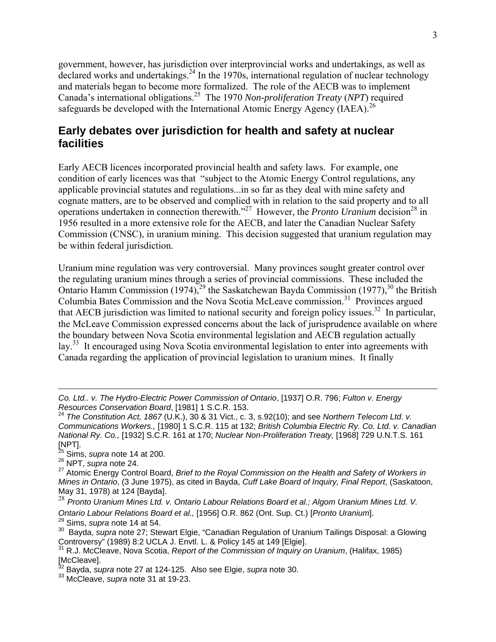government, however, has jurisdiction over interprovincial works and undertakings, as well as declared works and undertakings.<sup>24</sup> In the 1970s, international regulation of nuclear technology and materials began to become more formalized. The role of the AECB was to implement Canada's international obligations.25 The 1970 *Non-proliferation Treaty* (*NPT*) required safeguards be developed with the International Atomic Energy Agency (IAEA).<sup>26</sup>

#### **Early debates over jurisdiction for health and safety at nuclear facilities**

Early AECB licences incorporated provincial health and safety laws. For example, one condition of early licences was that "subject to the Atomic Energy Control regulations, any applicable provincial statutes and regulations...in so far as they deal with mine safety and cognate matters, are to be observed and complied with in relation to the said property and to all operations undertaken in connection therewith."<sup>27</sup> However, the *Pronto Uranium* decision<sup>28</sup> in 1956 resulted in a more extensive role for the AECB, and later the Canadian Nuclear Safety Commission (CNSC), in uranium mining. This decision suggested that uranium regulation may be within federal jurisdiction.

Uranium mine regulation was very controversial. Many provinces sought greater control over the regulating uranium mines through a series of provincial commissions. These included the Ontario Hamm Commission (1974),<sup>29</sup> the Saskatchewan Bayda Commission (1977),<sup>30</sup> the British Columbia Bates Commission and the Nova Scotia McLeave commission.<sup>31</sup> Provinces argued that AECB jurisdiction was limited to national security and foreign policy issues.<sup>32</sup> In particular, the McLeave Commission expressed concerns about the lack of jurisprudence available on where the boundary between Nova Scotia environmental legislation and AECB regulation actually lay.<sup>33</sup> It encouraged using Nova Scotia environmental legislation to enter into agreements with Canada regarding the application of provincial legislation to uranium mines. It finally

*Co. Ltd.. v. The Hydro-Electric Power Commission of Ontario*, [1937] O.R. 796; *Fulton v. Energy Resources Conservation Board*, [1981] 1 S.C.R. 153.

<sup>24</sup> *The Constitution Act, 1867* (U.K.), 30 & 31 Vict., c. 3, s.92(10); and see *Northern Telecom Ltd. v. Communications Workers.,* [1980] 1 S.C.R. 115 at 132; *British Columbia Electric Ry. Co. Ltd. v. Canadian National Ry. Co.,* [1932] S.C.R. 161 at 170; *Nuclear Non*-*Proliferation Treaty,* [1968] 729 U.N.T.S. 161 [NPT].

<sup>25</sup> Sims, *supra* note 14 at 200.

<sup>26</sup> NPT, *supra* note 24.

<sup>27</sup> Atomic Energy Control Board, *Brief to the Royal Commission on the Health and Safety of Workers in Mines in Ontario*, (3 June 1975), as cited in Bayda, *Cuff Lake Board of Inquiry, Final Report*, (Saskatoon, May 31, 1978) at 124 [Bayda].

<sup>28</sup> *Pronto Uranium Mines Ltd. v. Ontario Labour Relations Board et al.; Algom Uranium Mines Ltd. V. Ontario Labour Relations Board et al.,* [1956] O.R. 862 (Ont. Sup. Ct.) [*Pronto Uranium*]. 29 Sims, *supra* note 14 at 54.

<sup>30</sup> Bayda, *supra* note 27; Stewart Elgie, "Canadian Regulation of Uranium Tailings Disposal: a Glowing Controversy" (1989) 8:2 UCLA J. Envtl. L. & Policy 145 at 149 [Elgie]. 31 R.J. McCleave, Nova Scotia, *Report of the Commission of Inquiry on Uranium*, (Halifax, 1985)

 $[McCleave]$ .

<sup>32</sup> Bayda, *supra* note 27 at 124-125. Also see Elgie, *supra* note 30.

<sup>33</sup> McCleave, *supra* note 31 at 19-23.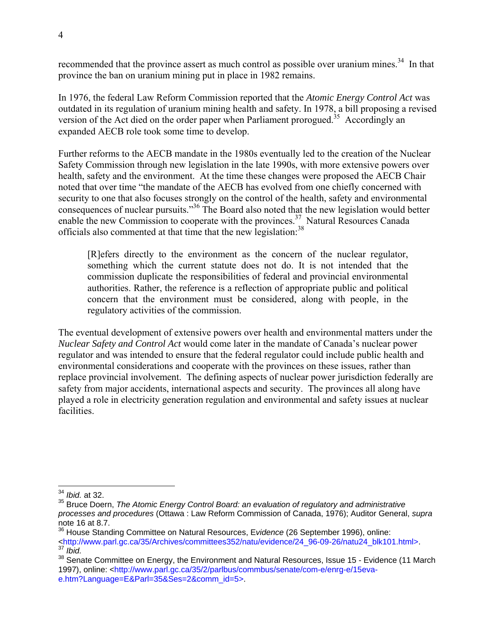recommended that the province assert as much control as possible over uranium mines.<sup>34</sup> In that province the ban on uranium mining put in place in 1982 remains.

In 1976, the federal Law Reform Commission reported that the *Atomic Energy Control Act* was outdated in its regulation of uranium mining health and safety. In 1978, a bill proposing a revised version of the Act died on the order paper when Parliament prorogued.<sup>35</sup> Accordingly an expanded AECB role took some time to develop.

Further reforms to the AECB mandate in the 1980s eventually led to the creation of the Nuclear Safety Commission through new legislation in the late 1990s, with more extensive powers over health, safety and the environment. At the time these changes were proposed the AECB Chair noted that over time "the mandate of the AECB has evolved from one chiefly concerned with security to one that also focuses strongly on the control of the health, safety and environmental consequences of nuclear pursuits."36 The Board also noted that the new legislation would better enable the new Commission to cooperate with the provinces.<sup>37</sup> Natural Resources Canada officials also commented at that time that the new legislation:<sup>38</sup>

[R]efers directly to the environment as the concern of the nuclear regulator, something which the current statute does not do. It is not intended that the commission duplicate the responsibilities of federal and provincial environmental authorities. Rather, the reference is a reflection of appropriate public and political concern that the environment must be considered, along with people, in the regulatory activities of the commission.

The eventual development of extensive powers over health and environmental matters under the *Nuclear Safety and Control Act* would come later in the mandate of Canada's nuclear power regulator and was intended to ensure that the federal regulator could include public health and environmental considerations and cooperate with the provinces on these issues, rather than replace provincial involvement. The defining aspects of nuclear power jurisdiction federally are safety from major accidents, international aspects and security. The provinces all along have played a role in electricity generation regulation and environmental and safety issues at nuclear facilities.

 $\overline{a}$ <sup>34</sup> *Ibid.* at 32.

<sup>35</sup> Bruce Doern, *The Atomic Energy Control Board: an evaluation of regulatory and administrative processes and procedures* (Ottawa : Law Reform Commission of Canada, 1976); Auditor General, *supra*  note 16 at 8.7.<br><sup>36</sup> House Standing Committee on Natural Resources, Evidence (26 September 1996), online:

<sup>36</sup> House Standing Committee on Natural Resources, E*vidence* (26 September 1996), online: <http://www.parl.gc.ca/35/Archives/committees352/natu/evidence/24\_96-09-26/natu24\_blk101.html>. 37 *Ibid.*

<sup>38</sup> Senate Committee on Energy, the Environment and Natural Resources, Issue 15 - Evidence (11 March 1997), online: <http://www.parl.gc.ca/35/2/parlbus/commbus/senate/com-e/enrg-e/15evae.htm?Language=E&Parl=35&Ses=2&comm\_id=5>.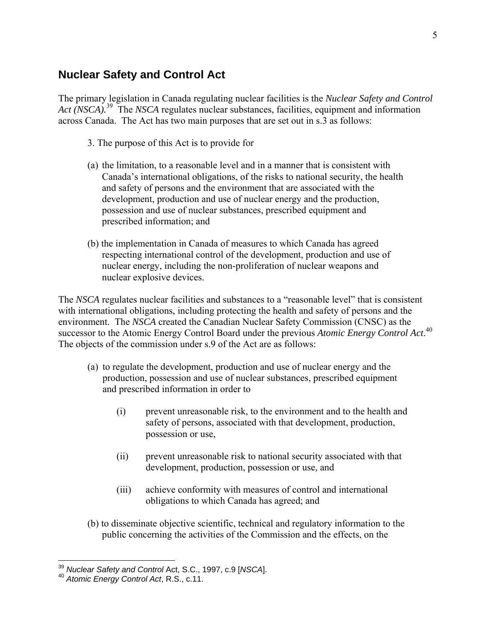#### **Nuclear Safety and Control Act**

The primary legislation in Canada regulating nuclear facilities is the *Nuclear Safety and Control Act (NSCA).*39 The *NSCA* regulates nuclear substances, facilities, equipment and information across Canada. The Act has two main purposes that are set out in s.3 as follows:

- 3. The purpose of this Act is to provide for
- (a) the limitation, to a reasonable level and in a manner that is consistent with Canada's international obligations, of the risks to national security, the health and safety of persons and the environment that are associated with the development, production and use of nuclear energy and the production, possession and use of nuclear substances, prescribed equipment and prescribed information; and
- (b) the implementation in Canada of measures to which Canada has agreed respecting international control of the development, production and use of nuclear energy, including the non-proliferation of nuclear weapons and nuclear explosive devices.

The *NSCA* regulates nuclear facilities and substances to a "reasonable level" that is consistent with international obligations, including protecting the health and safety of persons and the environment. The *NSCA* created the Canadian Nuclear Safety Commission (CNSC) as the successor to the Atomic Energy Control Board under the previous *Atomic Energy Control Act*. 40 The objects of the commission under s.9 of the Act are as follows:

- (a) to regulate the development, production and use of nuclear energy and the production, possession and use of nuclear substances, prescribed equipment and prescribed information in order to
	- (i) prevent unreasonable risk, to the environment and to the health and safety of persons, associated with that development, production, possession or use,
	- (ii) prevent unreasonable risk to national security associated with that development, production, possession or use, and
	- (iii) achieve conformity with measures of control and international obligations to which Canada has agreed; and
- (b) to disseminate objective scientific, technical and regulatory information to the public concerning the activities of the Commission and the effects, on the

<sup>&</sup>lt;sup>39</sup> *Nuclear Safety and Control* Act, S.C., 1997, c.9 [*NSCA*].<br><sup>40</sup> *Atomic Energy Control Act*, R.S., c.11.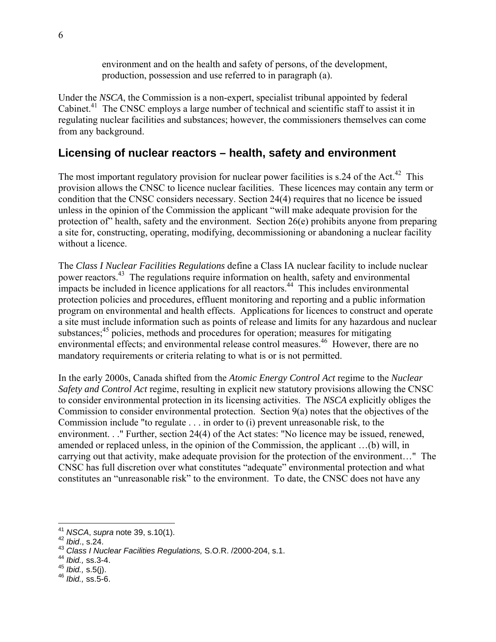environment and on the health and safety of persons, of the development, production, possession and use referred to in paragraph (a).

Under the *NSCA*, the Commission is a non-expert, specialist tribunal appointed by federal Cabinet.<sup>41</sup> The CNSC employs a large number of technical and scientific staff to assist it in regulating nuclear facilities and substances; however, the commissioners themselves can come from any background.

### **Licensing of nuclear reactors – health, safety and environment**

The most important regulatory provision for nuclear power facilities is  $s.24$  of the Act.<sup>42</sup> This provision allows the CNSC to licence nuclear facilities. These licences may contain any term or condition that the CNSC considers necessary. Section 24(4) requires that no licence be issued unless in the opinion of the Commission the applicant "will make adequate provision for the protection of" health, safety and the environment. Section 26(e) prohibits anyone from preparing a site for, constructing, operating, modifying, decommissioning or abandoning a nuclear facility without a licence.

The *Class I Nuclear Facilities Regulations* define a Class IA nuclear facility to include nuclear power reactors.43 The regulations require information on health, safety and environmental  $\frac{1}{2}$  impacts be included in licence applications for all reactors.<sup>44</sup> This includes environmental protection policies and procedures, effluent monitoring and reporting and a public information program on environmental and health effects. Applications for licences to construct and operate a site must include information such as points of release and limits for any hazardous and nuclear substances; $45$  policies, methods and procedures for operation; measures for mitigating environmental effects; and environmental release control measures.<sup>46</sup> However, there are no mandatory requirements or criteria relating to what is or is not permitted.

In the early 2000s, Canada shifted from the *Atomic Energy Control Act* regime to the *Nuclear Safety and Control Act* regime, resulting in explicit new statutory provisions allowing the CNSC to consider environmental protection in its licensing activities. The *NSCA* explicitly obliges the Commission to consider environmental protection. Section 9(a) notes that the objectives of the Commission include "to regulate . . . in order to (i) prevent unreasonable risk, to the environment. . ." Further, section 24(4) of the Act states: "No licence may be issued, renewed, amended or replaced unless, in the opinion of the Commission, the applicant …(b) will, in carrying out that activity, make adequate provision for the protection of the environment…" The CNSC has full discretion over what constitutes "adequate" environmental protection and what constitutes an "unreasonable risk" to the environment. To date, the CNSC does not have any

 $\overline{a}$ <sup>41</sup> *NSCA*, *supra* note 39, s.10(1). 42 *Ibid*., s.24.

<sup>43</sup> *Class I Nuclear Facilities Regulations,* S.O.R. /2000-204, s.1.

<sup>44</sup> *Ibid.,* ss.3-4.

<sup>45</sup> *Ibid.,* s.5(j). 46 *Ibid.,* ss.5-6.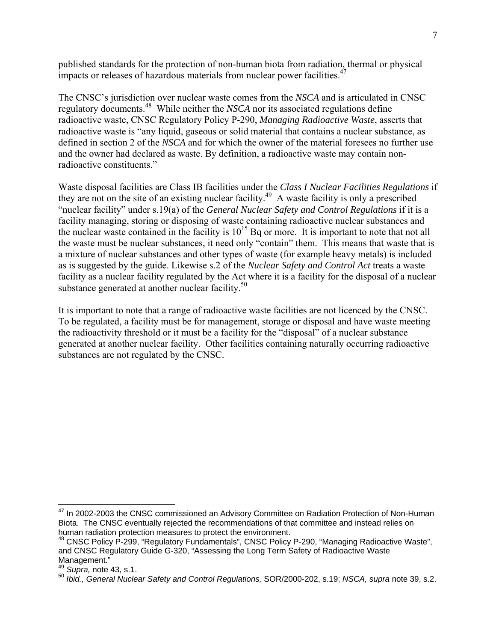published standards for the protection of non-human biota from radiation, thermal or physical impacts or releases of hazardous materials from nuclear power facilities.<sup>47</sup>

The CNSC's jurisdiction over nuclear waste comes from the *NSCA* and is articulated in CNSC regulatory documents.48 While neither the *NSCA* nor its associated regulations define radioactive waste, CNSC Regulatory Policy P-290, *Managing Radioactive Waste*, asserts that radioactive waste is "any liquid, gaseous or solid material that contains a nuclear substance, as defined in section 2 of the *NSCA* and for which the owner of the material foresees no further use and the owner had declared as waste. By definition, a radioactive waste may contain nonradioactive constituents."

Waste disposal facilities are Class IB facilities under the *Class I Nuclear Facilities Regulations* if they are not on the site of an existing nuclear facility.<sup>49</sup> A waste facility is only a prescribed "nuclear facility" under s.19(a) of the *General Nuclear Safety and Control Regulations* if it is a facility managing, storing or disposing of waste containing radioactive nuclear substances and the nuclear waste contained in the facility is  $10^{15}$  Bq or more. It is important to note that not all the waste must be nuclear substances, it need only "contain" them. This means that waste that is a mixture of nuclear substances and other types of waste (for example heavy metals) is included as is suggested by the guide. Likewise s.2 of the *Nuclear Safety and Control Act* treats a waste facility as a nuclear facility regulated by the Act where it is a facility for the disposal of a nuclear substance generated at another nuclear facility.<sup>50</sup>

It is important to note that a range of radioactive waste facilities are not licenced by the CNSC. To be regulated, a facility must be for management, storage or disposal and have waste meeting the radioactivity threshold or it must be a facility for the "disposal" of a nuclear substance generated at another nuclear facility. Other facilities containing naturally occurring radioactive substances are not regulated by the CNSC.

<sup>&</sup>lt;sup>47</sup> In 2002-2003 the CNSC commissioned an Advisory Committee on Radiation Protection of Non-Human Biota. The CNSC eventually rejected the recommendations of that committee and instead relies on human radiation protection measures to protect the environment.

<sup>48</sup> CNSC Policy P-299, "Regulatory Fundamentals", CNSC Policy P-290, "Managing Radioactive Waste", and CNSC Regulatory Guide G-320, "Assessing the Long Term Safety of Radioactive Waste Management."

<sup>49</sup> *Supra,* note 43, s.1.

<sup>50</sup> *Ibid., General Nuclear Safety and Control Regulations,* SOR/2000-202, s.19; *NSCA, supra* note 39, s.2.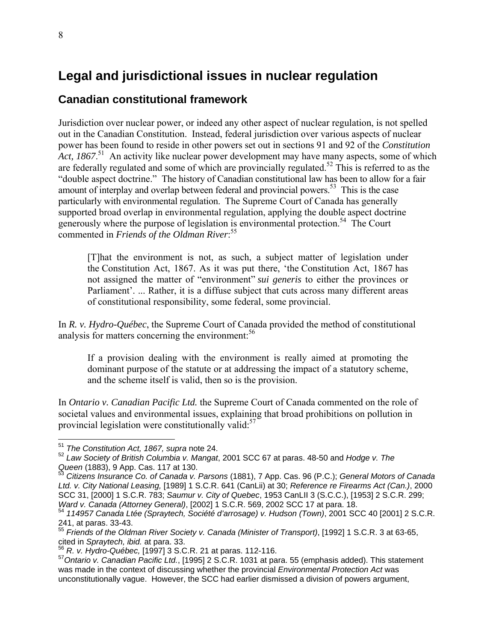# **Legal and jurisdictional issues in nuclear regulation**

### **Canadian constitutional framework**

Jurisdiction over nuclear power, or indeed any other aspect of nuclear regulation, is not spelled out in the Canadian Constitution. Instead, federal jurisdiction over various aspects of nuclear power has been found to reside in other powers set out in sections 91 and 92 of the *Constitution*  Act, 1867.<sup>51</sup> An activity like nuclear power development may have many aspects, some of which are federally regulated and some of which are provincially regulated.<sup>52</sup> This is referred to as the "double aspect doctrine." The history of Canadian constitutional law has been to allow for a fair amount of interplay and overlap between federal and provincial powers.<sup>53</sup> This is the case particularly with environmental regulation. The Supreme Court of Canada has generally supported broad overlap in environmental regulation, applying the double aspect doctrine generously where the purpose of legislation is environmental protection.<sup>54</sup> The Court commented in *Friends of the Oldman River*: 55

[T]hat the environment is not, as such, a subject matter of legislation under the Constitution Act, 1867. As it was put there, 'the Constitution Act, 1867 has not assigned the matter of "environment" *sui generis* to either the provinces or Parliament'. ... Rather, it is a diffuse subject that cuts across many different areas of constitutional responsibility, some federal, some provincial.

In *R. v. Hydro-Québec*, the Supreme Court of Canada provided the method of constitutional analysis for matters concerning the environment: $56$ 

If a provision dealing with the environment is really aimed at promoting the dominant purpose of the statute or at addressing the impact of a statutory scheme, and the scheme itself is valid, then so is the provision.

In *Ontario v. Canadian Pacific Ltd.* the Supreme Court of Canada commented on the role of societal values and environmental issues, explaining that broad prohibitions on pollution in provincial legislation were constitutionally valid: $57$ 

<sup>51</sup> *The Constitution Act, 1867, supra* note 24.

<sup>52</sup> *Law Society of British Columbia v. Mangat*, 2001 SCC 67 at paras. 48-50 and *Hodge v. The Queen* (1883), 9 App. Cas. 117 at 130.<br><sup>53</sup> Citizens Insurance Co. of Canada v. Parsons (1881), 7 App. Cas. 96 (P.C.); *General Motors of Canada* 

*Ltd. v. City National Leasing,* [1989] 1 S.C.R. 641 (CanLii) at 30; *Reference re Firearms Act (Can.)*, 2000 SCC 31, [2000] 1 S.C.R. 783; *Saumur v. City of Quebec*, 1953 CanLII 3 (S.C.C.), [1953] 2 S.C.R. 299;

<sup>&</sup>lt;sup>54</sup> 114957 Canada Ltée (Spraytech, Société d'arrosage) v. Hudson (Town), 2001 SCC 40 [2001] 2 S.C.R. 241, at paras. 33-43.

<sup>55</sup> *Friends of the Oldman River Society v. Canada (Minister of Transport)*, [1992] 1 S.C.R. 3 at 63-65, cited in *Spraytech, ibid.* at para. 33. 56 *R. v. Hydro-Québec,* [1997] 3 S.C.R. 21 at paras. 112-116.

<sup>57</sup>*Ontario v. Canadian Pacific Ltd.*, [1995] 2 S.C.R. 1031 at para. 55 (emphasis added). This statement was made in the context of discussing whether the provincial *Environmental Protection Act* was unconstitutionally vague. However, the SCC had earlier dismissed a division of powers argument,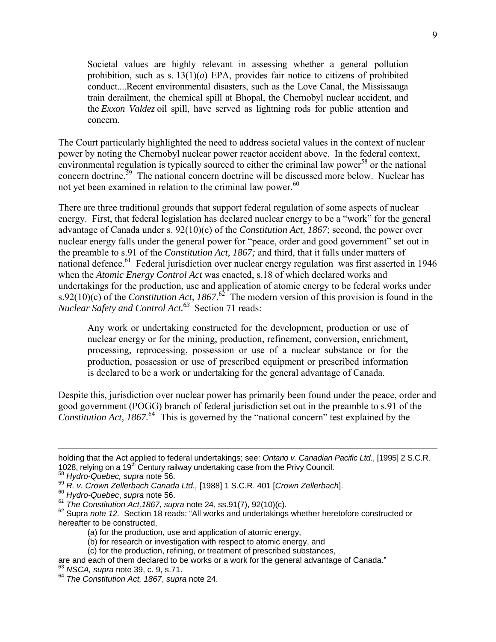Societal values are highly relevant in assessing whether a general pollution prohibition, such as s.  $13(1)(a)$  EPA, provides fair notice to citizens of prohibited conduct....Recent environmental disasters, such as the Love Canal, the Mississauga train derailment, the chemical spill at Bhopal, the Chernobyl nuclear accident, and the *Exxon Valdez* oil spill, have served as lightning rods for public attention and concern.

The Court particularly highlighted the need to address societal values in the context of nuclear power by noting the Chernobyl nuclear power reactor accident above. In the federal context, environmental regulation is typically sourced to either the criminal law power<sup>58</sup> or the national concern doctrine.59 The national concern doctrine will be discussed more below. Nuclear has not yet been examined in relation to the criminal law power.<sup>60</sup>

There are three traditional grounds that support federal regulation of some aspects of nuclear energy. First, that federal legislation has declared nuclear energy to be a "work" for the general advantage of Canada under s. 92(10)(c) of the *Constitution Act, 1867*; second, the power over nuclear energy falls under the general power for "peace, order and good government" set out in the preamble to s.91 of the *Constitution Act, 1867;* and third, that it falls under matters of national defence.<sup>61</sup> Federal jurisdiction over nuclear energy regulation was first asserted in 1946 when the *Atomic Energy Control Act* was enacted, s.18 of which declared works and undertakings for the production, use and application of atomic energy to be federal works under s.92(10)(c) of the *Constitution Act, 1867*.<sup>62</sup> The modern version of this provision is found in the *Nuclear Safety and Control Act.*<sup>63</sup> Section 71 reads:

Any work or undertaking constructed for the development, production or use of nuclear energy or for the mining, production, refinement, conversion, enrichment, processing, reprocessing, possession or use of a nuclear substance or for the production, possession or use of prescribed equipment or prescribed information is declared to be a work or undertaking for the general advantage of Canada.

Despite this, jurisdiction over nuclear power has primarily been found under the peace, order and good government (POGG) branch of federal jurisdiction set out in the preamble to s.91 of the *Constitution Act, 1867.*<sup>64</sup> This is governed by the "national concern" test explained by the

holding that the Act applied to federal undertakings; see: *Ontario v. Canadian Pacific Ltd*., [1995] 2 S.C.R. 1028, relying on a 19th Century railway undertaking case from the Privy Council. 58 *Hydro-Quebec, supra* note 56.

<sup>59</sup> *R. v. Crown Zellerbach Canada Ltd.,* [1988] 1 S.C.R. 401 [*Crown Zellerbach*]. 60 *Hydro-Quebec*, *supra* note 56.

<sup>&</sup>lt;sup>62</sup> Supra note 12. Section 18 reads: "All works and undertakings whether heretofore constructed or hereafter to be constructed,

<sup>(</sup>a) for the production, use and application of atomic energy,

<sup>(</sup>b) for research or investigation with respect to atomic energy, and

<sup>(</sup>c) for the production, refining, or treatment of prescribed substances,

are and each of them declared to be works or a work for the general advantage of Canada." 63 *NSCA, supra* note 39, c. 9, s.71.

<sup>64</sup> *The Constitution Act, 1867*, *supra* note 24.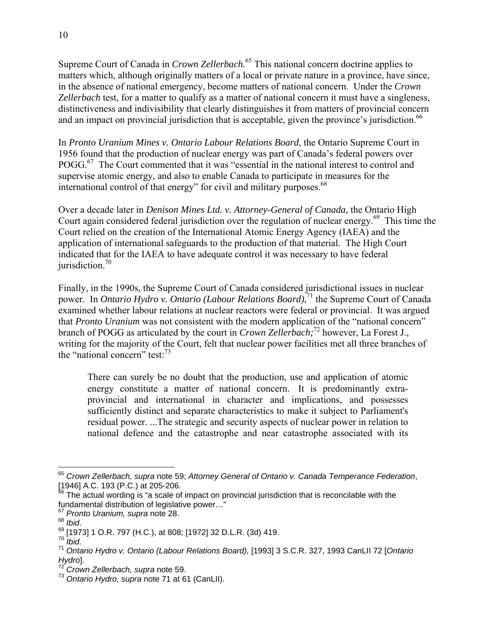Supreme Court of Canada in *Crown Zellerbach.*<sup>65</sup> This national concern doctrine applies to matters which, although originally matters of a local or private nature in a province, have since, in the absence of national emergency, become matters of national concern. Under the *Crown Zellerbach* test, for a matter to qualify as a matter of national concern it must have a singleness, distinctiveness and indivisibility that clearly distinguishes it from matters of provincial concern and an impact on provincial jurisdiction that is acceptable, given the province's jurisdiction.<sup>66</sup>

In *Pronto Uranium Mines v. Ontario Labour Relations Board*, the Ontario Supreme Court in 1956 found that the production of nuclear energy was part of Canada's federal powers over POGG.<sup>67</sup> The Court commented that it was "essential in the national interest to control and supervise atomic energy, and also to enable Canada to participate in measures for the international control of that energy" for civil and military purposes.<sup>68</sup>

Over a decade later in *Denison Mines Ltd. v. Attorney-General of Canada,* the Ontario High Court again considered federal jurisdiction over the regulation of nuclear energy.<sup>69</sup> This time the Court relied on the creation of the International Atomic Energy Agency (IAEA) and the application of international safeguards to the production of that material. The High Court indicated that for the IAEA to have adequate control it was necessary to have federal jurisdiction. $70$ 

Finally, in the 1990s, the Supreme Court of Canada considered jurisdictional issues in nuclear power. In *Ontario Hydro v. Ontario (Labour Relations Board)*, 71 the Supreme Court of Canada examined whether labour relations at nuclear reactors were federal or provincial. It was argued that *Pronto Uranium* was not consistent with the modern application of the "national concern" branch of POGG as articulated by the court in *Crown Zellerbach;*<sup>72</sup> however, La Forest J., writing for the majority of the Court, felt that nuclear power facilities met all three branches of the "national concern" test:  $73$ 

There can surely be no doubt that the production, use and application of atomic energy constitute a matter of national concern. It is predominantly extraprovincial and international in character and implications, and possesses sufficiently distinct and separate characteristics to make it subject to Parliament's residual power. ...The strategic and security aspects of nuclear power in relation to national defence and the catastrophe and near catastrophe associated with its

 $\overline{a}$ <sup>65</sup> *Crown Zellerbach, supra* note 59; *Attorney General of Ontario v. Canada Temperance Federation*, [1946] A.C. 193 (P.C.) at 205-206.

The actual wording is "a scale of impact on provincial jurisdiction that is reconcilable with the fundamental distribution of legislative power…"

<sup>&</sup>lt;sup>67</sup> Pronto Uranium, supra note 28.<br><sup>68</sup> Ibid.

<sup>68</sup> *Ibid*. 69 [1973] 1 O.R. 797 (H.C.), at 808; [1972] 32 D.L.R. (3d) 419. 70 *Ibid.*

<sup>71</sup> *Ontario Hydro v. Ontario (Labour Relations Board),* [1993] 3 S.C.R. 327, 1993 CanLII 72 [*Ontario Hydro*].

<sup>72</sup> *Crown Zellerbach, supra* note 59.

<sup>73</sup> *Ontario Hydro, supra* note 71 at 61 (CanLII).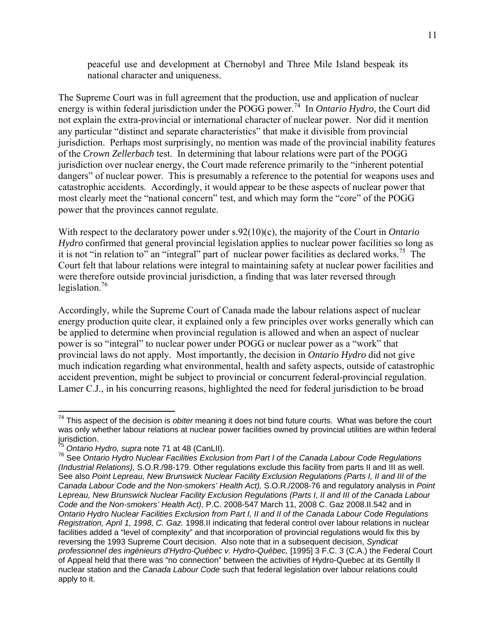peaceful use and development at Chernobyl and Three Mile Island bespeak its national character and uniqueness.

The Supreme Court was in full agreement that the production, use and application of nuclear energy is within federal jurisdiction under the POGG power.<sup>74</sup> In *Ontario Hydro*, the Court did not explain the extra-provincial or international character of nuclear power. Nor did it mention any particular "distinct and separate characteristics" that make it divisible from provincial jurisdiction. Perhaps most surprisingly, no mention was made of the provincial inability features of the *Crown Zellerbach* test. In determining that labour relations were part of the POGG jurisdiction over nuclear energy, the Court made reference primarily to the "inherent potential dangers" of nuclear power. This is presumably a reference to the potential for weapons uses and catastrophic accidents. Accordingly, it would appear to be these aspects of nuclear power that most clearly meet the "national concern" test, and which may form the "core" of the POGG power that the provinces cannot regulate.

With respect to the declaratory power under s.92(10)(c), the majority of the Court in *Ontario Hydro* confirmed that general provincial legislation applies to nuclear power facilities so long as it is not "in relation to" an "integral" part of nuclear power facilities as declared works.<sup>75</sup> The Court felt that labour relations were integral to maintaining safety at nuclear power facilities and were therefore outside provincial jurisdiction, a finding that was later reversed through legislation.76

Accordingly, while the Supreme Court of Canada made the labour relations aspect of nuclear energy production quite clear, it explained only a few principles over works generally which can be applied to determine when provincial regulation is allowed and when an aspect of nuclear power is so "integral" to nuclear power under POGG or nuclear power as a "work" that provincial laws do not apply. Most importantly, the decision in *Ontario Hydro* did not give much indication regarding what environmental, health and safety aspects, outside of catastrophic accident prevention, might be subject to provincial or concurrent federal-provincial regulation. Lamer C.J., in his concurring reasons, highlighted the need for federal jurisdiction to be broad

<sup>74</sup> This aspect of the decision is *obiter* meaning it does not bind future courts. What was before the court was only whether labour relations at nuclear power facilities owned by provincial utilities are within federal jurisdiction.<br><sup>75</sup> Ontario Hydro, supra note 71 at 48 (CanLII).

<sup>&</sup>lt;sup>76</sup> See Ontario Hydro Nuclear Facilities Exclusion from Part I of the Canada Labour Code Regulations *(Industrial Relations),* S.O.R./98-179. Other regulations exclude this facility from parts II and III as well. See also *Point Lepreau, New Brunswick Nuclear Facility Exclusion Regulations (Parts I, II and III of the Canada Labour Code and the Non-smokers' Health Act),* S.O.R./2008-76 and regulatory analysis in *Point Lepreau, New Brunswick Nuclear Facility Exclusion Regulations (Parts I, II and III of the Canada Labour Code and the Non-smokers' Health Act)*, P.C. 2008-547 March 11, 2008 C. Gaz 2008.II.542 and in *Ontario Hydro Nuclear Facilities Exclusion from Part I, II and II of the Canada Labour Code Regulations Registration, April 1, 1998, C. Gaz.* 1998.II indicating that federal control over labour relations in nuclear facilities added a "level of complexity" and that incorporation of provincial regulations would fix this by reversing the 1993 Supreme Court decision. Also note that in a subsequent decision, *Syndicat professionnel des ingénieurs d'Hydro-Québec v. Hydro-Québec,* [1995] 3 F.C. 3 (C.A.) the Federal Court of Appeal held that there was "no connection" between the activities of Hydro-Quebec at its Gentilly II nuclear station and the *Canada Labour Code* such that federal legislation over labour relations could apply to it.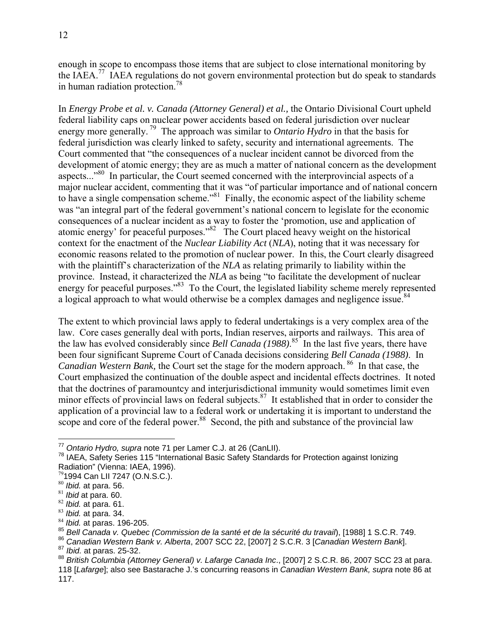enough in scope to encompass those items that are subject to close international monitoring by the IAEA.77 IAEA regulations do not govern environmental protection but do speak to standards in human radiation protection.78

In *Energy Probe et al. v. Canada (Attorney General) et al.,* the Ontario Divisional Court upheld federal liability caps on nuclear power accidents based on federal jurisdiction over nuclear energy more generally.<sup>79</sup> The approach was similar to *Ontario Hydro* in that the basis for federal jurisdiction was clearly linked to safety, security and international agreements. The Court commented that "the consequences of a nuclear incident cannot be divorced from the development of atomic energy; they are as much a matter of national concern as the development aspects...<sup>80</sup> In particular, the Court seemed concerned with the interprovincial aspects of a major nuclear accident, commenting that it was "of particular importance and of national concern to have a single compensation scheme."<sup>81</sup> Finally, the economic aspect of the liability scheme was "an integral part of the federal government's national concern to legislate for the economic consequences of a nuclear incident as a way to foster the 'promotion, use and application of atomic energy' for peaceful purposes."<sup>82</sup> The Court placed heavy weight on the historical context for the enactment of the *Nuclear Liability Act* (*NLA*), noting that it was necessary for economic reasons related to the promotion of nuclear power. In this, the Court clearly disagreed with the plaintiff's characterization of the *NLA* as relating primarily to liability within the province. Instead, it characterized the *NLA* as being "to facilitate the development of nuclear energy for peaceful purposes." $83$  To the Court, the legislated liability scheme merely represented a logical approach to what would otherwise be a complex damages and negligence issue.<sup>84</sup>

The extent to which provincial laws apply to federal undertakings is a very complex area of the law. Core cases generally deal with ports, Indian reserves, airports and railways. This area of the law has evolved considerably since *Bell Canada (1988)*. 85 In the last five years, there have been four significant Supreme Court of Canada decisions considering *Bell Canada (1988)*. In *Canadian Western Bank,* the Court set the stage for the modern approach. <sup>86</sup> In that case, the Court emphasized the continuation of the double aspect and incidental effects doctrines. It noted that the doctrines of paramountcy and interjurisdictional immunity would sometimes limit even minor effects of provincial laws on federal subjects. $87$  It established that in order to consider the application of a provincial law to a federal work or undertaking it is important to understand the scope and core of the federal power. $88$  Second, the pith and substance of the provincial law

<sup>&</sup>lt;sup>77</sup> Ontario Hydro, supra note 71 per Lamer C.J. at 26 (CanLII).

<sup>&</sup>lt;sup>78</sup> IAEA, Safety Series 115 "International Basic Safety Standards for Protection against Ionizing Radiation" (Vienna: IAEA, 1996).

 $^{79}$ 1994 Can LII 7247 (O.N.S.C.).<br> $^{80}$  *Ibid.* at para. 56.

<sup>&</sup>lt;sup>81</sup> Ibid at para. 60.<br><sup>82</sup> Ibid. at para. 61.<br><sup>83</sup> Ibid. at para. 34.<br><sup>85</sup> Bell Canada v. Quebec (Commission de la santé et de la sécurité du travail), [1988] 1 S.C.R. 749.<br><sup>85</sup> Bell Canada v. Quebec (Commission de la sa

<sup>118 [</sup>*Lafarge*]; also see Bastarache J.'s concurring reasons in *Canadian Western Bank, supra* note 86 at 117.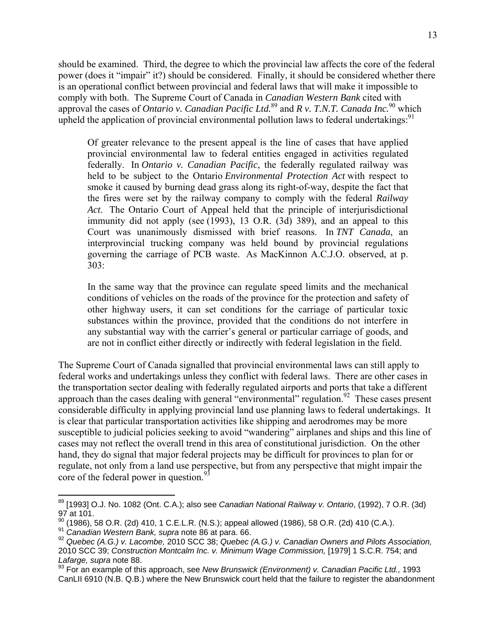should be examined. Third, the degree to which the provincial law affects the core of the federal power (does it "impair" it?) should be considered. Finally, it should be considered whether there is an operational conflict between provincial and federal laws that will make it impossible to comply with both. The Supreme Court of Canada in *Canadian Western Bank* cited with approval the cases of *Ontario v. Canadian Pacific Ltd.*<sup>89</sup> and *R v. T.N.T. Canada Inc.*90 which upheld the application of provincial environmental pollution laws to federal undertakings:<sup>91</sup>

Of greater relevance to the present appeal is the line of cases that have applied provincial environmental law to federal entities engaged in activities regulated federally. In *Ontario v. Canadian Pacific*, the federally regulated railway was held to be subject to the Ontario *Environmental Protection Act* with respect to smoke it caused by burning dead grass along its right-of-way, despite the fact that the fires were set by the railway company to comply with the federal *Railway Act*. The Ontario Court of Appeal held that the principle of interjurisdictional immunity did not apply (see (1993), 13 O.R. (3d) 389), and an appeal to this Court was unanimously dismissed with brief reasons. In *TNT Canada*, an interprovincial trucking company was held bound by provincial regulations governing the carriage of PCB waste. As MacKinnon A.C.J.O. observed, at p. 303:

In the same way that the province can regulate speed limits and the mechanical conditions of vehicles on the roads of the province for the protection and safety of other highway users, it can set conditions for the carriage of particular toxic substances within the province, provided that the conditions do not interfere in any substantial way with the carrier's general or particular carriage of goods, and are not in conflict either directly or indirectly with federal legislation in the field.

The Supreme Court of Canada signalled that provincial environmental laws can still apply to federal works and undertakings unless they conflict with federal laws. There are other cases in the transportation sector dealing with federally regulated airports and ports that take a different approach than the cases dealing with general "environmental" regulation.<sup>92</sup> These cases present considerable difficulty in applying provincial land use planning laws to federal undertakings. It is clear that particular transportation activities like shipping and aerodromes may be more susceptible to judicial policies seeking to avoid "wandering" airplanes and ships and this line of cases may not reflect the overall trend in this area of constitutional jurisdiction. On the other hand, they do signal that major federal projects may be difficult for provinces to plan for or regulate, not only from a land use perspective, but from any perspective that might impair the core of the federal power in question.<sup>93</sup>

<sup>89 [1993]</sup> O.J. No. 1082 (Ont. C.A.); also see *Canadian National Railway v. Ontario*, (1992), 7 O.R. (3d)  $97$  at 101.

<sup>&</sup>lt;sup>90</sup> (1986), 58 O.R. (2d) 410, 1 C.E.L.R. (N.S.); appeal allowed (1986), 58 O.R. (2d) 410 (C.A.).<br><sup>91</sup> Canadian Western Bank, supra note 86 at para. 66.<br><sup>92</sup> Quebec (A.G.) v. Lacombe, 2010 SCC 38; Quebec (A.G.) v. Canadian 2010 SCC 39; *Construction Montcalm Inc. v. Minimum Wage Commission,* [1979] 1 S.C.R. 754; and *Lafarge, supra* note 88.

<sup>93</sup> For an example of this approach, see *New Brunswick (Environment) v. Canadian Pacific Ltd.,* 1993 CanLII 6910 (N.B. Q.B.) where the New Brunswick court held that the failure to register the abandonment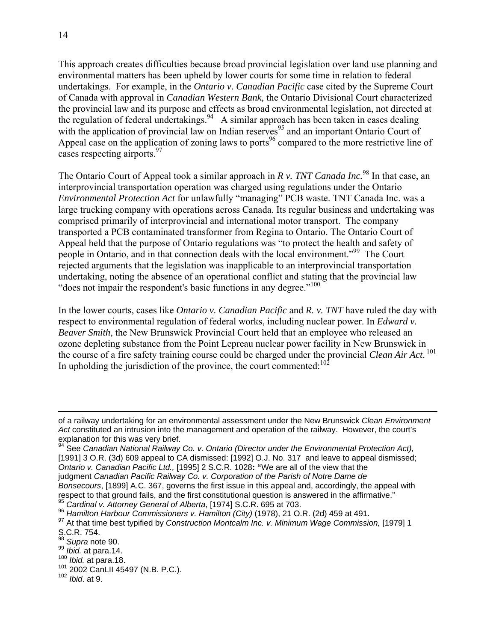This approach creates difficulties because broad provincial legislation over land use planning and environmental matters has been upheld by lower courts for some time in relation to federal undertakings. For example, in the *Ontario v. Canadian Pacific* case cited by the Supreme Court of Canada with approval in *Canadian Western Bank,* the Ontario Divisional Court characterized the provincial law and its purpose and effects as broad environmental legislation, not directed at the regulation of federal undertakings.<sup>94</sup> A similar approach has been taken in cases dealing with the application of provincial law on Indian reserves<sup>95</sup> and an important Ontario Court of Appeal case on the application of zoning laws to ports<sup>96</sup> compared to the more restrictive line of cases respecting airports.<sup>97</sup>

The Ontario Court of Appeal took a similar approach in *R v. TNT Canada Inc.*<sup>98</sup> In that case, an interprovincial transportation operation was charged using regulations under the Ontario *Environmental Protection Act* for unlawfully "managing" PCB waste. TNT Canada Inc. was a large trucking company with operations across Canada. Its regular business and undertaking was comprised primarily of interprovincial and international motor transport. The company transported a PCB contaminated transformer from Regina to Ontario. The Ontario Court of Appeal held that the purpose of Ontario regulations was "to protect the health and safety of people in Ontario, and in that connection deals with the local environment."99 The Court rejected arguments that the legislation was inapplicable to an interprovincial transportation undertaking, noting the absence of an operational conflict and stating that the provincial law "does not impair the respondent's basic functions in any degree."<sup>100</sup>

In the lower courts, cases like *Ontario v. Canadian Pacific* and *R. v. TNT* have ruled the day with respect to environmental regulation of federal works, including nuclear power. In *Edward v. Beaver Smith*, the New Brunswick Provincial Court held that an employee who released an ozone depleting substance from the Point Lepreau nuclear power facility in New Brunswick in the course of a fire safety training course could be charged under the provincial *Clean Air Act*.<sup>101</sup> In upholding the jurisdiction of the province, the court commented: $102$ 

of a railway undertaking for an environmental assessment under the New Brunswick *Clean Environment Act* constituted an intrusion into the management and operation of the railway. However, the court's explanation for this was very brief.

<sup>94</sup> See *Canadian National Railway Co. v. Ontario (Director under the Environmental Protection Act),* [1991] 3 O.R. (3d) 609 appeal to CA dismissed: [1992] O.J. No. 317 and leave to appeal dismissed; *Ontario v. Canadian Pacific Ltd.,* [1995] 2 S.C.R. 1028**: "**We are all of the view that the judgment *Canadian Pacific Railway Co. v. Corporation of the Parish of Notre Dame de Bonsecours*, [1899] A.C. 367, governs the first issue in this appeal and, accordingly, the appeal with respect to that ground fails, and the first constitutional question is answered in the affirmative."<br><sup>95</sup> *Cardinal v. Attorney General of Alberta*, [1974] S.C.R. 695 at 703.<br><sup>96</sup> *Hamilton Harbour Commissioners v. Hamilto* 

<sup>&</sup>lt;sup>97</sup> At that time best typified by *Construction Montcalm Inc. v. Minimum Wage Commission*, [1979] 1 S.C.R. 754.

<sup>98</sup> *Supra* note 90.

<sup>99</sup> *Ibid.* at para.14.<br><sup>100</sup> *Ibid.* at para.18.<br><sup>101</sup> 2002 CanLII 45497 (N.B. P.C.).<br><sup>102</sup> *Ibid.* at 9.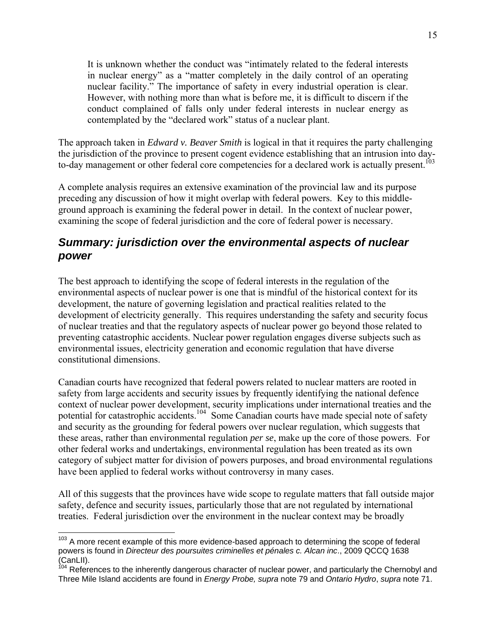It is unknown whether the conduct was "intimately related to the federal interests in nuclear energy" as a "matter completely in the daily control of an operating nuclear facility." The importance of safety in every industrial operation is clear. However, with nothing more than what is before me, it is difficult to discern if the conduct complained of falls only under federal interests in nuclear energy as contemplated by the "declared work" status of a nuclear plant.

The approach taken in *Edward v. Beaver Smith* is logical in that it requires the party challenging the jurisdiction of the province to present cogent evidence establishing that an intrusion into dayto-day management or other federal core competencies for a declared work is actually present.<sup>103</sup>

A complete analysis requires an extensive examination of the provincial law and its purpose preceding any discussion of how it might overlap with federal powers. Key to this middleground approach is examining the federal power in detail. In the context of nuclear power, examining the scope of federal jurisdiction and the core of federal power is necessary.

### *Summary: jurisdiction over the environmental aspects of nuclear power*

The best approach to identifying the scope of federal interests in the regulation of the environmental aspects of nuclear power is one that is mindful of the historical context for its development, the nature of governing legislation and practical realities related to the development of electricity generally. This requires understanding the safety and security focus of nuclear treaties and that the regulatory aspects of nuclear power go beyond those related to preventing catastrophic accidents. Nuclear power regulation engages diverse subjects such as environmental issues, electricity generation and economic regulation that have diverse constitutional dimensions.

Canadian courts have recognized that federal powers related to nuclear matters are rooted in safety from large accidents and security issues by frequently identifying the national defence context of nuclear power development, security implications under international treaties and the potential for catastrophic accidents.<sup>104</sup> Some Canadian courts have made special note of safety and security as the grounding for federal powers over nuclear regulation, which suggests that these areas, rather than environmental regulation *per se*, make up the core of those powers. For other federal works and undertakings, environmental regulation has been treated as its own category of subject matter for division of powers purposes, and broad environmental regulations have been applied to federal works without controversy in many cases.

All of this suggests that the provinces have wide scope to regulate matters that fall outside major safety, defence and security issues, particularly those that are not regulated by international treaties. Federal jurisdiction over the environment in the nuclear context may be broadly

<sup>&</sup>lt;sup>103</sup> A more recent example of this more evidence-based approach to determining the scope of federal powers is found in *Directeur des poursuites criminelles et pénales c. Alcan inc*., 2009 QCCQ 1638 (CanLII).

<sup>&</sup>lt;sup>104</sup> References to the inherently dangerous character of nuclear power, and particularly the Chernobyl and Three Mile Island accidents are found in *Energy Probe, supra* note 79 and *Ontario Hydro*, *supra* note 71.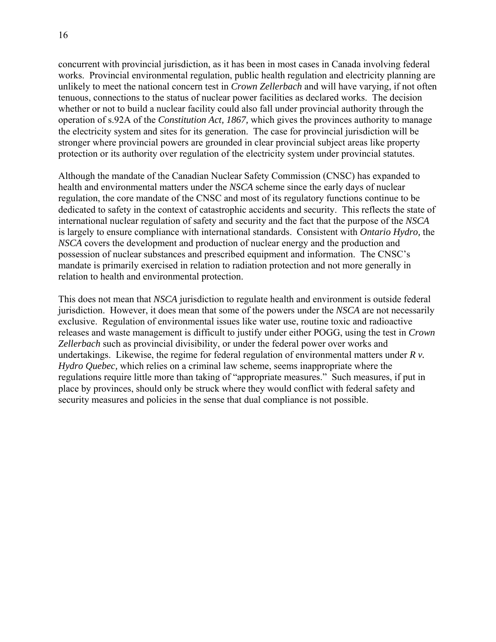concurrent with provincial jurisdiction, as it has been in most cases in Canada involving federal works. Provincial environmental regulation, public health regulation and electricity planning are unlikely to meet the national concern test in *Crown Zellerbach* and will have varying, if not often tenuous, connections to the status of nuclear power facilities as declared works. The decision whether or not to build a nuclear facility could also fall under provincial authority through the operation of s.92A of the *Constitution Act, 1867,* which gives the provinces authority to manage the electricity system and sites for its generation. The case for provincial jurisdiction will be stronger where provincial powers are grounded in clear provincial subject areas like property protection or its authority over regulation of the electricity system under provincial statutes.

Although the mandate of the Canadian Nuclear Safety Commission (CNSC) has expanded to health and environmental matters under the *NSCA* scheme since the early days of nuclear regulation, the core mandate of the CNSC and most of its regulatory functions continue to be dedicated to safety in the context of catastrophic accidents and security. This reflects the state of international nuclear regulation of safety and security and the fact that the purpose of the *NSCA* is largely to ensure compliance with international standards. Consistent with *Ontario Hydro,* the *NSCA* covers the development and production of nuclear energy and the production and possession of nuclear substances and prescribed equipment and information. The CNSC's mandate is primarily exercised in relation to radiation protection and not more generally in relation to health and environmental protection.

This does not mean that *NSCA* jurisdiction to regulate health and environment is outside federal jurisdiction. However, it does mean that some of the powers under the *NSCA* are not necessarily exclusive. Regulation of environmental issues like water use, routine toxic and radioactive releases and waste management is difficult to justify under either POGG, using the test in *Crown Zellerbach* such as provincial divisibility, or under the federal power over works and undertakings. Likewise, the regime for federal regulation of environmental matters under *R v. Hydro Quebec,* which relies on a criminal law scheme, seems inappropriate where the regulations require little more than taking of "appropriate measures." Such measures, if put in place by provinces, should only be struck where they would conflict with federal safety and security measures and policies in the sense that dual compliance is not possible.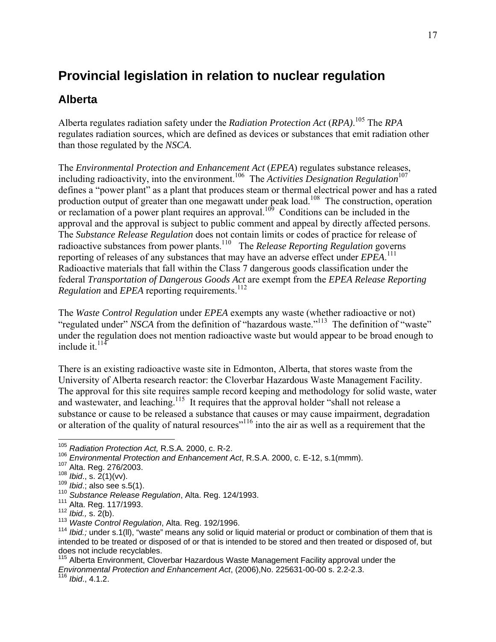## **Provincial legislation in relation to nuclear regulation**

### **Alberta**

Alberta regulates radiation safety under the *Radiation Protection Act* (*RPA)*. 105 The *RPA*  regulates radiation sources, which are defined as devices or substances that emit radiation other than those regulated by the *NSCA*.

The *Environmental Protection and Enhancement Act* (*EPEA*) regulates substance releases, including radioactivity, into the environment.<sup>106</sup> The *Activities Designation Regulation*<sup>107</sup> defines a "power plant" as a plant that produces steam or thermal electrical power and has a rated production output of greater than one megawatt under peak load.<sup>108</sup> The construction, operation or reclamation of a power plant requires an approval.<sup>109</sup> Conditions can be included in the approval and the approval is subject to public comment and appeal by directly affected persons. The *Substance Release Regulation* does not contain limits or codes of practice for release of radioactive substances from power plants.110 The *Release Reporting Regulation* governs reporting of releases of any substances that may have an adverse effect under *EPEA*. 111 Radioactive materials that fall within the Class 7 dangerous goods classification under the federal *Transportation of Dangerous Goods Act* are exempt from the *EPEA Release Reporting Regulation* and *EPEA* reporting requirements.<sup>112</sup>

The *Waste Control Regulation* under *EPEA* exempts any waste (whether radioactive or not) "regulated under" *NSCA* from the definition of "hazardous waste."<sup>113</sup> The definition of "waste" under the regulation does not mention radioactive waste but would appear to be broad enough to include it. $114$ 

There is an existing radioactive waste site in Edmonton, Alberta, that stores waste from the University of Alberta research reactor: the Cloverbar Hazardous Waste Management Facility. The approval for this site requires sample record keeping and methodology for solid waste, water and wastewater, and leaching.<sup>115</sup> It requires that the approval holder "shall not release a substance or cause to be released a substance that causes or may cause impairment, degradation or alteration of the quality of natural resources<sup>"116</sup> into the air as well as a requirement that the

<sup>105</sup> *Radiation Protection Act,* R.S.A. 2000, c. R-2.

<sup>&</sup>lt;sup>106</sup> Environmental Protection and Enhancement Act, R.S.A. 2000, c. E-12, s.1(mmm).<br><sup>107</sup> Alta. Reg. 276/2003.<br><sup>108</sup> Ibid., s. 2(1)(vv).<br><sup>108</sup> Ibid., s. 2(1)(vv).<br><sup>110</sup> Substance Release Regulation, Alta. Reg. 124/1993.<br><sup></sup> intended to be treated or disposed of or that is intended to be stored and then treated or disposed of, but does not include recyclables.

<sup>115</sup> Alberta Environment, Cloverbar Hazardous Waste Management Facility approval under the *Environmental Protection and Enhancement Act*, (2006),No. 225631-00-00 s. 2.2-2.3. 116 *Ibid*., 4.1.2.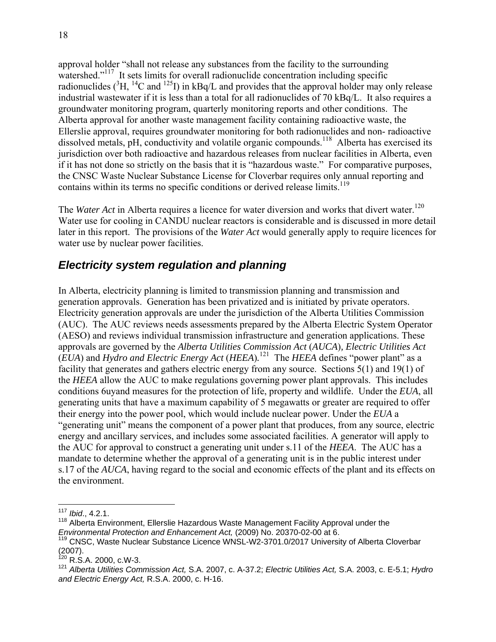approval holder "shall not release any substances from the facility to the surrounding watershed."<sup>117</sup> It sets limits for overall radionuclide concentration including specific radionuclides ( ${}^{3}H, {}^{14}C$  and  ${}^{125}I$ ) in kBq/L and provides that the approval holder may only release industrial wastewater if it is less than a total for all radionuclides of 70 kBq/L. It also requires a groundwater monitoring program, quarterly monitoring reports and other conditions. The Alberta approval for another waste management facility containing radioactive waste, the Ellerslie approval, requires groundwater monitoring for both radionuclides and non- radioactive dissolved metals, pH, conductivity and volatile organic compounds.<sup>118</sup> Alberta has exercised its jurisdiction over both radioactive and hazardous releases from nuclear facilities in Alberta, even if it has not done so strictly on the basis that it is "hazardous waste." For comparative purposes, the CNSC Waste Nuclear Substance License for Cloverbar requires only annual reporting and contains within its terms no specific conditions or derived release limits.<sup>119</sup>

The *Water Act* in Alberta requires a licence for water diversion and works that divert water.<sup>120</sup> Water use for cooling in CANDU nuclear reactors is considerable and is discussed in more detail later in this report. The provisions of the *Water Act* would generally apply to require licences for water use by nuclear power facilities.

### *Electricity system regulation and planning*

In Alberta, electricity planning is limited to transmission planning and transmission and generation approvals. Generation has been privatized and is initiated by private operators. Electricity generation approvals are under the jurisdiction of the Alberta Utilities Commission (AUC). The AUC reviews needs assessments prepared by the Alberta Electric System Operator (AESO) and reviews individual transmission infrastructure and generation applications. These approvals are governed by the *Alberta Utilities Commission Act* (*AUCA*)*, Electric Utilities Act* (*EUA*) and *Hydro and Electric Energy Act* (*HEEA*)*.* <sup>121</sup>The *HEEA* defines "power plant" as a facility that generates and gathers electric energy from any source. Sections 5(1) and 19(1) of the *HEEA* allow the AUC to make regulations governing power plant approvals. This includes conditions 6uyand measures for the protection of life, property and wildlife. Under the *EUA*, all generating units that have a maximum capability of 5 megawatts or greater are required to offer their energy into the power pool, which would include nuclear power. Under the *EUA* a "generating unit" means the component of a power plant that produces, from any source, electric energy and ancillary services, and includes some associated facilities. A generator will apply to the AUC for approval to construct a generating unit under s.11 of the *HEEA*. The AUC has a mandate to determine whether the approval of a generating unit is in the public interest under s.17 of the *AUCA*, having regard to the social and economic effects of the plant and its effects on the environment.

<sup>117</sup> *Ibid*., 4.2.1.

 $118$  Alberta Environment, Ellerslie Hazardous Waste Management Facility Approval under the Environmental Protection and Enhancement Act. (2009) No. 20370-02-00 at 6.

*Environmental Protection and Enhancement Act,* (2009) No. 20370-02-00 at 6. 119 CNSC, Waste Nuclear Substance Licence WNSL-W2-3701.0/2017 University of Alberta Cloverbar (2007).

 $120$  R.S.A. 2000, c.W-3.

<sup>121</sup> *Alberta Utilities Commission Act,* S.A. 2007, c. A-37.2; *Electric Utilities Act,* S.A. 2003, c. E-5.1; *Hydro and Electric Energy Act,* R.S.A. 2000, c. H-16.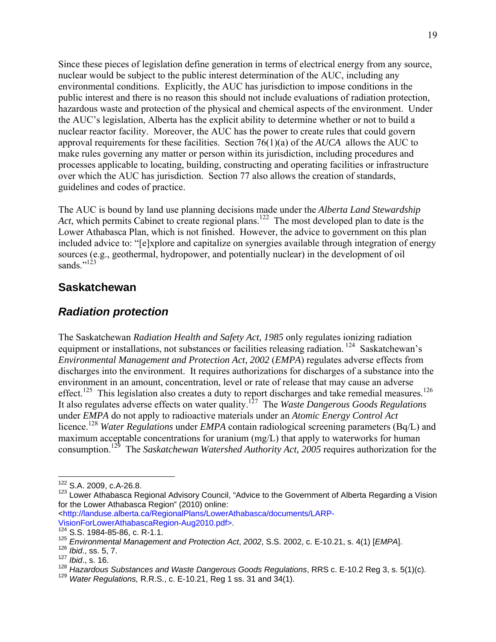Since these pieces of legislation define generation in terms of electrical energy from any source, nuclear would be subject to the public interest determination of the AUC, including any environmental conditions. Explicitly, the AUC has jurisdiction to impose conditions in the public interest and there is no reason this should not include evaluations of radiation protection, hazardous waste and protection of the physical and chemical aspects of the environment. Under the AUC's legislation, Alberta has the explicit ability to determine whether or not to build a nuclear reactor facility. Moreover, the AUC has the power to create rules that could govern approval requirements for these facilities. Section 76(1)(a) of the *AUCA* allows the AUC to make rules governing any matter or person within its jurisdiction, including procedures and processes applicable to locating, building, constructing and operating facilities or infrastructure over which the AUC has jurisdiction. Section 77 also allows the creation of standards, guidelines and codes of practice.

The AUC is bound by land use planning decisions made under the *Alberta Land Stewardship Act*, which permits Cabinet to create regional plans.<sup>122</sup> The most developed plan to date is the Lower Athabasca Plan, which is not finished. However, the advice to government on this plan included advice to: "[e]xplore and capitalize on synergies available through integration of energy sources (e.g., geothermal, hydropower, and potentially nuclear) in the development of oil sands $"$ <sup>123</sup>

#### **Saskatchewan**

#### *Radiation protection*

The Saskatchewan *Radiation Health and Safety Act, 1985* only regulates ionizing radiation equipment or installations, not substances or facilities releasing radiation. 124 Saskatchewan's *Environmental Management and Protection Act, 2002* (*EMPA*) regulates adverse effects from discharges into the environment. It requires authorizations for discharges of a substance into the environment in an amount, concentration, level or rate of release that may cause an adverse effect.<sup>125</sup> This legislation also creates a duty to report discharges and take remedial measures.<sup>126</sup> It also regulates adverse effects on water quality.127 The *Waste Dangerous Goods Regulations* under *EMPA* do not apply to radioactive materials under an *Atomic Energy Control Act*  licence.<sup>128</sup> *Water Regulations* under *EMPA* contain radiological screening parameters (Bq/L) and maximum acceptable concentrations for uranium (mg/L) that apply to waterworks for human consumption.129 The *Saskatchewan Watershed Authority Act, 2005* requires authorization for the

<sup>122</sup> S.A. 2009, c.A-26.8.

<sup>&</sup>lt;sup>123</sup> Lower Athabasca Regional Advisory Council, "Advice to the Government of Alberta Regarding a Vision for the Lower Athabasca Region" (2010) online:

<sup>&</sup>lt;http://landuse.alberta.ca/RegionalPlans/LowerAthabasca/documents/LARP-VisionForLowerAthabascaRegion-Aug2010.pdf>. 124 S.S. 1984-85-86, c. R-1.1.

<sup>125</sup> *Environmental Management and Protection Act*, *2002*, S.S. 2002, c. E-10.21, s. 4(1) [*EMPA*]. 126 *Ibid*., ss. 5, 7.

<sup>127</sup> *Ibid*., s. 16.

<sup>128</sup> *Hazardous Substances and Waste Dangerous Goods Regulations*, RRS c. E-10.2 Reg 3, s. 5(1)(c).<br><sup>129</sup> *Water Regulations,* R.R.S., c. E-10.21, Reg 1 ss. 31 and 34(1).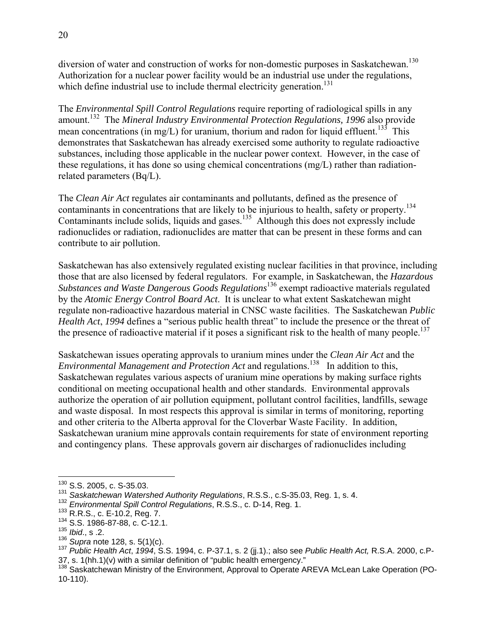diversion of water and construction of works for non-domestic purposes in Saskatchewan.<sup>130</sup> Authorization for a nuclear power facility would be an industrial use under the regulations, which define industrial use to include thermal electricity generation.<sup>131</sup>

The *Environmental Spill Control Regulations* require reporting of radiological spills in any amount.<sup>132</sup> The *Mineral Industry Environmental Protection Regulations, 1996* also provide mean concentrations (in mg/L) for uranium, thorium and radon for liquid effluent.<sup>133</sup> This demonstrates that Saskatchewan has already exercised some authority to regulate radioactive substances, including those applicable in the nuclear power context. However, in the case of these regulations, it has done so using chemical concentrations (mg/L) rather than radiationrelated parameters (Bq/L).

The *Clean Air Act* regulates air contaminants and pollutants, defined as the presence of contaminants in concentrations that are likely to be injurious to health, safety or property.<sup>134</sup> Contaminants include solids, liquids and gases.<sup>135</sup> Although this does not expressly include radionuclides or radiation, radionuclides are matter that can be present in these forms and can contribute to air pollution.

Saskatchewan has also extensively regulated existing nuclear facilities in that province, including those that are also licensed by federal regulators. For example, in Saskatchewan, the *Hazardous Substances and Waste Dangerous Goods Regulations*136 exempt radioactive materials regulated by the *Atomic Energy Control Board Act*. It is unclear to what extent Saskatchewan might regulate non-radioactive hazardous material in CNSC waste facilities. The Saskatchewan *Public Health Act*, *1994* defines a "serious public health threat" to include the presence or the threat of the presence of radioactive material if it poses a significant risk to the health of many people.<sup>137</sup>

Saskatchewan issues operating approvals to uranium mines under the *Clean Air Act* and the *Environmental Management and Protection Act* and regulations.<sup>138</sup> In addition to this, Saskatchewan regulates various aspects of uranium mine operations by making surface rights conditional on meeting occupational health and other standards. Environmental approvals authorize the operation of air pollution equipment, pollutant control facilities, landfills, sewage and waste disposal. In most respects this approval is similar in terms of monitoring, reporting and other criteria to the Alberta approval for the Cloverbar Waste Facility. In addition, Saskatchewan uranium mine approvals contain requirements for state of environment reporting and contingency plans. These approvals govern air discharges of radionuclides including

 $130$  S.S. 2005, c. S-35.03.

<sup>&</sup>lt;sup>131</sup> Saskatchewan Watershed Authority Regulations, R.S.S., c.S-35.03, Reg. 1, s. 4.<br><sup>132</sup> Environmental Spill Control Regulations, R.S.S., c. D-14, Reg. 1.<br><sup>132</sup> R.R.S., c. E-10.2, Reg. 7.<br><sup>133</sup> S.S. 1986-87-88, c. C-12.

<sup>&</sup>lt;sup>135</sup> *Ibid.*, s .2.<br><sup>136</sup> *Supra* note 128, s. 5(1)(c).

<sup>136</sup> *Supra* note 128, s. 5(1)(c). 137 *Public Health Act*, *1994*, S.S. 1994, c. P-37.1, s. 2 (jj.1).; also see *Public Health Act,* R.S.A. 2000, c.P-37, s. 1(hh.1)(v) with a similar definition of "public health emergency."

<sup>&</sup>lt;sup>138</sup> Saskatchewan Ministry of the Environment, Approval to Operate AREVA McLean Lake Operation (PO-10-110).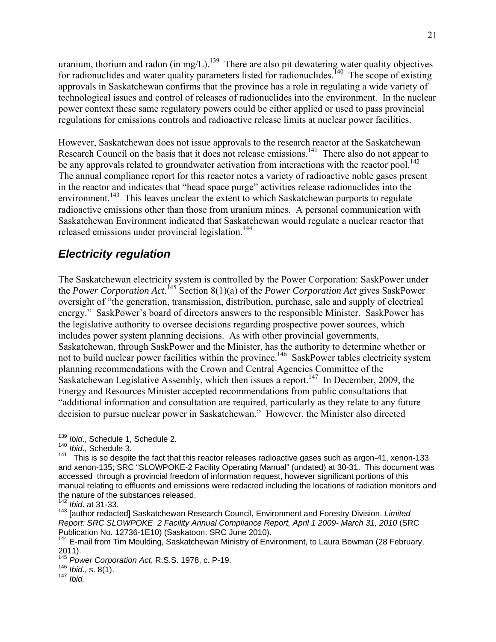uranium, thorium and radon (in mg/L).<sup>139</sup> There are also pit dewatering water quality objectives for radionuclides and water quality parameters listed for radionuclides.<sup>140</sup> The scope of existing approvals in Saskatchewan confirms that the province has a role in regulating a wide variety of technological issues and control of releases of radionuclides into the environment. In the nuclear power context these same regulatory powers could be either applied or used to pass provincial regulations for emissions controls and radioactive release limits at nuclear power facilities.

However, Saskatchewan does not issue approvals to the research reactor at the Saskatchewan Research Council on the basis that it does not release emissions.<sup>141</sup> There also do not appear to be any approvals related to groundwater activation from interactions with the reactor pool.<sup>142</sup> The annual compliance report for this reactor notes a variety of radioactive noble gases present in the reactor and indicates that "head space purge" activities release radionuclides into the environment.<sup>143</sup> This leaves unclear the extent to which Saskatchewan purports to regulate radioactive emissions other than those from uranium mines. A personal communication with Saskatchewan Environment indicated that Saskatchewan would regulate a nuclear reactor that released emissions under provincial legislation.<sup>144</sup>

#### *Electricity regulation*

The Saskatchewan electricity system is controlled by the Power Corporation: SaskPower under the *Power Corporation Act.*145 Section 8(1)(a) of the *Power Corporation Act* gives SaskPower oversight of "the generation, transmission, distribution, purchase, sale and supply of electrical energy." SaskPower's board of directors answers to the responsible Minister. SaskPower has the legislative authority to oversee decisions regarding prospective power sources, which includes power system planning decisions. As with other provincial governments, Saskatchewan, through SaskPower and the Minister, has the authority to determine whether or not to build nuclear power facilities within the province.<sup>146</sup> SaskPower tables electricity system planning recommendations with the Crown and Central Agencies Committee of the Saskatchewan Legislative Assembly, which then issues a report.<sup>147</sup> In December, 2009, the Energy and Resources Minister accepted recommendations from public consultations that "additional information and consultation are required, particularly as they relate to any future decision to pursue nuclear power in Saskatchewan." However, the Minister also directed

 $\overline{a}$ 

<sup>146</sup> *Ibid*., s. 8(1). 147 *Ibid.*

<sup>139</sup> *Ibid*., Schedule 1, Schedule 2.

<sup>140</sup> *Ibid*., Schedule 3.

<sup>&</sup>lt;sup>141</sup> This is so despite the fact that this reactor releases radioactive gases such as argon-41, xenon-133 and xenon-135; SRC "SLOWPOKE-2 Facility Operating Manual" (undated) at 30-31. This document was accessed through a provincial freedom of information request, however significant portions of this manual relating to effluents and emissions were redacted including the locations of radiation monitors and the nature of the substances released.

<sup>142</sup> *Ibid*. at 31-33.

<sup>143 [</sup>author redacted] Saskatchewan Research Council, Environment and Forestry Division. *Limited Report: SRC SLOWPOKE 2 Facility Annual Compliance Report, April 1 2009- March 31, 2010* (SRC Publication No. 12736-1E10) (Saskatoon: SRC June 2010).

<sup>&</sup>lt;sup>144</sup> E-mail from Tim Moulding, Saskatchewan Ministry of Environment, to Laura Bowman (28 February, 2011).

<sup>145</sup> *Power Corporation Act*, R.S.S. 1978, c. P-19.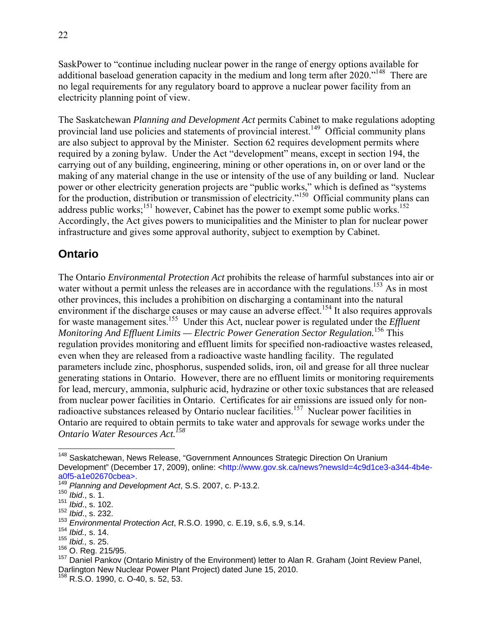SaskPower to "continue including nuclear power in the range of energy options available for additional baseload generation capacity in the medium and long term after 2020."<sup>148</sup> There are no legal requirements for any regulatory board to approve a nuclear power facility from an electricity planning point of view.

The Saskatchewan *Planning and Development Act* permits Cabinet to make regulations adopting provincial land use policies and statements of provincial interest.<sup>149</sup> Official community plans are also subject to approval by the Minister. Section 62 requires development permits where required by a zoning bylaw. Under the Act "development" means, except in section 194, the carrying out of any building, engineering, mining or other operations in, on or over land or the making of any material change in the use or intensity of the use of any building or land. Nuclear power or other electricity generation projects are "public works," which is defined as "systems for the production, distribution or transmission of electricity."<sup>150</sup> Official community plans can address public works;<sup>151</sup> however, Cabinet has the power to exempt some public works.<sup>152</sup> Accordingly, the Act gives powers to municipalities and the Minister to plan for nuclear power infrastructure and gives some approval authority, subject to exemption by Cabinet.

### **Ontario**

The Ontario *Environmental Protection Act* prohibits the release of harmful substances into air or water without a permit unless the releases are in accordance with the regulations.<sup>153</sup> As in most other provinces, this includes a prohibition on discharging a contaminant into the natural environment if the discharge causes or may cause an adverse effect.<sup>154</sup> It also requires approvals for waste management sites.<sup>155</sup> Under this Act, nuclear power is regulated under the *Effluent Monitoring And Effluent Limits — Electric Power Generation Sector Regulation.*156 This regulation provides monitoring and effluent limits for specified non-radioactive wastes released, even when they are released from a radioactive waste handling facility. The regulated parameters include zinc, phosphorus, suspended solids, iron, oil and grease for all three nuclear generating stations in Ontario. However, there are no effluent limits or monitoring requirements for lead, mercury, ammonia, sulphuric acid, hydrazine or other toxic substances that are released from nuclear power facilities in Ontario. Certificates for air emissions are issued only for nonradioactive substances released by Ontario nuclear facilities.<sup>157</sup> Nuclear power facilities in Ontario are required to obtain permits to take water and approvals for sewage works under the *Ontario Water Resources Act.158*

<sup>&</sup>lt;sup>148</sup> Saskatchewan, News Release, "Government Announces Strategic Direction On Uranium Development" (December 17, 2009), online: <http://www.gov.sk.ca/news?newsId=4c9d1ce3-a344-4b4ea0f5-a1e02670cbea>.

<sup>149</sup> *Planning and Development Act*, S.S. 2007, c. P-13.2.

<sup>150</sup> *Ibid*., s. 1.

<sup>151</sup> *Ibid*., s. 102.

<sup>152</sup> *Ibid*., s. 232.

<sup>153</sup> *Environmental Protection Act*, R.S.O. 1990, c. E.19, s.6, s.9, s.14.

<sup>154</sup> *Ibid.,* s. 14.

<sup>155</sup> *Ibid.,* s. 25.

 $157$  Daniel Pankov (Ontario Ministry of the Environment) letter to Alan R. Graham (Joint Review Panel, Darlington New Nuclear Power Plant Project) dated June 15, 2010.

<sup>&</sup>lt;sup>158</sup> R.S.O. 1990, c. O-40, s. 52, 53.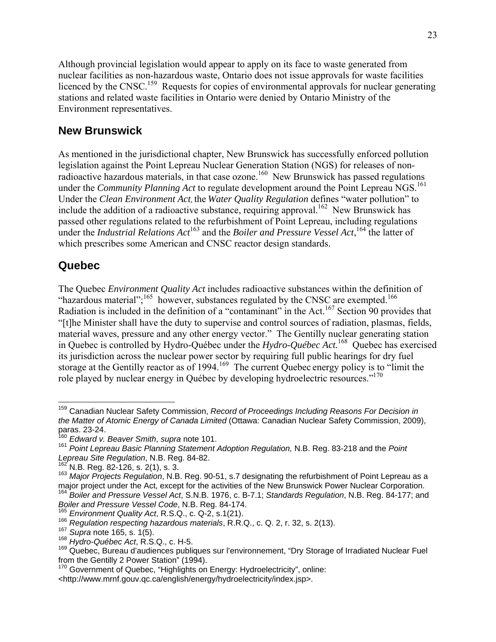Although provincial legislation would appear to apply on its face to waste generated from nuclear facilities as non-hazardous waste, Ontario does not issue approvals for waste facilities licenced by the CNSC.<sup>159</sup> Requests for copies of environmental approvals for nuclear generating stations and related waste facilities in Ontario were denied by Ontario Ministry of the Environment representatives.

#### **New Brunswick**

As mentioned in the jurisdictional chapter, New Brunswick has successfully enforced pollution legislation against the Point Lepreau Nuclear Generation Station (NGS) for releases of nonradioactive hazardous materials, in that case ozone.<sup>160</sup> New Brunswick has passed regulations under the *Community Planning Act* to regulate development around the Point Lepreau NGS.<sup>161</sup> Under the *Clean Environment Act,* the *Water Quality Regulation* defines "water pollution" to include the addition of a radioactive substance, requiring approval.<sup>162</sup> New Brunswick has passed other regulations related to the refurbishment of Point Lepreau, including regulations under the *Industrial Relations Act*163 and the *Boiler and Pressure Vessel Act*, 164 the latter of which prescribes some American and CNSC reactor design standards.

#### **Quebec**

1

The Quebec *Environment Quality Act* includes radioactive substances within the definition of "hazardous material"; $^{165}$  however, substances regulated by the CNSC are exempted.<sup>166</sup> Radiation is included in the definition of a "contaminant" in the Act.<sup>167</sup> Section 90 provides that "[t]he Minister shall have the duty to supervise and control sources of radiation, plasmas, fields, material waves, pressure and any other energy vector." The Gentilly nuclear generating station in Quebec is controlled by Hydro-Québec under the *Hydro-Québec Act.*<sup>168</sup>Quebec has exercised its jurisdiction across the nuclear power sector by requiring full public hearings for dry fuel storage at the Gentilly reactor as of 1994.<sup>169</sup> The current Quebec energy policy is to "limit the role played by nuclear energy in Québec by developing hydroelectric resources."<sup>170</sup>

<sup>159</sup> Canadian Nuclear Safety Commission, *Record of Proceedings Including Reasons For Decision in the Matter of Atomic Energy of Canada Limited* (Ottawa: Canadian Nuclear Safety Commission, 2009), paras. 23-24.

<sup>160</sup> *Edward v. Beaver Smith*, *supra* note 101.

<sup>161</sup> *Point Lepreau Basic Planning Statement Adoption Regulation,* N.B. Reg. 83-218 and the *Point* 

<sup>&</sup>lt;sup>162</sup> N.B. Reg. 82-126, s. 2(1), s. 3.<br><sup>163</sup> Maior Proiects Regulation, N.B. Reg. 90-51, s.7 designating the refurbishment of Point Lepreau as a

major project under the Act, except for the activities of the New Brunswick Power Nuclear Corporation. 164 *Boiler and Pressure Vessel Act*, S.N.B. 1976, c. B-7.1; *Standards Regulation*, N.B. Reg. 84-177; and

<sup>&</sup>lt;sup>165</sup> Environment Quality Act, R.S.Q., c. Q-2, s.1(21).<br><sup>166</sup> Regulation respecting hazardous materials, R.R.Q., c. Q. 2, r. 32, s. 2(13).<br><sup>167</sup> Supra note 165, s. 1(5).<br><sup>168</sup> Hydro-Québec Act, R.S.Q., c. H-5.

<sup>&</sup>lt;sup>169</sup> Quebec, Bureau d'audiences publiques sur l'environnement, "Dry Storage of Irradiated Nuclear Fuel<br>from the Gentilly 2 Power Station" (1994).

<sup>170</sup> Government of Quebec, "Highlights on Energy: Hydroelectricity", online:

<sup>&</sup>lt;http://www.mrnf.gouv.qc.ca/english/energy/hydroelectricity/index.jsp>.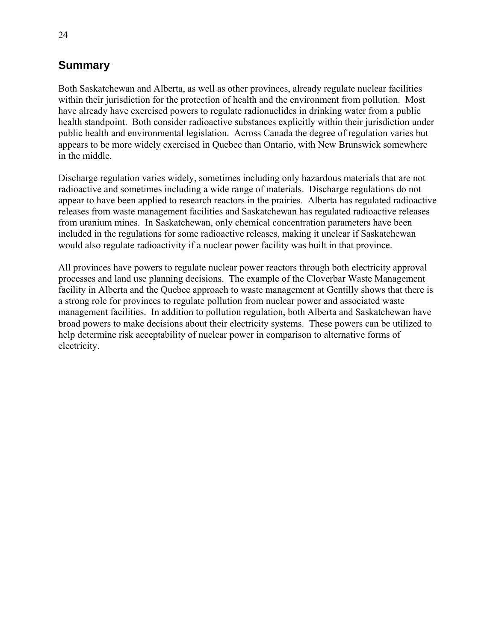### **Summary**

Both Saskatchewan and Alberta, as well as other provinces, already regulate nuclear facilities within their jurisdiction for the protection of health and the environment from pollution. Most have already have exercised powers to regulate radionuclides in drinking water from a public health standpoint. Both consider radioactive substances explicitly within their jurisdiction under public health and environmental legislation. Across Canada the degree of regulation varies but appears to be more widely exercised in Quebec than Ontario, with New Brunswick somewhere in the middle.

Discharge regulation varies widely, sometimes including only hazardous materials that are not radioactive and sometimes including a wide range of materials. Discharge regulations do not appear to have been applied to research reactors in the prairies. Alberta has regulated radioactive releases from waste management facilities and Saskatchewan has regulated radioactive releases from uranium mines. In Saskatchewan, only chemical concentration parameters have been included in the regulations for some radioactive releases, making it unclear if Saskatchewan would also regulate radioactivity if a nuclear power facility was built in that province.

All provinces have powers to regulate nuclear power reactors through both electricity approval processes and land use planning decisions. The example of the Cloverbar Waste Management facility in Alberta and the Quebec approach to waste management at Gentilly shows that there is a strong role for provinces to regulate pollution from nuclear power and associated waste management facilities. In addition to pollution regulation, both Alberta and Saskatchewan have broad powers to make decisions about their electricity systems. These powers can be utilized to help determine risk acceptability of nuclear power in comparison to alternative forms of electricity.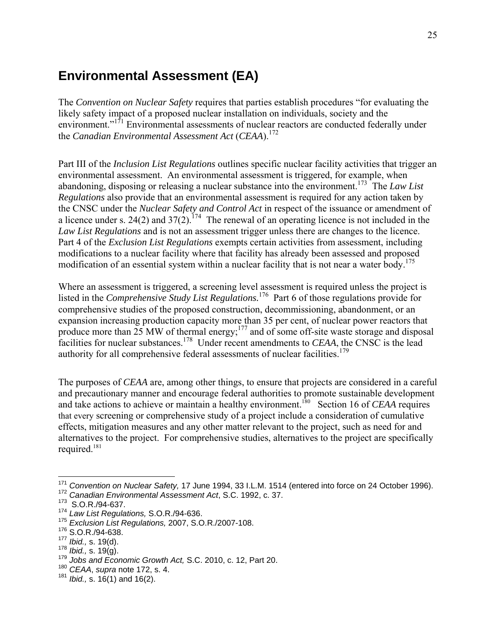# **Environmental Assessment (EA)**

The *Convention on Nuclear Safety* requires that parties establish procedures "for evaluating the likely safety impact of a proposed nuclear installation on individuals, society and the environment."<sup>171</sup> Environmental assessments of nuclear reactors are conducted federally under the *Canadian Environmental Assessment Act* (*CEAA*).172

Part III of the *Inclusion List Regulations* outlines specific nuclear facility activities that trigger an environmental assessment. An environmental assessment is triggered, for example, when abandoning, disposing or releasing a nuclear substance into the environment.173 The *Law List Regulations* also provide that an environmental assessment is required for any action taken by the CNSC under the *Nuclear Safety and Control Act* in respect of the issuance or amendment of a licence under s. 24(2) and  $37(2)$ .<sup>174</sup> The renewal of an operating licence is not included in the *Law List Regulations* and is not an assessment trigger unless there are changes to the licence. Part 4 of the *Exclusion List Regulations* exempts certain activities from assessment, including modifications to a nuclear facility where that facility has already been assessed and proposed modification of an essential system within a nuclear facility that is not near a water body.<sup>175</sup>

Where an assessment is triggered, a screening level assessment is required unless the project is listed in the *Comprehensive Study List Regulations.*<sup>176</sup>Part 6 of those regulations provide for comprehensive studies of the proposed construction, decommissioning, abandonment, or an expansion increasing production capacity more than 35 per cent, of nuclear power reactors that produce more than  $25$  MW of thermal energy;<sup>177</sup> and of some off-site waste storage and disposal facilities for nuclear substances.<sup>178</sup> Under recent amendments to *CEAA*, the CNSC is the lead authority for all comprehensive federal assessments of nuclear facilities.<sup>179</sup>

The purposes of *CEAA* are, among other things, to ensure that projects are considered in a careful and precautionary manner and encourage federal authorities to promote sustainable development and take actions to achieve or maintain a healthy environment.<sup>180</sup> Section 16 of *CEAA* requires that every screening or comprehensive study of a project include a consideration of cumulative effects, mitigation measures and any other matter relevant to the project, such as need for and alternatives to the project. For comprehensive studies, alternatives to the project are specifically required.181

<sup>&</sup>lt;sup>171</sup> *Convention on Nuclear Safety,* 17 June 1994, 33 I.L.M. 1514 (entered into force on 24 October 1996).<br><sup>172</sup> *Canadian Environmental Assessment Act*, S.C. 1992, c. 37.

<sup>172</sup> Canadian Environmental Assessment Act, S.C. 1992, c. 37.<br><sup>173</sup> S.O.R./94-637.

<sup>174</sup> *Law List Regulations,* S.O.R./94-636.

<sup>175</sup> *Exclusion List Regulations,* 2007, S.O.R./2007-108.

 $176$  S.O.R./94-638.<br> $177$  *lbid.*, s. 19(d).

<sup>177</sup> *Ibid.,* s. 19(d). 178 *Ibid.,* s. 19(g). 179 *Jobs and Economic Growth Act,* S.C. 2010, c. 12, Part 20.

<sup>180</sup> *CEAA*, *supra* note 172, s. 4.

<sup>181</sup> *Ibid.,* s. 16(1) and 16(2).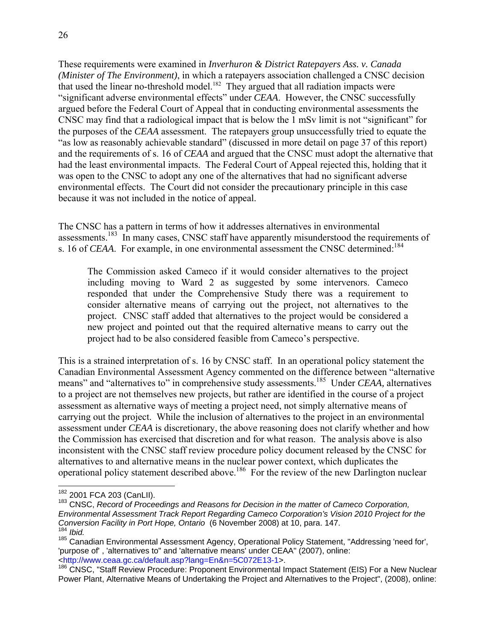These requirements were examined in *Inverhuron & District Ratepayers Ass. v. Canada (Minister of The Environment)*, in which a ratepayers association challenged a CNSC decision that used the linear no-threshold model.<sup>182</sup> They argued that all radiation impacts were "significant adverse environmental effects" under *CEAA*. However, the CNSC successfully argued before the Federal Court of Appeal that in conducting environmental assessments the CNSC may find that a radiological impact that is below the 1 mSv limit is not "significant" for the purposes of the *CEAA* assessment. The ratepayers group unsuccessfully tried to equate the "as low as reasonably achievable standard" (discussed in more detail on page 37 of this report) and the requirements of s. 16 of *CEAA* and argued that the CNSC must adopt the alternative that had the least environmental impacts. The Federal Court of Appeal rejected this, holding that it was open to the CNSC to adopt any one of the alternatives that had no significant adverse environmental effects. The Court did not consider the precautionary principle in this case because it was not included in the notice of appeal.

The CNSC has a pattern in terms of how it addresses alternatives in environmental assessments.<sup>183</sup> In many cases, CNSC staff have apparently misunderstood the requirements of s. 16 of *CEAA*. For example, in one environmental assessment the CNSC determined:<sup>184</sup>

The Commission asked Cameco if it would consider alternatives to the project including moving to Ward 2 as suggested by some intervenors. Cameco responded that under the Comprehensive Study there was a requirement to consider alternative means of carrying out the project, not alternatives to the project. CNSC staff added that alternatives to the project would be considered a new project and pointed out that the required alternative means to carry out the project had to be also considered feasible from Cameco's perspective.

This is a strained interpretation of s. 16 by CNSC staff. In an operational policy statement the Canadian Environmental Assessment Agency commented on the difference between "alternative means" and "alternatives to" in comprehensive study assessments.<sup>185</sup> Under *CEAA*, alternatives to a project are not themselves new projects, but rather are identified in the course of a project assessment as alternative ways of meeting a project need, not simply alternative means of carrying out the project. While the inclusion of alternatives to the project in an environmental assessment under *CEAA* is discretionary, the above reasoning does not clarify whether and how the Commission has exercised that discretion and for what reason. The analysis above is also inconsistent with the CNSC staff review procedure policy document released by the CNSC for alternatives to and alternative means in the nuclear power context, which duplicates the operational policy statement described above.<sup>186</sup> For the review of the new Darlington nuclear

<sup>&</sup>lt;sup>182</sup> 2001 FCA 203 (CanLII).

<sup>&</sup>lt;sup>183</sup> CNSC, *Record of Proceedings and Reasons for Decision in the matter of Cameco Corporation, Environmental Assessment Track Report Regarding Cameco Corporation's Vision 2010 Project for the* 

<sup>&</sup>lt;sup>184</sup> Ibid.<br><sup>185</sup> Canadian Environmental Assessment Agency, Operational Policy Statement, "Addressing 'need for', 'purpose of' , 'alternatives to" and 'alternative means' under CEAA" (2007), online: <http://www.ceaa.gc.ca/default.asp?lang=En&n=5C072E13-1>.

<sup>186</sup> CNSC, "Staff Review Procedure: Proponent Environmental Impact Statement (EIS) For a New Nuclear Power Plant, Alternative Means of Undertaking the Project and Alternatives to the Project", (2008), online: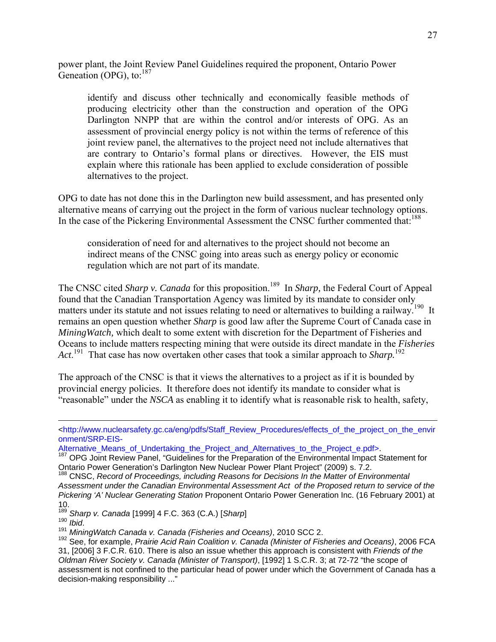power plant, the Joint Review Panel Guidelines required the proponent, Ontario Power Geneation (OPG), to:<sup>187</sup>

identify and discuss other technically and economically feasible methods of producing electricity other than the construction and operation of the OPG Darlington NNPP that are within the control and/or interests of OPG. As an assessment of provincial energy policy is not within the terms of reference of this joint review panel, the alternatives to the project need not include alternatives that are contrary to Ontario's formal plans or directives. However, the EIS must explain where this rationale has been applied to exclude consideration of possible alternatives to the project.

OPG to date has not done this in the Darlington new build assessment, and has presented only alternative means of carrying out the project in the form of various nuclear technology options. In the case of the Pickering Environmental Assessment the CNSC further commented that:<sup>188</sup>

consideration of need for and alternatives to the project should not become an indirect means of the CNSC going into areas such as energy policy or economic regulation which are not part of its mandate.

The CNSC cited *Sharp v. Canada* for this proposition.<sup>189</sup> In *Sharp*, the Federal Court of Appeal found that the Canadian Transportation Agency was limited by its mandate to consider only matters under its statute and not issues relating to need or alternatives to building a railway.<sup>190</sup> It remains an open question whether *Sharp* is good law after the Supreme Court of Canada case in *MiningWatch,* which dealt to some extent with discretion for the Department of Fisheries and Oceans to include matters respecting mining that were outside its direct mandate in the *Fisheries Act*. 191 That case has now overtaken other cases that took a similar approach to *Sharp.*<sup>192</sup>

The approach of the CNSC is that it views the alternatives to a project as if it is bounded by provincial energy policies. It therefore does not identify its mandate to consider what is "reasonable" under the *NSCA* as enabling it to identify what is reasonable risk to health, safety,

<sup>&</sup>lt;http://www.nuclearsafety.gc.ca/eng/pdfs/Staff\_Review\_Procedures/effects\_of\_the\_project\_on\_the\_envir onment/SRP-EIS-

Alternative\_Means\_of\_Undertaking\_the\_Project\_and\_Alternatives\_to\_the\_Project\_e.pdf>.<br><sup>187</sup> OPG Joint Review Panel, "Guidelines for the Preparation of the Environmental Impact Statement for Ontario Power Generation's Darlington New Nuclear Power Plant Project" (2009) s. 7.2.

<sup>&</sup>lt;sup>188</sup> CNSC, *Record of Proceedings, including Reasons for Decisions In the Matter of Environmental Assessment under the Canadian Environmental Assessment Act of the Proposed return to service of the Pickering 'A' Nuclear Generating Station* Proponent Ontario Power Generation Inc. (16 February 2001) at

<sup>10.&</sup>lt;br><sup>189</sup> Sharp v. Canada [1999] 4 F.C. 363 (C.A.) [Sharp]

<sup>189</sup> *Sharp v. Canada* [1999] 4 F.C. 363 (C.A.) [*Sharp*] 190 *Ibid*. 191 *MiningWatch Canada v. Canada (Fisheries and Oceans)*, 2010 SCC 2.

<sup>192</sup> See, for example, *Prairie Acid Rain Coalition v. Canada (Minister of Fisheries and Oceans)*, 2006 FCA 31, [2006] 3 F.C.R. 610. There is also an issue whether this approach is consistent with *Friends of the Oldman River Society v. Canada (Minister of Transport)*, [1992] 1 S.C.R. 3; at 72-72 "the scope of assessment is not confined to the particular head of power under which the Government of Canada has a decision-making responsibility ..."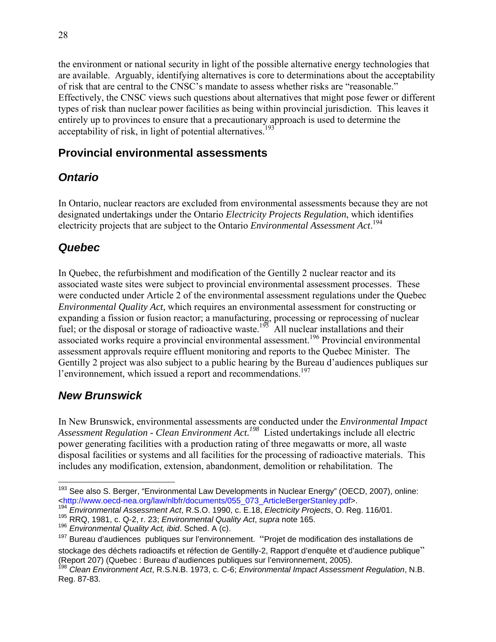the environment or national security in light of the possible alternative energy technologies that are available. Arguably, identifying alternatives is core to determinations about the acceptability of risk that are central to the CNSC's mandate to assess whether risks are "reasonable." Effectively, the CNSC views such questions about alternatives that might pose fewer or different types of risk than nuclear power facilities as being within provincial jurisdiction. This leaves it entirely up to provinces to ensure that a precautionary approach is used to determine the acceptability of risk, in light of potential alternatives.<sup>193</sup>

### **Provincial environmental assessments**

### *Ontario*

In Ontario, nuclear reactors are excluded from environmental assessments because they are not designated undertakings under the Ontario *Electricity Projects Regulation*, which identifies electricity projects that are subject to the Ontario *Environmental Assessment Act*. 194

### *Quebec*

In Quebec, the refurbishment and modification of the Gentilly 2 nuclear reactor and its associated waste sites were subject to provincial environmental assessment processes. These were conducted under Article 2 of the environmental assessment regulations under the Quebec *Environmental Quality Act,* which requires an environmental assessment for constructing or expanding a fission or fusion reactor; a manufacturing, processing or reprocessing of nuclear fuel; or the disposal or storage of radioactive waste.<sup>195</sup> All nuclear installations and their associated works require a provincial environmental assessment.<sup>196</sup> Provincial environmental assessment approvals require effluent monitoring and reports to the Quebec Minister. The Gentilly 2 project was also subject to a public hearing by the Bureau d'audiences publiques sur l'environnement, which issued a report and recommendations.<sup>197</sup>

### *New Brunswick*

In New Brunswick, environmental assessments are conducted under the *Environmental Impact Assessment Regulation - Clean Environment Act.198* Listed undertakings include all electric power generating facilities with a production rating of three megawatts or more, all waste disposal facilities or systems and all facilities for the processing of radioactive materials. This includes any modification, extension, abandonment, demolition or rehabilitation. The

 $\overline{\phantom{a}}$ <sup>193</sup> See also S. Berger, "Environmental Law Developments in Nuclear Energy" (OECD, 2007), online: <http://www.oecd-nea.org/law/nlbfr/documents/055\_073\_ArticleBergerStanley.pdf>.

<sup>&</sup>lt;sup>194</sup> *Environmental Assessment Act*, R.S.O. 1990, c. E.18, *Electricity Projects*, O. Reg. 116/01.<br><sup>195</sup> RRQ, 1981, c. Q-2, r. 23; *Environmental Quality Act*, *supra* note 165.

<sup>195</sup> Environmental *Russochnomental Quality Act*, *supra* note 165.<br><sup>196</sup> Environmental Quality Act, ibid. Sched. A (c).

<sup>&</sup>lt;sup>197</sup> Bureau d'audiences publiques sur l'environnement. "Projet de modification des installations de stockage des déchets radioactifs et réfection de Gentilly-2, Rapport d'enquête et d'audience publique" (Report 207) (Quebec : Bureau d'audiences publiques sur l'environnement, 2005).

<sup>198</sup> *Clean Environment Act*, R.S.N.B. 1973, c. C-6; *Environmental Impact Assessment Regulation*, N.B. Reg. 87-83.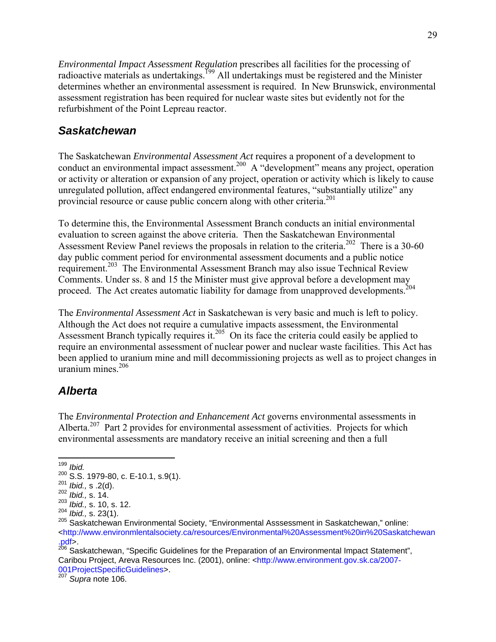*Environmental Impact Assessment Regulation* prescribes all facilities for the processing of radioactive materials as undertakings.<sup>199</sup> All undertakings must be registered and the Minister determines whether an environmental assessment is required. In New Brunswick, environmental assessment registration has been required for nuclear waste sites but evidently not for the refurbishment of the Point Lepreau reactor.

#### *Saskatchewan*

The Saskatchewan *Environmental Assessment Act* requires a proponent of a development to conduct an environmental impact assessment.<sup>200</sup> A "development" means any project, operation or activity or alteration or expansion of any project, operation or activity which is likely to cause unregulated pollution, affect endangered environmental features, "substantially utilize" any provincial resource or cause public concern along with other criteria.<sup>201</sup>

To determine this, the Environmental Assessment Branch conducts an initial environmental evaluation to screen against the above criteria. Then the Saskatchewan Environmental Assessment Review Panel reviews the proposals in relation to the criteria.<sup>202</sup> There is a 30-60 day public comment period for environmental assessment documents and a public notice requirement.203 The Environmental Assessment Branch may also issue Technical Review Comments. Under ss. 8 and 15 the Minister must give approval before a development may proceed. The Act creates automatic liability for damage from unapproved developments.<sup>204</sup>

The *Environmental Assessment Act* in Saskatchewan is very basic and much is left to policy. Although the Act does not require a cumulative impacts assessment, the Environmental Assessment Branch typically requires it.<sup>205</sup> On its face the criteria could easily be applied to require an environmental assessment of nuclear power and nuclear waste facilities. This Act has been applied to uranium mine and mill decommissioning projects as well as to project changes in uranium mines $206$ 

#### *Alberta*

The *Environmental Protection and Enhancement Act* governs environmental assessments in Alberta.<sup>207</sup> Part 2 provides for environmental assessment of activities. Projects for which environmental assessments are mandatory receive an initial screening and then a full

<sup>206</sup> Saskatchewan, "Specific Guidelines for the Preparation of an Environmental Impact Statement", Caribou Project, Areva Resources Inc. (2001), online: <http://www.environment.gov.sk.ca/2007- 001ProjectSpecificGuidelines>.

<sup>207</sup> *Supra* note 106.

<sup>1</sup> <sup>199</sup> *Ibid.*

<sup>200</sup> S.S. 1979-80, c. E-10.1, s.9(1). 201 *Ibid.,* s .2(d). 202 *Ibid.,* s. 14.

<sup>&</sup>lt;sup>203</sup> *Ibid.*, s. 10, s. 12.<br><sup>204</sup> *Ibid.*, s. 23(1).

<sup>204</sup> *Ibid.,* s. 23(1). 205 Saskatchewan Environmental Society, "Environmental Asssessment in Saskatchewan," online: <http://www.environmlentalsociety.ca/resources/Environmental%20Assessment%20in%20Saskatchewan .pdf>.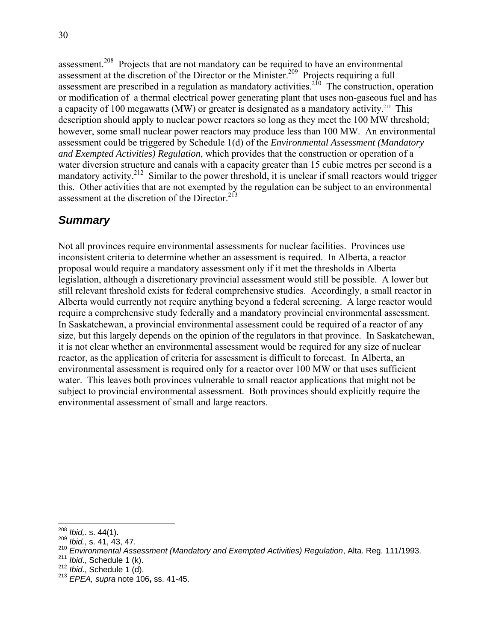30

assessment.<sup>208</sup> Projects that are not mandatory can be required to have an environmental assessment at the discretion of the Director or the Minister.<sup>209</sup> Projects requiring a full assessment are prescribed in a regulation as mandatory activities.<sup>210</sup> The construction, operation or modification of a thermal electrical power generating plant that uses non-gaseous fuel and has a capacity of 100 megawatts (MW) or greater is designated as a mandatory activity.<sup>211</sup> This description should apply to nuclear power reactors so long as they meet the 100 MW threshold; however, some small nuclear power reactors may produce less than 100 MW. An environmental assessment could be triggered by Schedule 1(d) of the *Environmental Assessment (Mandatory and Exempted Activities) Regulation*, which provides that the construction or operation of a water diversion structure and canals with a capacity greater than 15 cubic metres per second is a mandatory activity.<sup>212</sup> Similar to the power threshold, it is unclear if small reactors would trigger this. Other activities that are not exempted by the regulation can be subject to an environmental assessment at the discretion of the Director.<sup>213</sup>

## *Summary*

Not all provinces require environmental assessments for nuclear facilities. Provinces use inconsistent criteria to determine whether an assessment is required. In Alberta, a reactor proposal would require a mandatory assessment only if it met the thresholds in Alberta legislation, although a discretionary provincial assessment would still be possible. A lower but still relevant threshold exists for federal comprehensive studies. Accordingly, a small reactor in Alberta would currently not require anything beyond a federal screening. A large reactor would require a comprehensive study federally and a mandatory provincial environmental assessment. In Saskatchewan, a provincial environmental assessment could be required of a reactor of any size, but this largely depends on the opinion of the regulators in that province. In Saskatchewan, it is not clear whether an environmental assessment would be required for any size of nuclear reactor, as the application of criteria for assessment is difficult to forecast. In Alberta, an environmental assessment is required only for a reactor over 100 MW or that uses sufficient water. This leaves both provinces vulnerable to small reactor applications that might not be subject to provincial environmental assessment. Both provinces should explicitly require the environmental assessment of small and large reactors.

 $208$  Ibid,. s. 44(1).

<sup>&</sup>lt;sup>209</sup> *Ibid.*, s. 41, 43, 47.

<sup>210</sup> *Environmental Assessment (Mandatory and Exempted Activities) Regulation*, Alta. Reg. 111/1993.<br>
<sup>211</sup> *Ibid.*, Schedule 1 (k).<br>
<sup>212</sup> *Ibid.*, Schedule 1 (d). 213 *EPEA, supra* note 106, ss. 41-45.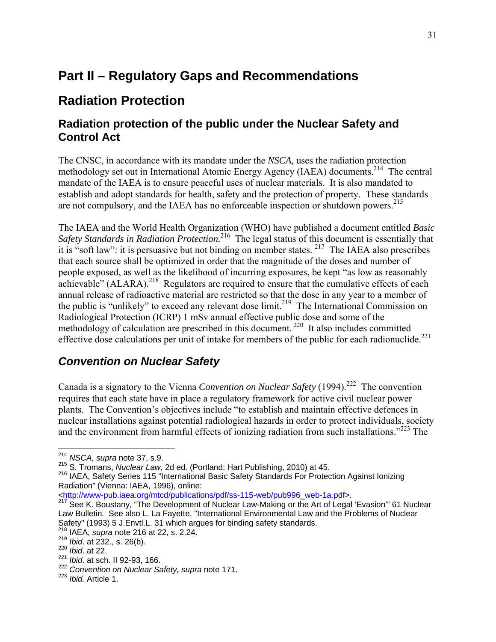## **Part II – Regulatory Gaps and Recommendations**

## **Radiation Protection**

### **Radiation protection of the public under the Nuclear Safety and Control Act**

The CNSC, in accordance with its mandate under the *NSCA,* uses the radiation protection methodology set out in International Atomic Energy Agency (IAEA) documents.214The central mandate of the IAEA is to ensure peaceful uses of nuclear materials. It is also mandated to establish and adopt standards for health, safety and the protection of property. These standards are not compulsory, and the IAEA has no enforceable inspection or shutdown powers.<sup>215</sup>

The IAEA and the World Health Organization (WHO) have published a document entitled *Basic Safety Standards in Radiation Protection.*216 The legal status of this document is essentially that it is "soft law": it is persuasive but not binding on member states. 217 The IAEA also prescribes that each source shall be optimized in order that the magnitude of the doses and number of people exposed, as well as the likelihood of incurring exposures, be kept "as low as reasonably achievable" ( $\Lambda$ LARA).<sup>218</sup> Regulators are required to ensure that the cumulative effects of each annual release of radioactive material are restricted so that the dose in any year to a member of the public is "unlikely" to exceed any relevant dose  $\lim_{x \to 0} t^{2}$  The International Commission on Radiological Protection (ICRP) 1 mSv annual effective public dose and some of the methodology of calculation are prescribed in this document.<sup>220</sup> It also includes committed effective dose calculations per unit of intake for members of the public for each radionuclide.<sup>221</sup>

#### *Convention on Nuclear Safety*

Canada is a signatory to the Vienna *Convention on Nuclear Safety* (1994).<sup>222</sup> The convention requires that each state have in place a regulatory framework for active civil nuclear power plants. The Convention's objectives include "to establish and maintain effective defences in nuclear installations against potential radiological hazards in order to protect individuals, society and the environment from harmful effects of ionizing radiation from such installations."<sup>223</sup> The

<http://www-pub.iaea.org/mtcd/publications/pdf/ss-115-web/pub996\_web-1a.pdf>.

<sup>1</sup> <sup>214</sup> *NSCA, supra* note 37, s.9.

<sup>215</sup> S. Tromans, *Nuclear Law, 2*d ed. (Portland: Hart Publishing, 2010) at 45.<br><sup>216</sup> IAEA, Safety Series 115 "International Basic Safety Standards For Protection Against Ionizing Radiation" (Vienna: IAEA, 1996), online:

<sup>&</sup>lt;sup>217</sup> See K. Boustany, "The Development of Nuclear Law-Making or the Art of Legal 'Evasion'" 61 Nuclear Law Bulletin*.* See also L. La Fayette, "International Environmental Law and the Problems of Nuclear Safety" (1993) 5 J.Envtl.L. 31 which argues for binding safety standards.

<sup>218</sup> IAEA, *supra* note 216 at 22, s. 2.24.

<sup>219</sup> *Ibid*. at 232., s. 26(b). 220 *Ibid*. at 22.

<sup>221</sup> *Ibid*. at sch. II 92-93, 166.

<sup>222</sup> *Convention on Nuclear Safety, supra* note 171.

<sup>223</sup> *Ibid.* Article 1.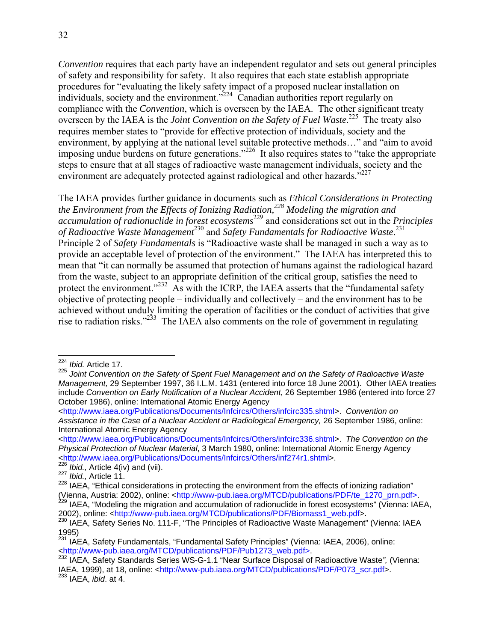*Convention* requires that each party have an independent regulator and sets out general principles of safety and responsibility for safety. It also requires that each state establish appropriate procedures for "evaluating the likely safety impact of a proposed nuclear installation on individuals, society and the environment."<sup>224</sup> Canadian authorities report regularly on compliance with the *Convention*, which is overseen by the IAEA. The other significant treaty overseen by the IAEA is the *Joint Convention on the Safety of Fuel Waste*. 225 The treaty also requires member states to "provide for effective protection of individuals, society and the environment, by applying at the national level suitable protective methods…" and "aim to avoid imposing undue burdens on future generations."<sup>226</sup> It also requires states to "take the appropriate steps to ensure that at all stages of radioactive waste management individuals, society and the environment are adequately protected against radiological and other hazards."<sup>227</sup>

The IAEA provides further guidance in documents such as *Ethical Considerations in Protecting the Environment from the Effects of Ionizing Radiation,228 Modeling the migration and accumulation of radionuclide in forest ecosystems*229 and considerations set out in the *Principles of Radioactive Waste Management*230 and *Safety Fundamentals for Radioactive Waste*. 231 Principle 2 of *Safety Fundamentals* is "Radioactive waste shall be managed in such a way as to provide an acceptable level of protection of the environment." The IAEA has interpreted this to mean that "it can normally be assumed that protection of humans against the radiological hazard from the waste, subject to an appropriate definition of the critical group, satisfies the need to protect the environment."<sup>232</sup> As with the ICRP, the IAEA asserts that the "fundamental safety objective of protecting people – individually and collectively – and the environment has to be achieved without unduly limiting the operation of facilities or the conduct of activities that give rise to radiation risks."<sup>233</sup> The IAEA also comments on the role of government in regulating

<sup>224</sup> *Ibid.* Article 17.

<sup>225</sup> *Joint Convention on the Safety of Spent Fuel Management and on the Safety of Radioactive Waste Management,* 29 September 1997, 36 I.L.M. 1431 (entered into force 18 June 2001). Other IAEA treaties include *Convention on Early Notification of a Nuclear Accident*, 26 September 1986 (entered into force 27 October 1986), online: International Atomic Energy Agency

<sup>&</sup>lt;http://www.iaea.org/Publications/Documents/Infcircs/Others/infcirc335.shtml>. *Convention on Assistance in the Case of a Nuclear Accident or Radiological Emergency,* 26 September 1986, online: International Atomic Energy Agency

<sup>&</sup>lt;http://www.iaea.org/Publications/Documents/Infcircs/Others/infcirc336.shtml>. *The Convention on the Physical Protection of Nuclear Material*, 3 March 1980, online: International Atomic Energy Agency <http://www.iaea.org/Publications/Documents/Infcircs/Others/inf274r1.shtml>.

<sup>&</sup>lt;sup>226</sup> *Ibid.,* Article 4(iv) and (vii).<br><sup>227</sup> *Ibid.,* Article 11.

 $\frac{227}{100}$  Ibid., Article 11.<br>  $\frac{228}{100}$  IAEA, "Ethical considerations in protecting the environment from the effects of ionizing radiation" (Vienna, Austria: 2002), online: <http://www-pub.iaea.org/MTCD/publications/PDF/te\_1270\_prn.pdf>.<br><sup>229</sup> IAEA, "Modeling the migration and accumulation of radionuclide in forest ecosystems" (Vienna: IAEA,

<sup>2002),</sup> online: <http://www-pub.iaea.org/MTCD/publications/PDF/Biomass1\_web.pdf>.

<sup>&</sup>lt;sup>230</sup> IAEA, Safety Series No. 111-F, "The Principles of Radioactive Waste Management" (Vienna: IAEA 1995)

<sup>231</sup> IAEA, Safety Fundamentals, "Fundamental Safety Principles" (Vienna: IAEA, 2006), online: <http://www-pub.iaea.org/MTCD/publications/PDF/Pub1273\_web.pdf>. 232 IAEA, Safety Standards Series WS-G-1.1 "Near Surface Disposal of Radioactive Waste*",* (Vienna:

IAEA, 1999), at 18, online: <http://www-pub.iaea.org/MTCD/publications/PDF/P073\_scr.pdf>. 233 IAEA, *ibid*. at 4.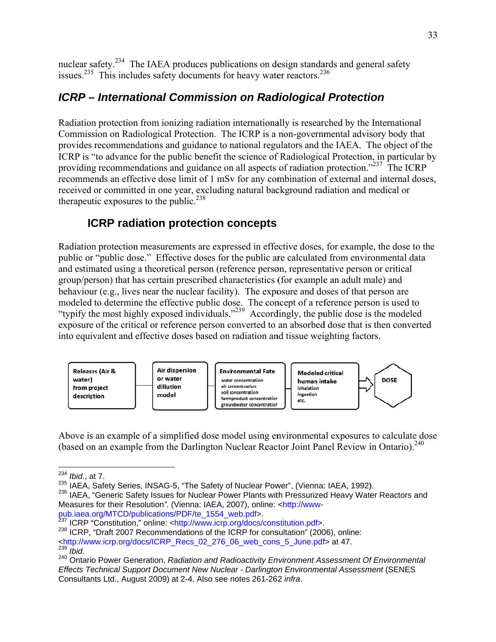nuclear safety.<sup>234</sup> The IAEA produces publications on design standards and general safety issues.<sup>235</sup> This includes safety documents for heavy water reactors.<sup>236</sup>

## *ICRP* – International Commission on Radiological Protection

Radiation protection from ionizing radiation internationally is researched by the International Commission on Radiological Protection. The ICRP is a non-governmental advisory body that provides recommendations and guidance to national regulators and the IAEA. The object of the ICRP is "to advance for the public benefit the science of Radiological Protection, in particular by providing recommendations and guidance on all aspects of radiation protection."<sup>237</sup> The ICRP recommends an effective dose limit of 1 mSv for any combination of external and internal doses, received or committed in one year, excluding natural background radiation and medical or therapeutic exposures to the public.<sup>238</sup>

#### **ICRP** radiation protection concepts

Radiation protection measurements are expressed in effective doses, for example, the dose to the public or "public dose." Effective doses for the public are calculated from environmental data and estimated using a theoretical person (reference person, representative person or critical group/person) that has certain prescribed characteristics (for example an adult male) and behaviour (e.g., lives near the nuclear facility). The exposure and doses of that person are modeled to determine the effective public dose. The concept of a reference person is used to modeled to determine the effective public dose. The concept of a reference person is used to "typify the most highly exposed individuals."<sup>239</sup> Accordingly, the public dose is the modeled exposure of the critical or reference person converted to an absorbed dose that is then converted into equivalent and effective doses based on radiation and tissue weighting factors.



Above is an example of a simplified dose model using environmental exposures to calculate dose (based on an example from the Darlington Nuclear Reactor Joint Panel Review in Ontario).<sup>240</sup>

 $\overline{a}$ <sup>234</sup> *Ibid.*, a  $\overline{a}$ at 7.

<sup>&</sup>lt;sup>235</sup> IAEA, Safety Series, INSAG-5, "The Safety of Nuclear Power", (Vienna: IAEA, 1992).

<sup>&</sup>lt;sup>236</sup> IAEA, "Generic Safety Issues for Nuclear Power Plants with Pressurized Heavy Water Reactors and Measures for their Resolution". (Vienna: IAEA, 2007), online: <http://www-

pub.iaea.org/MTCD/publications/PDF/te\_1554\_web.pdf>.

<sup>&</sup>quot;Constitution," online: <http://www.icrp.org/docs/constitution.pdf>.

<sup>&</sup>lt;sup>237</sup> ICRP "Constitution," online: <http://www.icrp.org/docs/constitution.pdf>.<br><sup>238</sup> ICRP, "Draft 2007 Recommendations of the ICRP for consultation" (2006), online:

<sup>&</sup>lt;http://www.icrp.org/docs/ICRP\_Recs\_02\_276\_06\_web\_cons\_5\_June.pdf> at 47.

<sup>&</sup>lt;sup>239</sup> *İbid.*<br><sup>240</sup> Ontario Power Generation, *Radiation and Radioactivity Environment Assessment Of Environmental Effects Technical Support Document New Nuclear - Darlington Environmental Assessment (SENES* Consultants Ltd., August 2009) at 2-4. Also see notes 261-262 infra.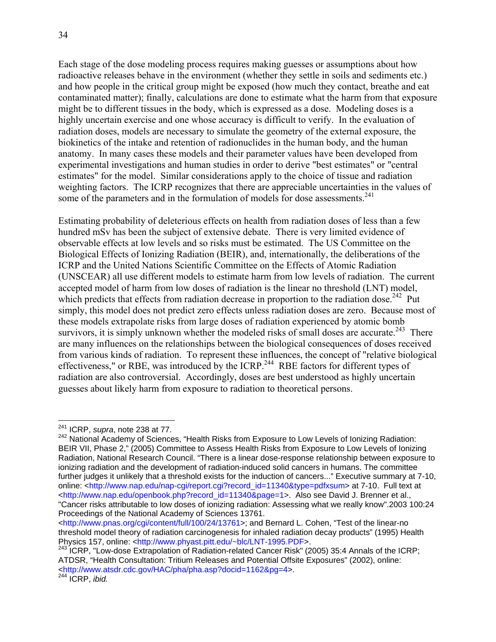Each stage of the dose modeling process requires making guesses or assumptions about how radioactive releases behave in the environment (whether they settle in soils and sediments etc.) and how people in the critical group might be exposed (how much they contact, breathe and eat contaminated matter); finally, calculations are done to estimate what the harm from that exposure might be to different tissues in the body, which is expressed as a dose. Modeling doses is a highly uncertain exercise and one whose accuracy is difficult to verify. In the evaluation of radiation doses, models are necessary to simulate the geometry of the external exposure, the biokinetics of the intake and retention of radionuclides in the human body, and the human anatomy. In many cases these models and their parameter values have been developed from experimental investigations and human studies in order to derive "best estimates" or "central estimates" for the model. Similar considerations apply to the choice of tissue and radiation weighting factors. The ICRP recognizes that there are appreciable uncertainties in the values of some of the parameters and in the formulation of models for dose assessments.<sup>241</sup>

Estimating probability of deleterious effects on health from radiation doses of less than a few hundred mSv has been the subject of extensive debate. There is very limited evidence of observable effects at low levels and so risks must be estimated. The US Committee on the Biological Effects of Ionizing Radiation (BEIR), and, internationally, the deliberations of the ICRP and the United Nations Scientific Committee on the Effects of Atomic Radiation (UNSCEAR) all use different models to estimate harm from low levels of radiation. The current accepted model of harm from low doses of radiation is the linear no threshold (LNT) model, which predicts that effects from radiation decrease in proportion to the radiation dose.<sup>242</sup> Put simply, this model does not predict zero effects unless radiation doses are zero. Because most of these models extrapolate risks from large doses of radiation experienced by atomic bomb survivors, it is simply unknown whether the modeled risks of small doses are accurate.<sup>243</sup> There are many influences on the relationships between the biological consequences of doses received from various kinds of radiation. To represent these influences, the concept of "relative biological effectiveness," or RBE, was introduced by the ICRP.<sup>244</sup> RBE factors for different types of radiation are also controversial. Accordingly, doses are best understood as highly uncertain guesses about likely harm from exposure to radiation to theoretical persons.

<sup>241</sup> ICRP, *supra*, note 238 at 77.

<sup>&</sup>lt;sup>242</sup> National Academy of Sciences, "Health Risks from Exposure to Low Levels of Ionizing Radiation: BEIR VII, Phase 2," (2005) Committee to Assess Health Risks from Exposure to Low Levels of Ionizing Radiation, National Research Council. "There is a linear dose-response relationship between exposure to ionizing radiation and the development of radiation-induced solid cancers in humans. The committee further judges it unlikely that a threshold exists for the induction of cancers..." Executive summary at 7-10, online: <http://www.nap.edu/nap-cgi/report.cgi?record\_id=11340&type=pdfxsum> at 7-10. Full text at <http://www.nap.edu/openbook.php?record\_id=11340&page=1>. Also see David J. Brenner et al., "Cancer risks attributable to low doses of ionizing radiation: Assessing what we really know".2003 100:24 Proceedings of the National Academy of Sciences 13761.

<sup>&</sup>lt;http://www.pnas.org/cgi/content/full/100/24/13761>; and Bernard L. Cohen, "Test of the linear-no threshold model theory of radiation carcinogenesis for inhaled radiation decay products" (1995) Health Physics 157, online: <http://www.phyast.pitt.edu/~blc/LNT-1995.PDF>.

 $243$  ICRP, "Low-dose Extrapolation of Radiation-related Cancer Risk" (2005) 35:4 Annals of the ICRP; ATDSR, "Health Consultation: Tritium Releases and Potential Offsite Exposures" (2002), online: <http://www.atsdr.cdc.gov/HAC/pha/pha.asp?docid=1162&pg=4>.

<sup>244</sup> ICRP, *ibid.*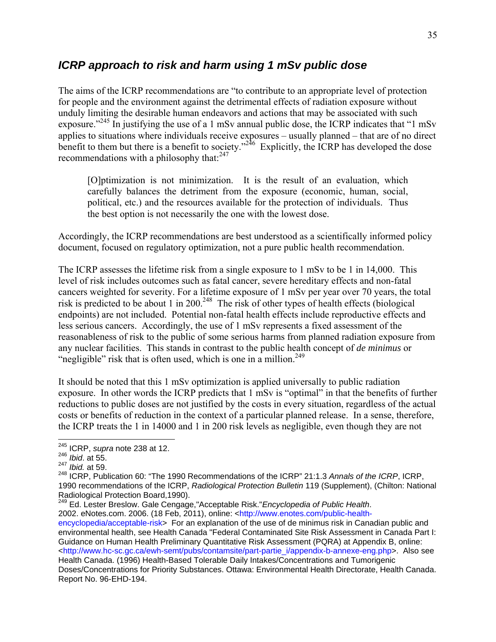#### *ICRP approach to risk and harm using 1 mSv public dose*

The aims of the ICRP recommendations are "to contribute to an appropriate level of protection for people and the environment against the detrimental effects of radiation exposure without unduly limiting the desirable human endeavors and actions that may be associated with such exposure."245 In justifying the use of a 1 mSv annual public dose, the ICRP indicates that "1 mSv applies to situations where individuals receive exposures – usually planned – that are of no direct benefit to them but there is a benefit to society."<sup>246</sup> Explicitly, the ICRP has developed the dose recommendations with a philosophy that: $247$ 

[O]ptimization is not minimization. It is the result of an evaluation, which carefully balances the detriment from the exposure (economic, human, social, political, etc.) and the resources available for the protection of individuals. Thus the best option is not necessarily the one with the lowest dose.

Accordingly, the ICRP recommendations are best understood as a scientifically informed policy document, focused on regulatory optimization, not a pure public health recommendation.

The ICRP assesses the lifetime risk from a single exposure to 1 mSv to be 1 in 14,000. This level of risk includes outcomes such as fatal cancer, severe hereditary effects and non-fatal cancers weighted for severity. For a lifetime exposure of 1 mSv per year over 70 years, the total risk is predicted to be about 1 in 200.<sup>248</sup> The risk of other types of health effects (biological endpoints) are not included. Potential non-fatal health effects include reproductive effects and less serious cancers. Accordingly, the use of 1 mSv represents a fixed assessment of the reasonableness of risk to the public of some serious harms from planned radiation exposure from any nuclear facilities. This stands in contrast to the public health concept of *de minimus* or "negligible" risk that is often used, which is one in a million. $249$ 

It should be noted that this 1 mSv optimization is applied universally to public radiation exposure. In other words the ICRP predicts that 1 mSv is "optimal" in that the benefits of further reductions to public doses are not justified by the costs in every situation, regardless of the actual costs or benefits of reduction in the context of a particular planned release. In a sense, therefore, the ICRP treats the 1 in 14000 and 1 in 200 risk levels as negligible, even though they are not

 $\overline{a}$ 

249 Ed. Lester Breslow. Gale Cengage,"Acceptable Risk."*Encyclopedia of Public Health*.

2002. eNotes.com. 2006. (18 Feb, 2011), online: <http://www.enotes.com/public-healthencyclopedia/acceptable-risk> For an explanation of the use of de minimus risk in Canadian public and environmental health, see Health Canada "Federal Contaminated Site Risk Assessment in Canada Part I:

Guidance on Human Health Preliminary Quantitative Risk Assessment (PQRA) at Appendix B, online: <http://www.hc-sc.gc.ca/ewh-semt/pubs/contamsite/part-partie\_i/appendix-b-annexe-eng.php>. Also see Health Canada. (1996) Health-Based Tolerable Daily Intakes/Concentrations and Tumorigenic

Doses/Concentrations for Priority Substances. Ottawa: Environmental Health Directorate, Health Canada. Report No. 96-EHD-194.

<sup>245</sup> ICRP, *supra* note 238 at 12.

<sup>246</sup> *Ibid*. at 55.

<sup>247</sup> *Ibid.* at 59.

<sup>248</sup> ICRP, Publication 60: "The 1990 Recommendations of the ICRP" 21:1.3 *Annals of the ICRP*, ICRP, 1990 recommendations of the ICRP, *Radiological Protection Bulletin* 119 (Supplement), (Chilton: National Radiological Protection Board,1990).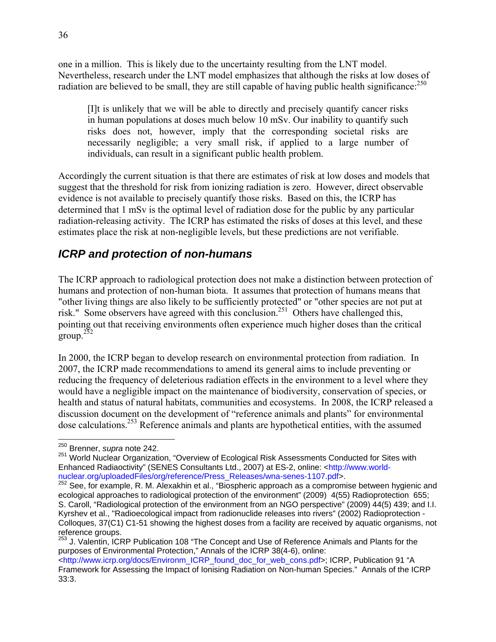one in a million. This is likely due to the uncertainty resulting from the LNT model. Nevertheless, research under the LNT model emphasizes that although the risks at low doses of radiation are believed to be small, they are still capable of having public health significance:<sup>250</sup>

[I]t is unlikely that we will be able to directly and precisely quantify cancer risks in human populations at doses much below 10 mSv. Our inability to quantify such risks does not, however, imply that the corresponding societal risks are necessarily negligible; a very small risk, if applied to a large number of individuals, can result in a significant public health problem.

Accordingly the current situation is that there are estimates of risk at low doses and models that suggest that the threshold for risk from ionizing radiation is zero. However, direct observable evidence is not available to precisely quantify those risks. Based on this, the ICRP has determined that 1 mSv is the optimal level of radiation dose for the public by any particular radiation-releasing activity. The ICRP has estimated the risks of doses at this level, and these estimates place the risk at non-negligible levels, but these predictions are not verifiable.

#### *ICRP and protection of non-humans*

The ICRP approach to radiological protection does not make a distinction between protection of humans and protection of non-human biota. It assumes that protection of humans means that "other living things are also likely to be sufficiently protected" or "other species are not put at risk." Some observers have agreed with this conclusion.251 Others have challenged this, pointing out that receiving environments often experience much higher doses than the critical  $\frac{252}{9}$ 

In 2000, the ICRP began to develop research on environmental protection from radiation. In 2007, the ICRP made recommendations to amend its general aims to include preventing or reducing the frequency of deleterious radiation effects in the environment to a level where they would have a negligible impact on the maintenance of biodiversity, conservation of species, or health and status of natural habitats, communities and ecosystems. In 2008, the ICRP released a discussion document on the development of "reference animals and plants" for environmental dose calculations.253 Reference animals and plants are hypothetical entities, with the assumed

<sup>250</sup> Brenner, *supra* note 242.

<sup>&</sup>lt;sup>251</sup> World Nuclear Organization, "Overview of Ecological Risk Assessments Conducted for Sites with Enhanced Radiaoctivity" (SENES Consultants Ltd., 2007) at ES-2, online: <http://www.worldnuclear.org/uploadedFiles/org/reference/Press\_Releases/wna-senes-1107.pdf>.

<sup>&</sup>lt;sup>252</sup> See, for example, R. M. Alexakhin et al., "Biospheric approach as a compromise between hygienic and ecological approaches to radiological protection of the environment" (2009) 4(55) Radioprotection 655; S. Caroll, "Radiological protection of the environment from an NGO perspective" (2009) 44(5) 439; and I.I. Kyrshev et al., "Radioecological impact from radionuclide releases into rivers" (2002) Radioprotection - Colloques, 37(C1) C1-51 showing the highest doses from a facility are received by aquatic organisms, not reference groups.

<sup>253</sup> J. Valentin, ICRP Publication 108 "The Concept and Use of Reference Animals and Plants for the purposes of Environmental Protection," Annals of the ICRP 38(4-6), online:

<sup>&</sup>lt;http://www.icrp.org/docs/Environm\_ICRP\_found\_doc\_for\_web\_cons.pdf>; ICRP, Publication 91 "A Framework for Assessing the Impact of Ionising Radiation on Non-human Species." Annals of the ICRP 33:3.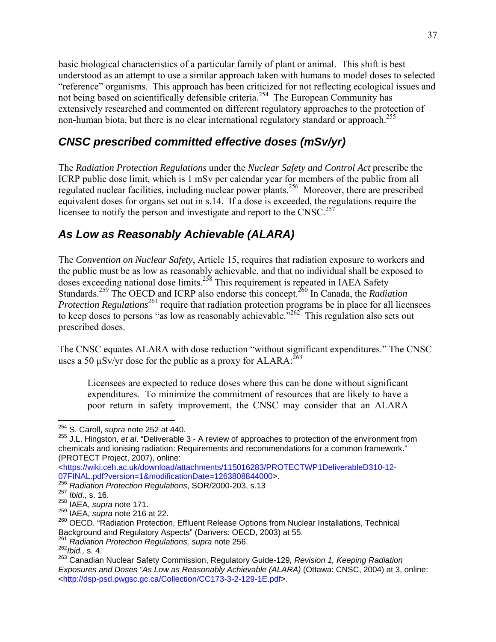basic biological characteristics of a particular family of plant or animal. This shift is best understood as an attempt to use a similar approach taken with humans to model doses to selected "reference" organisms. This approach has been criticized for not reflecting ecological issues and not being based on scientifically defensible criteria.<sup>254</sup> The European Community has extensively researched and commented on different regulatory approaches to the protection of non-human biota, but there is no clear international regulatory standard or approach.<sup>255</sup>

## *CNSC prescribed committed effective doses (mSv/yr)*

The *Radiation Protection Regulations* under the *Nuclear Safety and Control Act* prescribe the ICRP public dose limit, which is 1 mSv per calendar year for members of the public from all regulated nuclear facilities, including nuclear power plants.256 Moreover, there are prescribed equivalent doses for organs set out in s.14. If a dose is exceeded, the regulations require the licensee to notify the person and investigate and report to the CNSC.<sup>257</sup>

## *As Low as Reasonably Achievable (ALARA)*

The *Convention on Nuclear Safety*, Article 15, requires that radiation exposure to workers and the public must be as low as reasonably achievable, and that no individual shall be exposed to doses exceeding national dose limits.<sup>258</sup> This requirement is repeated in IAEA Safety Standards.<sup>259</sup> The OECD and ICRP also endorse this concept.<sup>260</sup> In Canada, the *Radiation Protection Regulations*<sup>261</sup> require that radiation protection programs be in place for all licensees to keep doses to persons "as low as reasonably achievable."262This regulation also sets out prescribed doses.

The CNSC equates ALARA with dose reduction "without significant expenditures." The CNSC uses a 50  $\mu$ Sv/yr dose for the public as a proxy for ALARA:  $^{263}$ 

Licensees are expected to reduce doses where this can be done without significant expenditures. To minimize the commitment of resources that are likely to have a poor return in safety improvement, the CNSC may consider that an ALARA

<sup>254</sup> S. Caroll, *supra* note 252 at 440.

<sup>255</sup> J.L. Hingston, *et al*. "Deliverable 3 - A review of approaches to protection of the environment from chemicals and ionising radiation: Requirements and recommendations for a common framework." (PROTECT Project, 2007), online:

<sup>&</sup>lt;https://wiki.ceh.ac.uk/download/attachments/115016283/PROTECTWP1DeliverableD310-12- 07FINAL.pdf?version=1&modificationDate=1263808844000>.

<sup>256</sup> *Radiation Protection Regulations*, SOR/2000-203, s.13

<sup>257</sup> *Ibid*., s. 16.

<sup>258</sup> IAEA, *supra* note 171.

<sup>259</sup> IAEA, *supra* note 216 at 22.

<sup>260</sup> OECD. "Radiation Protection, Effluent Release Options from Nuclear Installations, Technical<br>Background and Regulatory Aspects" (Danvers: OECD, 2003) at 55.

 $\frac{261}{261}$  Radiation Protection Regulations, supra note 256.

<sup>262</sup>*Ibid.,* s. 4.

<sup>263</sup> Canadian Nuclear Safety Commission, Regulatory Guide-129*, Revision 1, Keeping Radiation Exposures and Doses "As Low as Reasonably Achievable (ALARA)* (Ottawa: CNSC, 2004) at 3, online: <http://dsp-psd.pwgsc.gc.ca/Collection/CC173-3-2-129-1E.pdf>.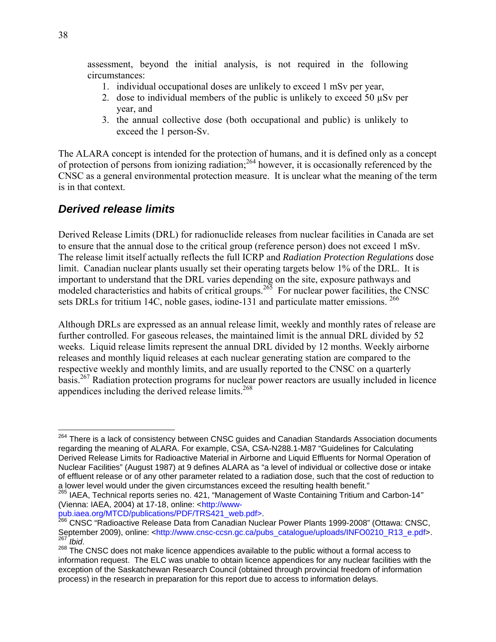assessment, beyond the initial analysis, is not required in the following circumstances:

- 1. individual occupational doses are unlikely to exceed 1 mSv per year,
- 2. dose to individual members of the public is unlikely to exceed 50  $\mu$ Sv per year, and
- 3. the annual collective dose (both occupational and public) is unlikely to exceed the 1 person-Sv.

The ALARA concept is intended for the protection of humans, and it is defined only as a concept of protection of persons from ionizing radiation;264 however, it is occasionally referenced by the CNSC as a general environmental protection measure. It is unclear what the meaning of the term is in that context.

#### *Derived release limits*

Derived Release Limits (DRL) for radionuclide releases from nuclear facilities in Canada are set to ensure that the annual dose to the critical group (reference person) does not exceed 1 mSv. The release limit itself actually reflects the full ICRP and *Radiation Protection Regulations* dose limit. Canadian nuclear plants usually set their operating targets below 1% of the DRL. It is important to understand that the DRL varies depending on the site, exposure pathways and modeled characteristics and habits of critical groups.<sup>265</sup> For nuclear power facilities, the CNSC sets DRLs for tritium 14C, noble gases, iodine-131 and particulate matter emissions. <sup>266</sup>

Although DRLs are expressed as an annual release limit, weekly and monthly rates of release are further controlled. For gaseous releases, the maintained limit is the annual DRL divided by 52 weeks. Liquid release limits represent the annual DRL divided by 12 months. Weekly airborne releases and monthly liquid releases at each nuclear generating station are compared to the respective weekly and monthly limits, and are usually reported to the CNSC on a quarterly basis.267 Radiation protection programs for nuclear power reactors are usually included in licence appendices including the derived release limits.<sup>268</sup>

<sup>&</sup>lt;sup>264</sup> There is a lack of consistency between CNSC guides and Canadian Standards Association documents regarding the meaning of ALARA. For example, CSA, CSA-N288.1-M87 "Guidelines for Calculating Derived Release Limits for Radioactive Material in Airborne and Liquid Effluents for Normal Operation of Nuclear Facilities" (August 1987) at 9 defines ALARA as "a level of individual or collective dose or intake of effluent release or of any other parameter related to a radiation dose, such that the cost of reduction to a lower level would under the given circumstances exceed the resulting health benefit." 265 IAEA, Technical reports series no. 421, "Management of Waste Containing Tritium and Carbon-14*"* 

<sup>(</sup>Vienna: IAEA, 2004) at 17-18, online: <http://www-<br>pub.iaea.org/MTCD/publications/PDF/TRS421\_web.pdf>.

pub.iaea.org/MTCD/publications/PDF/TRS421\_web.pdf>. 266 CNSC "Radioactive Release Data from Canadian Nuclear Power Plants 1999-2008" (Ottawa: CNSC, September 2009), online: <http://www.cnsc-ccsn.gc.ca/pubs\_catalogue/uploads/INFO0210\_R13\_e.pdf>.

<sup>267</sup> *Ibid*. 268 The CNSC does not make licence appendices available to the public without a formal access to information request. The ELC was unable to obtain licence appendices for any nuclear facilities with the exception of the Saskatchewan Research Council (obtained through provincial freedom of information process) in the research in preparation for this report due to access to information delays.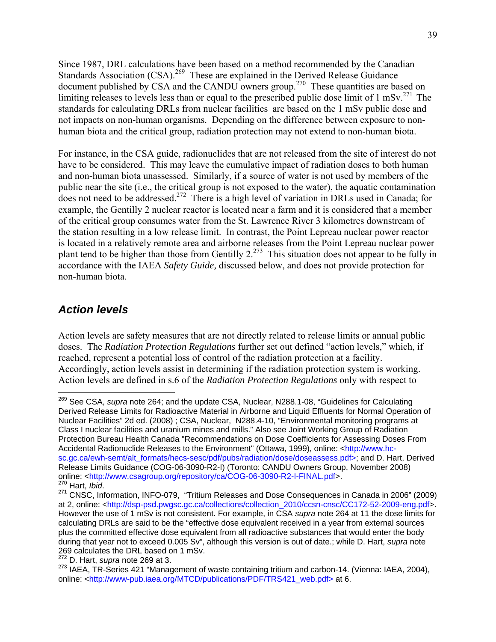Since 1987, DRL calculations have been based on a method recommended by the Canadian Standards Association (CSA).<sup>269</sup> These are explained in the Derived Release Guidance document published by CSA and the CANDU owners group.<sup>270</sup> These quantities are based on limiting releases to levels less than or equal to the prescribed public dose limit of  $1 \text{ mSv}^{271}$ . The standards for calculating DRLs from nuclear facilities are based on the 1 mSv public dose and not impacts on non-human organisms. Depending on the difference between exposure to nonhuman biota and the critical group, radiation protection may not extend to non-human biota.

For instance, in the CSA guide, radionuclides that are not released from the site of interest do not have to be considered. This may leave the cumulative impact of radiation doses to both human and non-human biota unassessed. Similarly, if a source of water is not used by members of the public near the site (i.e., the critical group is not exposed to the water), the aquatic contamination does not need to be addressed.<sup>272</sup> There is a high level of variation in DRLs used in Canada; for example, the Gentilly 2 nuclear reactor is located near a farm and it is considered that a member of the critical group consumes water from the St. Lawrence River 3 kilometres downstream of the station resulting in a low release limit. In contrast, the Point Lepreau nuclear power reactor is located in a relatively remote area and airborne releases from the Point Lepreau nuclear power plant tend to be higher than those from Gentilly  $2^{273}$ . This situation does not appear to be fully in accordance with the IAEA *Safety Guide,* discussed below, and does not provide protection for non-human biota.

#### *Action levels*

 $\overline{a}$ 

Action levels are safety measures that are not directly related to release limits or annual public doses. The *Radiation Protection Regulations* further set out defined "action levels," which, if reached, represent a potential loss of control of the radiation protection at a facility. Accordingly, action levels assist in determining if the radiation protection system is working. Action levels are defined in s.6 of the *Radiation Protection Regulations* only with respect to

<sup>269</sup> See CSA, *supra* note 264; and the update CSA, Nuclear, N288.1-08, "Guidelines for Calculating Derived Release Limits for Radioactive Material in Airborne and Liquid Effluents for Normal Operation of Nuclear Facilities" 2d ed. (2008) ; CSA, Nuclear, N288.4-10, "Environmental monitoring programs at Class I nuclear facilities and uranium mines and mills." Also see Joint Working Group of Radiation Protection Bureau Health Canada "Recommendations on Dose Coefficients for Assessing Doses From Accidental Radionuclide Releases to the Environment" (Ottawa, 1999), online: <http://www.hcsc.gc.ca/ewh-semt/alt\_formats/hecs-sesc/pdf/pubs/radiation/dose/doseassess.pdf>; and D. Hart, Derived Release Limits Guidance (COG-06-3090-R2-I) (Toronto: CANDU Owners Group, November 2008) online: <http://www.csagroup.org/repository/ca/COG-06-3090-R2-I-FINAL.pdf>.<br><sup>270</sup> Hart, *Ibid.* 

<sup>270</sup> Hart, *Ibid*. 271 CNSC, Information, INFO-079, "Tritium Releases and Dose Consequences in Canada in 2006" (2009) at 2, online: <http://dsp-psd.pwgsc.gc.ca/collections/collection\_2010/ccsn-cnsc/CC172-52-2009-eng.pdf>. However the use of 1 mSv is not consistent. For example, in CSA *supra* note 264 at 11 the dose limits for calculating DRLs are said to be the "effective dose equivalent received in a year from external sources plus the committed effective dose equivalent from all radioactive substances that would enter the body during that year not to exceed 0.005 Sv", although this version is out of date.; while D. Hart, *supra* note 269 calculates the DRL based on 1 mSv.

<sup>272</sup> D. Hart, *supra* note 269 at 3.

<sup>&</sup>lt;sup>273</sup> IAEA, TR-Series 421 "Management of waste containing tritium and carbon-14. (Vienna: IAEA, 2004), online: <http://www-pub.iaea.org/MTCD/publications/PDF/TRS421\_web.pdf> at 6.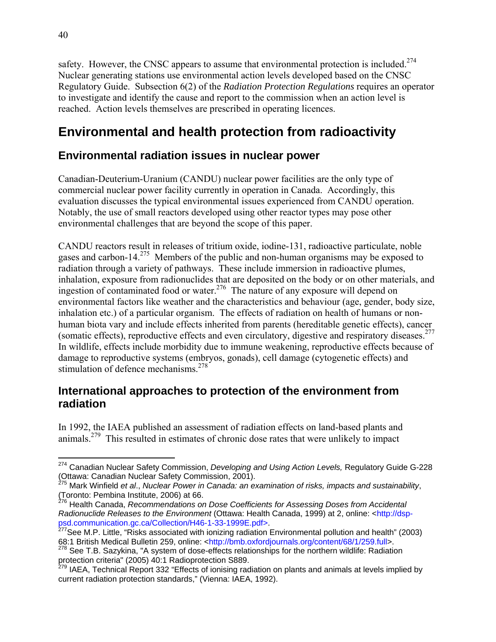safety. However, the CNSC appears to assume that environmental protection is included.<sup>274</sup> Nuclear generating stations use environmental action levels developed based on the CNSC Regulatory Guide. Subsection 6(2) of the *Radiation Protection Regulations* requires an operator to investigate and identify the cause and report to the commission when an action level is reached. Action levels themselves are prescribed in operating licences.

# **Environmental and health protection from radioactivity**

## **Environmental radiation issues in nuclear power**

Canadian-Deuterium-Uranium (CANDU) nuclear power facilities are the only type of commercial nuclear power facility currently in operation in Canada. Accordingly, this evaluation discusses the typical environmental issues experienced from CANDU operation. Notably, the use of small reactors developed using other reactor types may pose other environmental challenges that are beyond the scope of this paper.

CANDU reactors result in releases of tritium oxide, iodine-131, radioactive particulate, noble gases and carbon-14.<sup>275</sup> Members of the public and non-human organisms may be exposed to radiation through a variety of pathways. These include immersion in radioactive plumes, inhalation, exposure from radionuclides that are deposited on the body or on other materials, and ingestion of contaminated food or water.<sup>276</sup> The nature of any exposure will depend on environmental factors like weather and the characteristics and behaviour (age, gender, body size, inhalation etc.) of a particular organism. The effects of radiation on health of humans or nonhuman biota vary and include effects inherited from parents (hereditable genetic effects), cancer (somatic effects), reproductive effects and even circulatory, digestive and respiratory diseases.277 In wildlife, effects include morbidity due to immune weakening, reproductive effects because of damage to reproductive systems (embryos, gonads), cell damage (cytogenetic effects) and stimulation of defence mechanisms.<sup>278</sup>

#### **International approaches to protection of the environment from radiation**

In 1992, the IAEA published an assessment of radiation effects on land-based plants and animals.<sup>279</sup> This resulted in estimates of chronic dose rates that were unlikely to impact

 $\overline{a}$ 274 Canadian Nuclear Safety Commission, *Developing and Using Action Levels,* Regulatory Guide G-228 (Ottawa: Canadian Nuclear Safety Commission, 2001).

<sup>275</sup> Mark Winfield *et al*., *Nuclear Power in Canada: an examination of risks, impacts and sustainability*, (Toronto: Pembina Institute, 2006) at 66.

<sup>276</sup> Health Canada, *Recommendations on Dose Coefficients for Assessing Doses from Accidental Radionuclide Releases to the Environment* (Ottawa: Health Canada, 1999) at 2, online: <http://dsppsd.communication.gc.ca/Collection/H46-1-33-1999E.pdf>.<br><sup>277</sup>See M.P. Little, "Risks associated with ionizing radiation Environmental pollution and health" (2003)

<sup>68:1</sup> British Medical Bulletin 259, online: <http://bmb.oxfordjournals.org/content/68/1/259.full>.

 $278$  See T.B. Sazykina, "A system of dose-effects relationships for the northern wildlife: Radiation protection criteria" (2005) 40:1 Radioprotection S889.

<sup>&</sup>lt;sup>279</sup> IAEA, Technical Report 332 "Effects of ionising radiation on plants and animals at levels implied by current radiation protection standards," (Vienna: IAEA, 1992).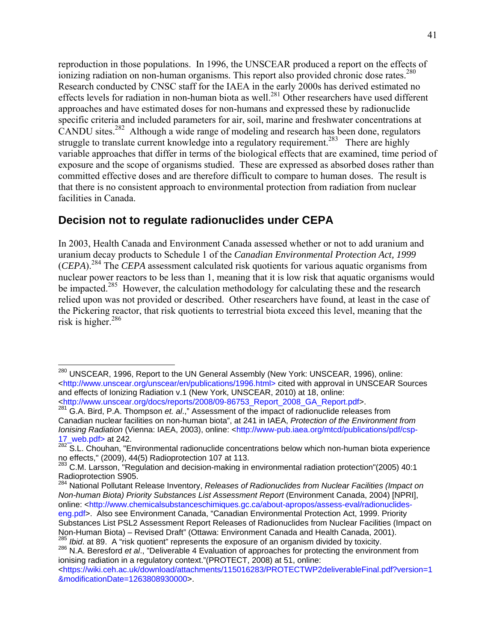reproduction in those populations. In 1996, the UNSCEAR produced a report on the effects of ionizing radiation on non-human organisms. This report also provided chronic dose rates.<sup>280</sup> Research conducted by CNSC staff for the IAEA in the early 2000s has derived estimated no effects levels for radiation in non-human biota as well.<sup>281</sup> Other researchers have used different approaches and have estimated doses for non-humans and expressed these by radionuclide specific criteria and included parameters for air, soil, marine and freshwater concentrations at CANDU sites.<sup>282</sup> Although a wide range of modeling and research has been done, regulators struggle to translate current knowledge into a regulatory requirement.<sup>283</sup> There are highly variable approaches that differ in terms of the biological effects that are examined, time period of exposure and the scope of organisms studied. These are expressed as absorbed doses rather than committed effective doses and are therefore difficult to compare to human doses. The result is that there is no consistent approach to environmental protection from radiation from nuclear facilities in Canada.

#### **Decision not to regulate radionuclides under CEPA**

1

In 2003, Health Canada and Environment Canada assessed whether or not to add uranium and uranium decay products to Schedule 1 of the *Canadian Environmental Protection Act, 1999* (*CEPA*).284 The *CEPA* assessment calculated risk quotients for various aquatic organisms from nuclear power reactors to be less than 1, meaning that it is low risk that aquatic organisms would be impacted.<sup>285</sup> However, the calculation methodology for calculating these and the research relied upon was not provided or described. Other researchers have found, at least in the case of the Pickering reactor, that risk quotients to terrestrial biota exceed this level, meaning that the risk is higher.<sup>286</sup>

<sup>&</sup>lt;sup>280</sup> UNSCEAR, 1996, Report to the UN General Assembly (New York: UNSCEAR, 1996), online: <http://www.unscear.org/unscear/en/publications/1996.html> cited with approval in UNSCEAR Sources and effects of Ionizing Radiation v.1 (New York, UNSCEAR, 2010) at 18, online: <http://www.unscear.org/docs/reports/2008/09-86753\_Report\_2008\_GA\_Report.pdf>.

<sup>281</sup> G.A. Bird, P.A. Thompson *et. al*.," Assessment of the impact of radionuclide releases from Canadian nuclear facilities on non-human biota", at 241 in IAEA, *Protection of the Environment from Ionising Radiation* (Vienna: IAEA, 2003), online: <http://www-pub.iaea.org/mtcd/publications/pdf/csp-17\_web.pdf> at 242.

<sup>282</sup> S.L. Chouhan, "Environmental radionuclide concentrations below which non-human biota experience no effects," (2009), 44(5) Radioprotection 107 at 113.

<sup>&</sup>lt;sup>283</sup> C.M. Larsson, "Regulation and decision-making in environmental radiation protection"(2005) 40:1 Radioprotection S905.

<sup>284</sup> National Pollutant Release Inventory, *Releases of Radionuclides from Nuclear Facilities (Impact on Non-human Biota) Priority Substances List Assessment Report* (Environment Canada, 2004) [NPRI], online: <http://www.chemicalsubstanceschimiques.gc.ca/about-apropos/assess-eval/radionuclides-

eng.pdf>. Also see Environment Canada, "Canadian Environmental Protection Act, 1999. Priority Substances List PSL2 Assessment Report Releases of Radionuclides from Nuclear Facilities (Impact on Non-Human Biota) – Revised Draft" (Ottawa: Environment Canada and Health Canada, 2001).<br><sup>285</sup> Ibid. at 89. A "risk quotient" represents the exposure of an organism divided by toxicity.

<sup>286</sup> N.A. Beresford et al., "Deliverable 4 Evaluation of approaches for protecting the environment from ionising radiation in a regulatory context."(PROTECT, 2008) at 51, online:

<sup>&</sup>lt;https://wiki.ceh.ac.uk/download/attachments/115016283/PROTECTWP2deliverableFinal.pdf?version=1 &modificationDate=1263808930000>.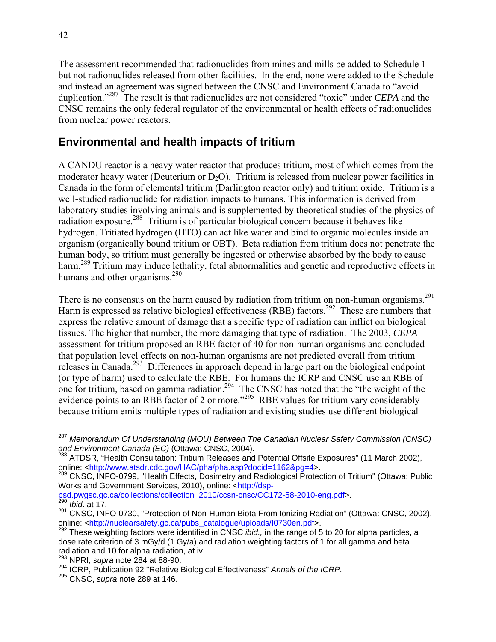The assessment recommended that radionuclides from mines and mills be added to Schedule 1 but not radionuclides released from other facilities. In the end, none were added to the Schedule and instead an agreement was signed between the CNSC and Environment Canada to "avoid duplication."287 The result is that radionuclides are not considered "toxic" under *CEPA* and the CNSC remains the only federal regulator of the environmental or health effects of radionuclides from nuclear power reactors.

#### **Environmental and health impacts of tritium**

A CANDU reactor is a heavy water reactor that produces tritium, most of which comes from the moderator heavy water (Deuterium or  $D_2O$ ). Tritium is released from nuclear power facilities in Canada in the form of elemental tritium (Darlington reactor only) and tritium oxide. Tritium is a well-studied radionuclide for radiation impacts to humans. This information is derived from laboratory studies involving animals and is supplemented by theoretical studies of the physics of radiation exposure.<sup>288</sup> Tritium is of particular biological concern because it behaves like hydrogen. Tritiated hydrogen (HTO) can act like water and bind to organic molecules inside an organism (organically bound tritium or OBT). Beta radiation from tritium does not penetrate the human body, so tritium must generally be ingested or otherwise absorbed by the body to cause harm.<sup>289</sup> Tritium may induce lethality, fetal abnormalities and genetic and reproductive effects in humans and other organisms.<sup>290</sup>

There is no consensus on the harm caused by radiation from tritium on non-human organisms.<sup>291</sup> Harm is expressed as relative biological effectiveness (RBE) factors.<sup>292</sup> These are numbers that express the relative amount of damage that a specific type of radiation can inflict on biological tissues. The higher that number, the more damaging that type of radiation. The 2003, *CEPA* assessment for tritium proposed an RBE factor of 40 for non-human organisms and concluded that population level effects on non-human organisms are not predicted overall from tritium releases in Canada.293 Differences in approach depend in large part on the biological endpoint (or type of harm) used to calculate the RBE. For humans the ICRP and CNSC use an RBE of one for tritium, based on gamma radiation.<sup>294</sup> The CNSC has noted that the "the weight of the evidence points to an RBE factor of 2 or more."<sup>295</sup> RBE values for tritium vary considerably because tritium emits multiple types of radiation and existing studies use different biological

1

<sup>287</sup> *Memorandum Of Understanding (MOU) Between The Canadian Nuclear Safety Commission (CNSC) and Environment Canada (EC)* (Ottawa: CNSC, 2004). 288 ATDSR, "Health Consultation: Tritium Releases and Potential Offsite Exposures" (11 March 2002),

online: <http://www.atsdr.cdc.gov/HAC/pha/pha.asp?docid=1162&pg=4>.

<sup>&</sup>lt;sup>289</sup> CNSC, INFO-0799, "Health Effects, Dosimetry and Radiological Protection of Tritium" (Ottawa: Public Works and Government Services, 2010), online: <http://dsp-

psd.pwgsc.gc.ca/collections/collection\_2010/ccsn-cnsc/CC172-58-2010-eng.pdf>. <sup>290</sup> *Ibid*. at 17.

<sup>&</sup>lt;sup>291</sup> CNSC, INFO-0730, "Protection of Non-Human Biota From Ionizing Radiation" (Ottawa: CNSC, 2002), online: <http://nuclearsafety.gc.ca/pubs\_catalogue/uploads/I0730en.pdf>.

<sup>&</sup>lt;sup>292</sup> These weighting factors were identified in CNSC *ibid.*, in the range of 5 to 20 for alpha particles, a dose rate criterion of 3 mGy/d (1 Gy/a) and radiation weighting factors of 1 for all gamma and beta radiation and 10 for alpha radiation, at iv.

<sup>293</sup> NPRI, *supra* note 284 at 88-90.

<sup>294</sup> ICRP, Publication 92 "Relative Biological Effectiveness" *Annals of the ICRP*. 295 CNSC, *supra* note 289 at 146.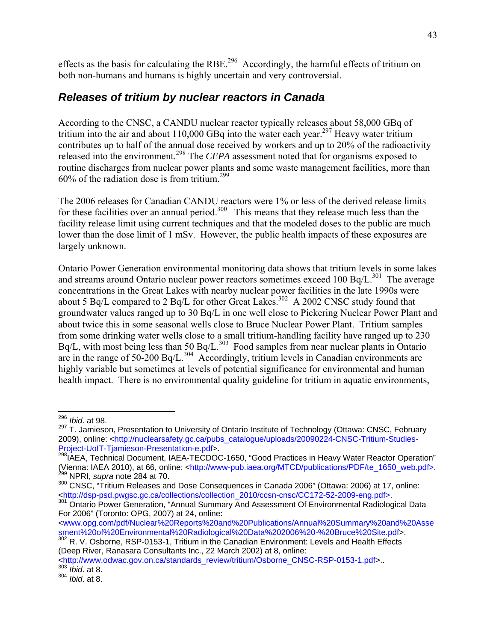effects as the basis for calculating the RBE.<sup>296</sup> Accordingly, the harmful effects of tritium on both non-humans and humans is highly uncertain and very controversial.

#### *Releases of tritium by nuclear reactors in Canada*

According to the CNSC, a CANDU nuclear reactor typically releases about 58,000 GBq of tritium into the air and about  $110,000$  GBq into the water each year.<sup>297</sup> Heavy water tritium contributes up to half of the annual dose received by workers and up to 20% of the radioactivity released into the environment.<sup>298</sup> The *CEPA* assessment noted that for organisms exposed to routine discharges from nuclear power plants and some waste management facilities, more than  $60\%$  of the radiation dose is from tritium<sup>299</sup>

The 2006 releases for Canadian CANDU reactors were 1% or less of the derived release limits for these facilities over an annual period.<sup>300</sup> This means that they release much less than the facility release limit using current techniques and that the modeled doses to the public are much lower than the dose limit of 1 mSv. However, the public health impacts of these exposures are largely unknown.

Ontario Power Generation environmental monitoring data shows that tritium levels in some lakes and streams around Ontario nuclear power reactors sometimes exceed 100 Bq/L. $^{301}$  The average concentrations in the Great Lakes with nearby nuclear power facilities in the late 1990s were about 5 Bq/L compared to  $2$  Bq/L for other Great Lakes.<sup>302</sup> A 2002 CNSC study found that groundwater values ranged up to 30 Bq/L in one well close to Pickering Nuclear Power Plant and about twice this in some seasonal wells close to Bruce Nuclear Power Plant. Tritium samples from some drinking water wells close to a small tritium-handling facility have ranged up to 230  $Bq/L$ , with most being less than 50  $Bq/L$ .<sup>303</sup> Food samples from near nuclear plants in Ontario are in the range of  $50-200$  Bq/L.<sup>304</sup> Accordingly, tritium levels in Canadian environments are highly variable but sometimes at levels of potential significance for environmental and human health impact. There is no environmental quality guideline for tritium in aquatic environments,

 $\overline{a}$ <sup>296</sup> *Ibid*. at 98.

<sup>&</sup>lt;sup>297</sup> T. Jamieson, Presentation to University of Ontario Institute of Technology (Ottawa: CNSC, February 2009), online: <http://nuclearsafety.gc.ca/pubs\_catalogue/uploads/20090224-CNSC-Tritium-Studies-Project-UoIT-Tjamieson-Presentation-e.pdf>.

<sup>&</sup>lt;sup>298</sup>IAEA, Technical Document, IAEA-TECDOC-1650, "Good Practices in Heavy Water Reactor Operation" (Vienna: IAEA 2010), at 66, online: <http://www-pub.iaea.org/MTCD/publications/PDF/te\_1650\_web.pdf>. 299 NPRI, *supra* note 284 at 70.

<sup>&</sup>lt;sup>300</sup> CNSC, "Tritium Releases and Dose Consequences in Canada 2006" (Ottawa: 2006) at 17, online: <http://dsp-psd.pwgsc.gc.ca/collections/collection\_2010/ccsn-cnsc/CC172-52-2009-eng.pdf>. 301 Ontario Power Generation, "Annual Summary And Assessment Of Environmental Radiological Data

For 2006" (Toronto: OPG, 2007) at 24, online:

<sup>&</sup>lt;www.opg.com/pdf/Nuclear%20Reports%20and%20Publications/Annual%20Summary%20and%20Asse sment%20of%20Environmental%20Radiological%20Data%202006%20-%20Bruce%20Site.pdf>.

<sup>302</sup> R. V. Osborne, RSP-0153-1, Tritium in the Canadian Environment: Levels and Health Effects (Deep River, Ranasara Consultants Inc., 22 March 2002) at 8, online:

<sup>&</sup>lt;http://www.odwac.gov.on.ca/standards\_review/tritium/Osborne\_CNSC-RSP-0153-1.pdf>.. <sup>303</sup> *Ibid*. at 8.

<sup>304</sup> *Ibid*. at 8.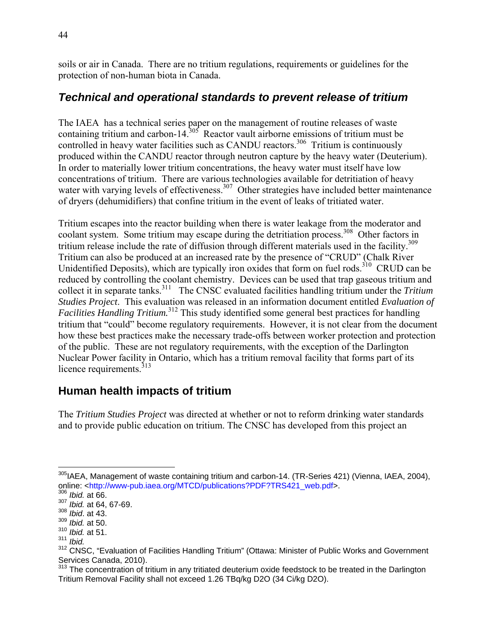soils or air in Canada. There are no tritium regulations, requirements or guidelines for the protection of non-human biota in Canada.

### *Technical and operational standards to prevent release of tritium*

The IAEA has a technical series paper on the management of routine releases of waste containing tritium and carbon-14. $305$  Reactor vault airborne emissions of tritium must be controlled in heavy water facilities such as CANDU reactors.<sup>306</sup> Tritium is continuously produced within the CANDU reactor through neutron capture by the heavy water (Deuterium). In order to materially lower tritium concentrations, the heavy water must itself have low concentrations of tritium. There are various technologies available for detritiation of heavy water with varying levels of effectiveness.<sup>307</sup> Other strategies have included better maintenance of dryers (dehumidifiers) that confine tritium in the event of leaks of tritiated water.

Tritium escapes into the reactor building when there is water leakage from the moderator and coolant system. Some tritium may escape during the detritiation process.<sup>308</sup> Other factors in tritium release include the rate of diffusion through different materials used in the facility.<sup>309</sup> Tritium can also be produced at an increased rate by the presence of "CRUD" (Chalk River Unidentified Deposits), which are typically iron oxides that form on fuel rods.<sup>310</sup> CRUD can be reduced by controlling the coolant chemistry. Devices can be used that trap gaseous tritium and collect it in separate tanks.311 The CNSC evaluated facilities handling tritium under the *Tritium Studies Project*. This evaluation was released in an information document entitled *Evaluation of Facilities Handling Tritium.*<sup>312</sup> This study identified some general best practices for handling tritium that "could" become regulatory requirements. However, it is not clear from the document how these best practices make the necessary trade-offs between worker protection and protection of the public. These are not regulatory requirements, with the exception of the Darlington Nuclear Power facility in Ontario, which has a tritium removal facility that forms part of its licence requirements.<sup>313</sup>

## **Human health impacts of tritium**

The *Tritium Studies Project* was directed at whether or not to reform drinking water standards and to provide public education on tritium. The CNSC has developed from this project an

 $\overline{a}$ <sup>305</sup>IAEA, Management of waste containing tritium and carbon-14. (TR-Series 421) (Vienna, IAEA, 2004), online: <http://www-pub.iaea.org/MTCD/publications?PDF?TRS421\_web.pdf>.

<sup>306</sup> *Ibid.* at 66.

<sup>307</sup> *Ibid.* at 64, 67-69.

<sup>308</sup> *Ibid*. at 43.

<sup>309</sup> *Ibid.* at 50. <sup>310</sup> *Ibid.* at 51.

<sup>311</sup> *Ibid.*

<sup>312</sup> CNSC, "Evaluation of Facilities Handling Tritium" (Ottawa: Minister of Public Works and Government Services Canada, 2010).

<sup>&</sup>lt;sup>313</sup> The concentration of tritium in any tritiated deuterium oxide feedstock to be treated in the Darlington Tritium Removal Facility shall not exceed 1.26 TBq/kg D2O (34 Ci/kg D2O).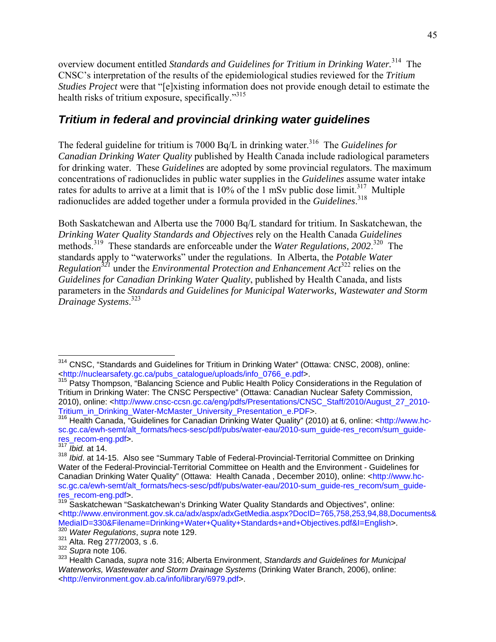overview document entitled *Standards and Guidelines for Tritium in Drinking Water.*314 The CNSC's interpretation of the results of the epidemiological studies reviewed for the *Tritium Studies Project* were that "[e]xisting information does not provide enough detail to estimate the health risks of tritium exposure, specifically."<sup>315</sup>

#### *Tritium in federal and provincial drinking water guidelines*

The federal guideline for tritium is 7000 Bq/L in drinking water.<sup>316</sup> The *Guidelines for Canadian Drinking Water Quality* published by Health Canada include radiological parameters for drinking water. These *Guidelines* are adopted by some provincial regulators. The maximum concentrations of radionuclides in public water supplies in the *Guidelines* assume water intake rates for adults to arrive at a limit that is  $10\%$  of the 1 mSv public dose limit.<sup>317</sup> Multiple radionuclides are added together under a formula provided in the *Guidelines*. 318

Both Saskatchewan and Alberta use the 7000 Bq/L standard for tritium. In Saskatchewan, the *Drinking Water Quality Standards and Objectives* rely on the Health Canada *Guidelines* methods.<sup>319</sup> These standards are enforceable under the *Water Regulations*, 2002.<sup>320</sup> The standards apply to "waterworks" under the regulations. In Alberta, the *Potable Water Regulation*<sup>321</sup> under the *Environmental Protection and Enhancement Act*<sup>322</sup> relies on the *Guidelines for Canadian Drinking Water Quality*, published by Health Canada, and lists parameters in the *Standards and Guidelines for Municipal Waterworks, Wastewater and Storm Drainage Systems*. 323

 $\overline{a}$ <sup>314</sup> CNSC, "Standards and Guidelines for Tritium in Drinking Water" (Ottawa: CNSC, 2008), online: <http://nuclearsafety.gc.ca/pubs\_catalogue/uploads/info\_0766\_e.pdf>.

<sup>&</sup>lt;sup>315</sup> Patsy Thompson, "Balancing Science and Public Health Policy Considerations in the Regulation of Tritium in Drinking Water: The CNSC Perspective" (Ottawa: Canadian Nuclear Safety Commission, 2010), online: <http://www.cnsc-ccsn.gc.ca/eng/pdfs/Presentations/CNSC\_Staff/2010/August\_27\_2010- Tritium\_in\_Drinking\_Water-McMaster\_University\_Presentation\_e.PDF>.

<sup>316</sup> Health Canada, "Guidelines for Canadian Drinking Water Quality" (2010) at 6, online: <http://www.hcsc.gc.ca/ewh-semt/alt\_formats/hecs-sesc/pdf/pubs/water-eau/2010-sum\_guide-res\_recom/sum\_guideres\_recom-eng.pdf>.

<sup>317</sup> *Ibid.* at 14.

<sup>318</sup> *Ibid*. at 14-15. Also see "Summary Table of Federal-Provincial-Territorial Committee on Drinking Water of the Federal-Provincial-Territorial Committee on Health and the Environment - Guidelines for Canadian Drinking Water Quality" (Ottawa: Health Canada , December 2010), online: <http://www.hcsc.gc.ca/ewh-semt/alt\_formats/hecs-sesc/pdf/pubs/water-eau/2010-sum\_guide-res\_recom/sum\_guideres\_recom-eng.pdf>.

<sup>&</sup>lt;sup>319</sup> Saskatchewan "Saskatchewan's Drinking Water Quality Standards and Objectives", online: <http://www.environment.gov.sk.ca/adx/aspx/adxGetMedia.aspx?DocID=765,758,253,94,88,Documents& MediaID=330&Filename=Drinking+Water+Quality+Standards+and+Objectives.pdf&I=English>. <sup>320</sup> *Water Regulations*, *supra* note 129.

<sup>321</sup> Alta. Reg 277/2003, s .6. 322 *Supra* note 106.

<sup>323</sup> Health Canada, *supra* note 316; Alberta Environment, *Standards and Guidelines for Municipal Waterworks, Wastewater and Storm Drainage Systems* (Drinking Water Branch, 2006), online: <http://environment.gov.ab.ca/info/library/6979.pdf>.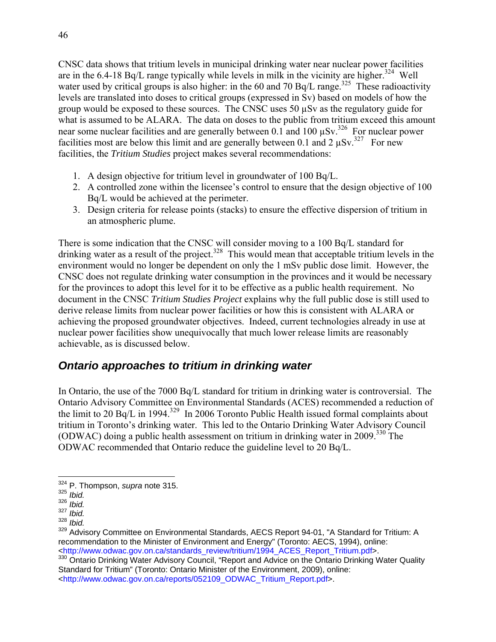CNSC data shows that tritium levels in municipal drinking water near nuclear power facilities are in the 6.4-18 Bq/L range typically while levels in milk in the vicinity are higher.<sup>324</sup> Well water used by critical groups is also higher: in the 60 and 70 Bq/L range.<sup>325</sup> These radioactivity levels are translated into doses to critical groups (expressed in Sv) based on models of how the group would be exposed to these sources. The CNSC uses 50 µSv as the regulatory guide for what is assumed to be ALARA. The data on doses to the public from tritium exceed this amount near some nuclear facilities and are generally between  $0.1$  and  $100 \mu Sv$ .<sup>326</sup> For nuclear power facilities most are below this limit and are generally between 0.1 and 2  $\mu Sv$ .<sup>327</sup> For new facilities, the *Tritium Studies* project makes several recommendations:

- 1. A design objective for tritium level in groundwater of 100 Bq/L.
- 2. A controlled zone within the licensee's control to ensure that the design objective of 100 Bq/L would be achieved at the perimeter.
- 3. Design criteria for release points (stacks) to ensure the effective dispersion of tritium in an atmospheric plume.

There is some indication that the CNSC will consider moving to a 100 Bq/L standard for drinking water as a result of the project.<sup>328</sup> This would mean that acceptable tritium levels in the environment would no longer be dependent on only the 1 mSv public dose limit. However, the CNSC does not regulate drinking water consumption in the provinces and it would be necessary for the provinces to adopt this level for it to be effective as a public health requirement. No document in the CNSC *Tritium Studies Project* explains why the full public dose is still used to derive release limits from nuclear power facilities or how this is consistent with ALARA or achieving the proposed groundwater objectives. Indeed, current technologies already in use at nuclear power facilities show unequivocally that much lower release limits are reasonably achievable, as is discussed below.

#### *Ontario approaches to tritium in drinking water*

In Ontario, the use of the 7000 Bq/L standard for tritium in drinking water is controversial. The Ontario Advisory Committee on Environmental Standards (ACES) recommended a reduction of the limit to 20  $\text{Bq/L}$  in 1994.<sup>329</sup> In 2006 Toronto Public Health issued formal complaints about tritium in Toronto's drinking water. This led to the Ontario Drinking Water Advisory Council (ODWAC) doing a public health assessment on tritium in drinking water in 2009.330 The ODWAC recommended that Ontario reduce the guideline level to 20 Bq/L.

<sup>1</sup> 324 P. Thompson, *supra* note 315.

<sup>325</sup> *Ibid.*

<sup>326</sup> *Ibid.*

<sup>&</sup>lt;sup>327</sup> *Ibid.*<br><sup>328</sup> *Ibid.* 

*Ibid.* 

<sup>&</sup>lt;sup>329</sup> Advisory Committee on Environmental Standards, AECS Report 94-01, "A Standard for Tritium: A recommendation to the Minister of Environment and Energy" (Toronto: AECS, 1994), online: <http://www.odwac.gov.on.ca/standards\_review/tritium/1994\_ACES\_Report\_Tritium.pdf>.

<sup>&</sup>lt;sup>330</sup> Ontario Drinking Water Advisory Council, "Report and Advice on the Ontario Drinking Water Quality Standard for Tritium" (Toronto: Ontario Minister of the Environment, 2009), online: <http://www.odwac.gov.on.ca/reports/052109\_ODWAC\_Tritium\_Report.pdf>.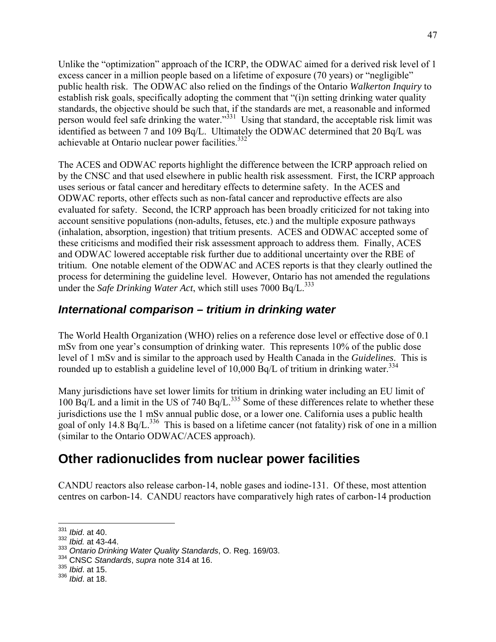Unlike the "optimization" approach of the ICRP, the ODWAC aimed for a derived risk level of 1 excess cancer in a million people based on a lifetime of exposure (70 years) or "negligible" public health risk. The ODWAC also relied on the findings of the Ontario *Walkerton Inquiry* to establish risk goals, specifically adopting the comment that "(i)n setting drinking water quality standards, the objective should be such that, if the standards are met, a reasonable and informed person would feel safe drinking the water."<sup>331</sup> Using that standard, the acceptable risk limit was identified as between 7 and 109 Bq/L. Ultimately the ODWAC determined that 20 Bq/L was achievable at Ontario nuclear power facilities.<sup>332</sup>

The ACES and ODWAC reports highlight the difference between the ICRP approach relied on by the CNSC and that used elsewhere in public health risk assessment. First, the ICRP approach uses serious or fatal cancer and hereditary effects to determine safety. In the ACES and ODWAC reports, other effects such as non-fatal cancer and reproductive effects are also evaluated for safety. Second, the ICRP approach has been broadly criticized for not taking into account sensitive populations (non-adults, fetuses, etc.) and the multiple exposure pathways (inhalation, absorption, ingestion) that tritium presents. ACES and ODWAC accepted some of these criticisms and modified their risk assessment approach to address them. Finally, ACES and ODWAC lowered acceptable risk further due to additional uncertainty over the RBE of tritium. One notable element of the ODWAC and ACES reports is that they clearly outlined the process for determining the guideline level. However, Ontario has not amended the regulations under the *Safe Drinking Water Act*, which still uses 7000 Bq/L.<sup>333</sup>

#### *International comparison – tritium in drinking water*

The World Health Organization (WHO) relies on a reference dose level or effective dose of 0.1 mSv from one year's consumption of drinking water. This represents 10% of the public dose level of 1 mSv and is similar to the approach used by Health Canada in the *Guidelines*. This is rounded up to establish a guideline level of 10,000 Bq/L of tritium in drinking water.<sup>334</sup>

Many jurisdictions have set lower limits for tritium in drinking water including an EU limit of  $100$  Bq/L and a limit in the US of 740 Bq/L.<sup>335</sup> Some of these differences relate to whether these jurisdictions use the 1 mSv annual public dose, or a lower one. California uses a public health goal of only 14.8 Bq/L.<sup>336</sup> This is based on a lifetime cancer (not fatality) risk of one in a million (similar to the Ontario ODWAC/ACES approach).

## **Other radionuclides from nuclear power facilities**

CANDU reactors also release carbon-14, noble gases and iodine-131. Of these, most attention centres on carbon-14. CANDU reactors have comparatively high rates of carbon-14 production

<sup>331</sup> *Ibid*. at 40.

<sup>332</sup> *Ibid.* at 43-44.

<sup>333</sup> *Ontario Drinking Water Quality Standards*, O. Reg. 169/03. 334 CNSC *Standards*, *supra* note 314 at 16.

<sup>335</sup> *Ibid*. at 15.

<sup>336</sup> *Ibid*. at 18.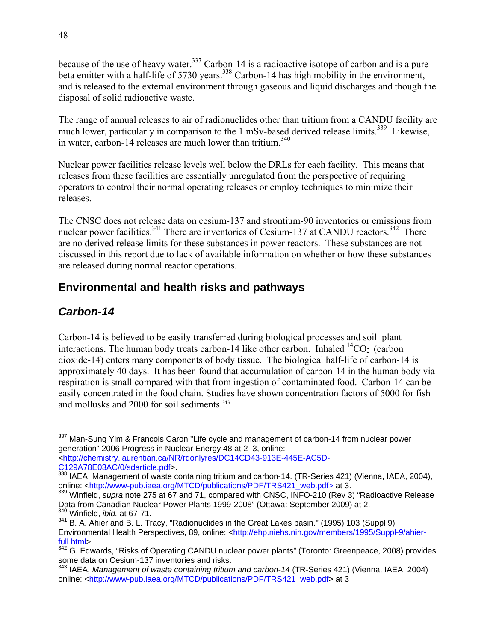because of the use of heavy water.<sup>337</sup> Carbon-14 is a radioactive isotope of carbon and is a pure beta emitter with a half-life of 5730 years.<sup>338</sup> Carbon-14 has high mobility in the environment, and is released to the external environment through gaseous and liquid discharges and though the disposal of solid radioactive waste.

The range of annual releases to air of radionuclides other than tritium from a CANDU facility are much lower, particularly in comparison to the 1 mSv-based derived release limits.<sup>339</sup> Likewise, in water, carbon-14 releases are much lower than tritium.<sup>340</sup>

Nuclear power facilities release levels well below the DRLs for each facility. This means that releases from these facilities are essentially unregulated from the perspective of requiring operators to control their normal operating releases or employ techniques to minimize their releases.

The CNSC does not release data on cesium-137 and strontium-90 inventories or emissions from nuclear power facilities.<sup>341</sup> There are inventories of Cesium-137 at CANDU reactors.<sup>342</sup> There are no derived release limits for these substances in power reactors. These substances are not discussed in this report due to lack of available information on whether or how these substances are released during normal reactor operations.

## **Environmental and health risks and pathways**

## *Carbon-14*

Carbon-14 is believed to be easily transferred during biological processes and soil–plant interactions. The human body treats carbon-14 like other carbon. Inhaled  ${}^{14}CO_2$  (carbon dioxide-14) enters many components of body tissue. The biological half-life of carbon-14 is approximately 40 days. It has been found that accumulation of carbon-14 in the human body via respiration is small compared with that from ingestion of contaminated food. Carbon-14 can be easily concentrated in the food chain. Studies have shown concentration factors of 5000 for fish and mollusks and 2000 for soil sediments.<sup>343</sup>

 $\overline{a}$ <sup>337</sup> Man-Sung Yim & Francois Caron "Life cycle and management of carbon-14 from nuclear power generation" 2006 Progress in Nuclear Energy 48 at 2–3, online: <http://chemistry.laurentian.ca/NR/rdonlyres/DC14CD43-913E-445E-AC5D-

C129A78E03AC/0/sdarticle.pdf>.

<sup>&</sup>lt;sup>338</sup> IAEA, Management of waste containing tritium and carbon-14. (TR-Series 421) (Vienna, IAEA, 2004), online: <http://www-pub.iaea.org/MTCD/publications/PDF/TRS421\_web.pdf> at 3.

<sup>339</sup> Winfield, *supra* note 275 at 67 and 71, compared with CNSC, INFO-210 (Rev 3) "Radioactive Release Data from Canadian Nuclear Power Plants 1999-2008" (Ottawa: September 2009) at 2. 340 Winfield, *ibid.* at 67-71.

<sup>341</sup> B. A. Ahier and B. L. Tracy, "Radionuclides in the Great Lakes basin." (1995) 103 (Suppl 9) Environmental Health Perspectives, 89, online: <http://ehp.niehs.nih.gov/members/1995/Suppl-9/ahierfull.html>.

 $342$  G. Edwards, "Risks of Operating CANDU nuclear power plants" (Toronto: Greenpeace, 2008) provides some data on Cesium-137 inventories and risks.

<sup>343</sup> IAEA, *Management of waste containing tritium and carbon-14* (TR-Series 421) (Vienna, IAEA, 2004) online: <http://www-pub.iaea.org/MTCD/publications/PDF/TRS421\_web.pdf> at 3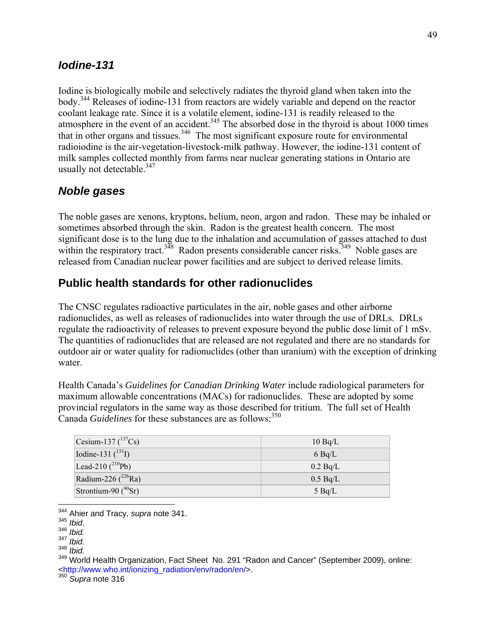#### *Iodine-131*

Iodine is biologically mobile and selectively radiates the thyroid gland when taken into the body.344 Releases of iodine-131 from reactors are widely variable and depend on the reactor coolant leakage rate. Since it is a volatile element, iodine-131 is readily released to the atmosphere in the event of an accident.<sup>345</sup> The absorbed dose in the thyroid is about 1000 times that in other organs and tissues.  $346$  The most significant exposure route for environmental radioiodine is the air-vegetation-livestock-milk pathway. However, the iodine-131 content of milk samples collected monthly from farms near nuclear generating stations in Ontario are usually not detectable. $347$ 

#### *Noble gases*

The noble gases are xenons, kryptons, helium, neon, argon and radon. These may be inhaled or sometimes absorbed through the skin. Radon is the greatest health concern. The most significant dose is to the lung due to the inhalation and accumulation of gasses attached to dust within the respiratory tract.<sup>348</sup> Radon presents considerable cancer risks.<sup>349</sup> Noble gases are released from Canadian nuclear power facilities and are subject to derived release limits.

#### **Public health standards for other radionuclides**

The CNSC regulates radioactive particulates in the air, noble gases and other airborne radionuclides, as well as releases of radionuclides into water through the use of DRLs. DRLs regulate the radioactivity of releases to prevent exposure beyond the public dose limit of 1 mSv. The quantities of radionuclides that are released are not regulated and there are no standards for outdoor air or water quality for radionuclides (other than uranium) with the exception of drinking water.

Health Canada's *Guidelines for Canadian Drinking Water* include radiological parameters for maximum allowable concentrations (MACs) for radionuclides. These are adopted by some provincial regulators in the same way as those described for tritium. The full set of Health Canada *Guidelines* for these substances are as follows:<sup>350</sup>

| Cesium-137 $(^{137}Cs)$   | $10$ Bg/L  |
|---------------------------|------------|
| Iodine-131 $(^{131}I)$    | $6$ Bg/L   |
| Lead-210 $(^{210}Pb)$     | 0.2 Bq/L   |
| Radium-226 ( $^{226}$ Ra) | $0.5$ Bg/L |
| Strontium-90 $(^{90}Sr)$  | $5$ Bq/L   |

<sup>344</sup> Ahier and Tracy, *supra* note 341.

<sup>345</sup> *Ibid*. 346 *Ibid.*

<sup>347</sup> *Ibid.*

<sup>348</sup> *Ibid.*

<sup>&</sup>lt;sup>349</sup> World Health Organization, Fact Sheet No. 291 "Radon and Cancer" (September 2009), online: <http://www.who.int/ionizing\_radiation/env/radon/en/>.

<sup>350</sup> *Supra* note 316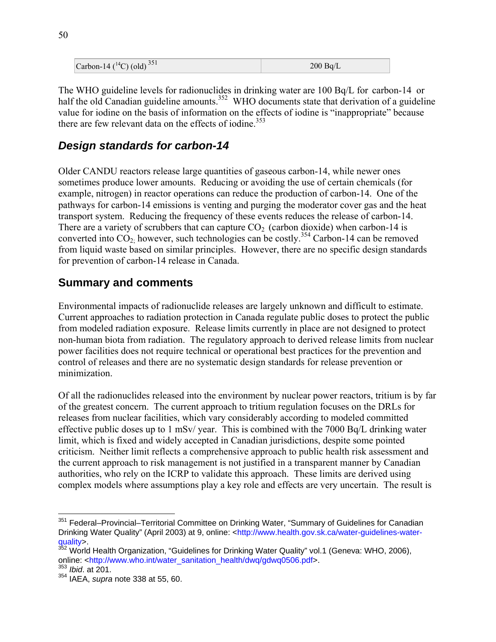| Carbon-14 ( $^{14}$ C) (old) <sup>351</sup> | 200 Bq/L |
|---------------------------------------------|----------|
|---------------------------------------------|----------|

The WHO guideline levels for radionuclides in drinking water are 100 Bq/L for carbon-14 or half the old Canadian guideline amounts.<sup>352</sup> WHO documents state that derivation of a guideline value for iodine on the basis of information on the effects of iodine is "inappropriate" because there are few relevant data on the effects of iodine.<sup>353</sup>

#### *Design standards for carbon-14*

Older CANDU reactors release large quantities of gaseous carbon-14, while newer ones sometimes produce lower amounts. Reducing or avoiding the use of certain chemicals (for example, nitrogen) in reactor operations can reduce the production of carbon-14. One of the pathways for carbon-14 emissions is venting and purging the moderator cover gas and the heat transport system. Reducing the frequency of these events reduces the release of carbon-14. There are a variety of scrubbers that can capture  $CO<sub>2</sub>$  (carbon dioxide) when carbon-14 is converted into  $CO<sub>2</sub>$ , however, such technologies can be costly.<sup>354</sup> Carbon-14 can be removed from liquid waste based on similar principles. However, there are no specific design standards for prevention of carbon-14 release in Canada.

#### **Summary and comments**

Environmental impacts of radionuclide releases are largely unknown and difficult to estimate. Current approaches to radiation protection in Canada regulate public doses to protect the public from modeled radiation exposure. Release limits currently in place are not designed to protect non-human biota from radiation. The regulatory approach to derived release limits from nuclear power facilities does not require technical or operational best practices for the prevention and control of releases and there are no systematic design standards for release prevention or minimization.

Of all the radionuclides released into the environment by nuclear power reactors, tritium is by far of the greatest concern. The current approach to tritium regulation focuses on the DRLs for releases from nuclear facilities, which vary considerably according to modeled committed effective public doses up to 1 mSv/ year. This is combined with the 7000 Bq/L drinking water limit, which is fixed and widely accepted in Canadian jurisdictions, despite some pointed criticism. Neither limit reflects a comprehensive approach to public health risk assessment and the current approach to risk management is not justified in a transparent manner by Canadian authorities, who rely on the ICRP to validate this approach. These limits are derived using complex models where assumptions play a key role and effects are very uncertain. The result is

<sup>&</sup>lt;u>.</u> <sup>351</sup> Federal–Provincial–Territorial Committee on Drinking Water, "Summary of Guidelines for Canadian Drinking Water Quality" (April 2003) at 9, online: <http://www.health.gov.sk.ca/water-guidelines-waterquality>.

<sup>&</sup>lt;sup>352</sup> World Health Organization, "Guidelines for Drinking Water Quality" vol.1 (Geneva: WHO, 2006), online: <http://www.who.int/water\_sanitation\_health/dwq/gdwq0506.pdf>.

<sup>353</sup> *Ibid*. at 201.

<sup>354</sup> IAEA, *supra* note 338 at 55, 60.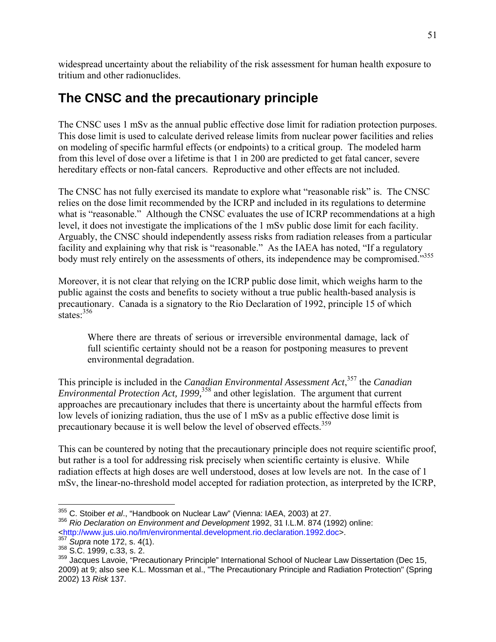widespread uncertainty about the reliability of the risk assessment for human health exposure to tritium and other radionuclides.

# **The CNSC and the precautionary principle**

The CNSC uses 1 mSv as the annual public effective dose limit for radiation protection purposes. This dose limit is used to calculate derived release limits from nuclear power facilities and relies on modeling of specific harmful effects (or endpoints) to a critical group. The modeled harm from this level of dose over a lifetime is that 1 in 200 are predicted to get fatal cancer, severe hereditary effects or non-fatal cancers. Reproductive and other effects are not included.

The CNSC has not fully exercised its mandate to explore what "reasonable risk" is. The CNSC relies on the dose limit recommended by the ICRP and included in its regulations to determine what is "reasonable." Although the CNSC evaluates the use of ICRP recommendations at a high level, it does not investigate the implications of the 1 mSv public dose limit for each facility. Arguably, the CNSC should independently assess risks from radiation releases from a particular facility and explaining why that risk is "reasonable." As the IAEA has noted, "If a regulatory body must rely entirely on the assessments of others, its independence may be compromised."<sup>355</sup>

Moreover, it is not clear that relying on the ICRP public dose limit, which weighs harm to the public against the costs and benefits to society without a true public health-based analysis is precautionary. Canada is a signatory to the Rio Declaration of 1992, principle 15 of which states<sup>356</sup>

Where there are threats of serious or irreversible environmental damage, lack of full scientific certainty should not be a reason for postponing measures to prevent environmental degradation.

This principle is included in the *Canadian Environmental Assessment Act*, 357 the *Canadian Environmental Protection Act, 1999,*358 and other legislation. The argument that current approaches are precautionary includes that there is uncertainty about the harmful effects from low levels of ionizing radiation, thus the use of 1 mSv as a public effective dose limit is precautionary because it is well below the level of observed effects.<sup>359</sup>

This can be countered by noting that the precautionary principle does not require scientific proof, but rather is a tool for addressing risk precisely when scientific certainty is elusive. While radiation effects at high doses are well understood, doses at low levels are not. In the case of 1 mSv, the linear-no-threshold model accepted for radiation protection, as interpreted by the ICRP,

<sup>355</sup> C. Stoiber et al., "Handbook on Nuclear Law" (Vienna: IAEA, 2003) at 27.

<sup>355</sup> C. Stoiber *et al*., "Handbook on Nuclear Law" (Vienna: IAEA, 2003) at 27. 356 *Rio Declaration on Environment and Development* 1992, 31 I.L.M. 874 (1992) online: <http://www.jus.uio.no/lm/environmental.development.rio.declaration.1992.doc>.

<sup>357</sup> *Supra* note 172, s. 4(1). 358 S.C. 1999, c.33, s. 2.

<sup>&</sup>lt;sup>359</sup> Jacques Lavoie, "Precautionary Principle" International School of Nuclear Law Dissertation (Dec 15, 2009) at 9; also see K.L. Mossman et al., "The Precautionary Principle and Radiation Protection" (Spring 2002) 13 *Risk* 137.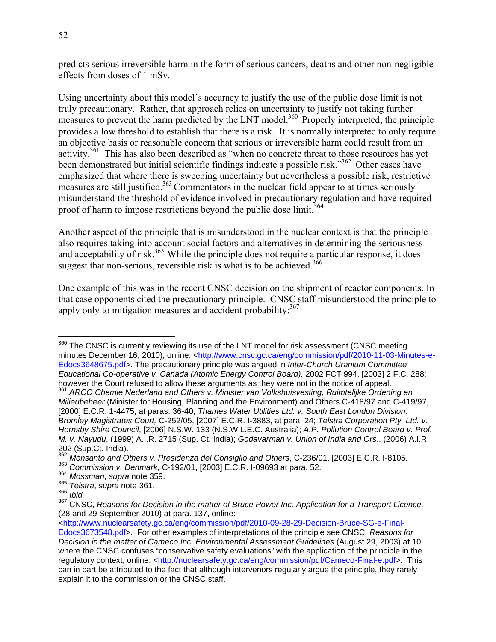predicts serious irreversible harm in the form of serious cancers, deaths and other non-negligible effects from doses of 1 mSv.

Using uncertainty about this model's accuracy to justify the use of the public dose limit is not truly precautionary. Rather, that approach relies on uncertainty to justify not taking further measures to prevent the harm predicted by the LNT model.<sup>360</sup> Properly interpreted, the principle provides a low threshold to establish that there is a risk. It is normally interpreted to only require an objective basis or reasonable concern that serious or irreversible harm could result from an activity.<sup>361</sup> This has also been described as "when no concrete threat to those resources has yet been demonstrated but initial scientific findings indicate a possible risk."<sup>362</sup> Other cases have emphasized that where there is sweeping uncertainty but nevertheless a possible risk, restrictive measures are still justified.<sup>363</sup> Commentators in the nuclear field appear to at times seriously misunderstand the threshold of evidence involved in precautionary regulation and have required proof of harm to impose restrictions beyond the public dose limit.<sup>364</sup>

Another aspect of the principle that is misunderstood in the nuclear context is that the principle also requires taking into account social factors and alternatives in determining the seriousness and acceptability of risk.<sup>365</sup> While the principle does not require a particular response, it does suggest that non-serious, reversible risk is what is to be achieved.<sup>366</sup>

One example of this was in the recent CNSC decision on the shipment of reactor components. In that case opponents cited the precautionary principle. CNSC staff misunderstood the principle to apply only to mitigation measures and accident probability: $367$ 

 $360$  The CNSC is currently reviewing its use of the LNT model for risk assessment (CNSC meeting minutes December 16, 2010), online: <http://www.cnsc.gc.ca/eng/commission/pdf/2010-11-03-Minutes-e-Edocs3648675.pdf>. The precautionary principle was argued in *Inter-Church Uranium Committee Educational Co-operative v. Canada (Atomic Energy Control Board),* 2002 FCT 994, [2003] 2 F.C. 288;

<sup>361</sup> ARCO Chemie Nederland and Others v. Minister van Volkshuisvesting, Ruimtelijke Ordening en *Milieubeheer* (Minister for Housing, Planning and the Environment) and Others C-418/97 and C-419/97, [2000] E.C.R. 1-4475, at paras. 36-40; *Thames Water Utilities Ltd. v. South East London Division, Bromley Magistrates Court,* C-252/05, [2007] E.C.R. I-3883, at para. 24; *Telstra Corporation Pty. Ltd. v. Hornsby Shire Council*, [2006] N.S.W. 133 (N.S.W.L.E.C. Australia); *A.P. Pollution Control Board v. Prof. M. v. Nayudu*, (1999) A.I.R. 2715 (Sup. Ct. India); *Godavarman v. Union of India and Ors*., (2006) A.I.R. 202 (Sup.Ct. India).

<sup>362</sup> *Monsanto and Others v. Presidenza del Consiglio and Others*, C-236/01, [2003] E.C.R. I-8105.

<sup>363</sup> *Commission v. Denmark*, C-192/01, [2003] E.C.R. I-09693 at para. 52. 364 *Mossman*, *supra* note 359.

<sup>365</sup> *Telstra*, *supra* note 361.

<sup>366</sup> *Ibid.*

<sup>367</sup> CNSC, *Reasons for Decision in the matter of Bruce Power Inc. Application for a Transport Licence.* (28 and 29 September 2010) at para. 137, online:

<sup>&</sup>lt;http://www.nuclearsafety.gc.ca/eng/commission/pdf/2010-09-28-29-Decision-Bruce-SG-e-Final-Edocs3673548.pdf>. For other examples of interpretations of the principle see CNSC, *Reasons for Decision in the matter of Cameco Inc. Environmental Assessment Guidelines* (August 29, 2003) at 10 where the CNSC confuses "conservative safety evaluations" with the application of the principle in the regulatory context, online: <http://nuclearsafety.gc.ca/eng/commission/pdf/Cameco-Final-e.pdf>. This can in part be attributed to the fact that although intervenors regularly argue the principle, they rarely explain it to the commission or the CNSC staff.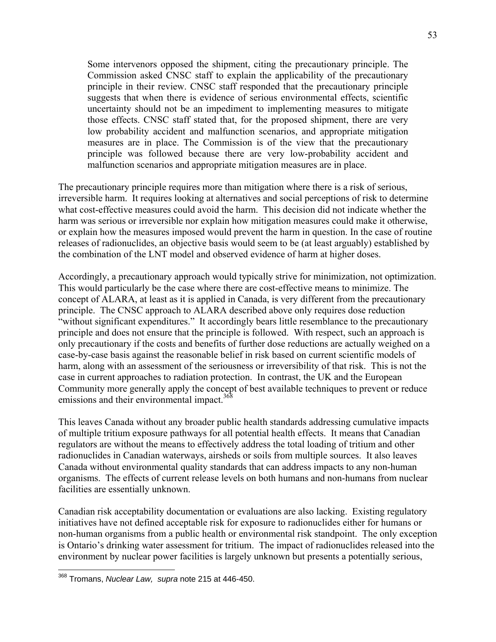Some intervenors opposed the shipment, citing the precautionary principle. The Commission asked CNSC staff to explain the applicability of the precautionary principle in their review. CNSC staff responded that the precautionary principle suggests that when there is evidence of serious environmental effects, scientific uncertainty should not be an impediment to implementing measures to mitigate those effects. CNSC staff stated that, for the proposed shipment, there are very low probability accident and malfunction scenarios, and appropriate mitigation measures are in place. The Commission is of the view that the precautionary principle was followed because there are very low-probability accident and malfunction scenarios and appropriate mitigation measures are in place.

The precautionary principle requires more than mitigation where there is a risk of serious, irreversible harm. It requires looking at alternatives and social perceptions of risk to determine what cost-effective measures could avoid the harm. This decision did not indicate whether the harm was serious or irreversible nor explain how mitigation measures could make it otherwise, or explain how the measures imposed would prevent the harm in question. In the case of routine releases of radionuclides, an objective basis would seem to be (at least arguably) established by the combination of the LNT model and observed evidence of harm at higher doses.

Accordingly, a precautionary approach would typically strive for minimization, not optimization. This would particularly be the case where there are cost-effective means to minimize. The concept of ALARA, at least as it is applied in Canada, is very different from the precautionary principle. The CNSC approach to ALARA described above only requires dose reduction "without significant expenditures." It accordingly bears little resemblance to the precautionary principle and does not ensure that the principle is followed. With respect, such an approach is only precautionary if the costs and benefits of further dose reductions are actually weighed on a case-by-case basis against the reasonable belief in risk based on current scientific models of harm, along with an assessment of the seriousness or irreversibility of that risk. This is not the case in current approaches to radiation protection. In contrast, the UK and the European Community more generally apply the concept of best available techniques to prevent or reduce emissions and their environmental impact.<sup>368</sup>

This leaves Canada without any broader public health standards addressing cumulative impacts of multiple tritium exposure pathways for all potential health effects. It means that Canadian regulators are without the means to effectively address the total loading of tritium and other radionuclides in Canadian waterways, airsheds or soils from multiple sources. It also leaves Canada without environmental quality standards that can address impacts to any non-human organisms. The effects of current release levels on both humans and non-humans from nuclear facilities are essentially unknown.

Canadian risk acceptability documentation or evaluations are also lacking. Existing regulatory initiatives have not defined acceptable risk for exposure to radionuclides either for humans or non-human organisms from a public health or environmental risk standpoint. The only exception is Ontario's drinking water assessment for tritium. The impact of radionuclides released into the environment by nuclear power facilities is largely unknown but presents a potentially serious,

<sup>368</sup> Tromans, *Nuclear Law, supra* note 215 at 446-450.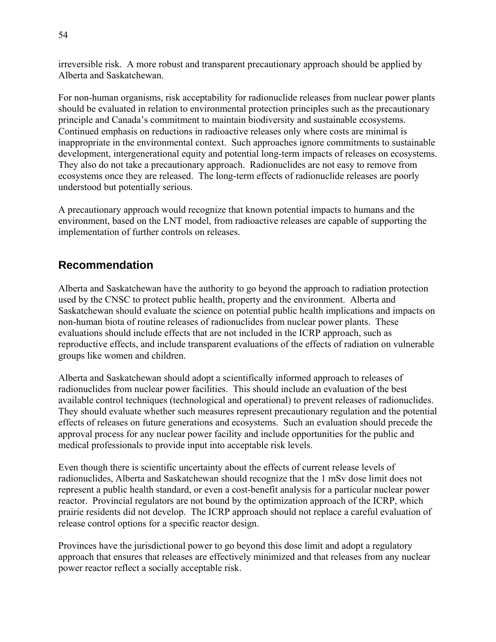irreversible risk. A more robust and transparent precautionary approach should be applied by Alberta and Saskatchewan.

For non-human organisms, risk acceptability for radionuclide releases from nuclear power plants should be evaluated in relation to environmental protection principles such as the precautionary principle and Canada's commitment to maintain biodiversity and sustainable ecosystems. Continued emphasis on reductions in radioactive releases only where costs are minimal is inappropriate in the environmental context. Such approaches ignore commitments to sustainable development, intergenerational equity and potential long-term impacts of releases on ecosystems. They also do not take a precautionary approach. Radionuclides are not easy to remove from ecosystems once they are released. The long-term effects of radionuclide releases are poorly understood but potentially serious.

A precautionary approach would recognize that known potential impacts to humans and the environment, based on the LNT model, from radioactive releases are capable of supporting the implementation of further controls on releases.

### **Recommendation**

Alberta and Saskatchewan have the authority to go beyond the approach to radiation protection used by the CNSC to protect public health, property and the environment. Alberta and Saskatchewan should evaluate the science on potential public health implications and impacts on non-human biota of routine releases of radionuclides from nuclear power plants. These evaluations should include effects that are not included in the ICRP approach, such as reproductive effects, and include transparent evaluations of the effects of radiation on vulnerable groups like women and children.

Alberta and Saskatchewan should adopt a scientifically informed approach to releases of radionuclides from nuclear power facilities. This should include an evaluation of the best available control techniques (technological and operational) to prevent releases of radionuclides. They should evaluate whether such measures represent precautionary regulation and the potential effects of releases on future generations and ecosystems. Such an evaluation should precede the approval process for any nuclear power facility and include opportunities for the public and medical professionals to provide input into acceptable risk levels.

Even though there is scientific uncertainty about the effects of current release levels of radionuclides, Alberta and Saskatchewan should recognize that the 1 mSv dose limit does not represent a public health standard, or even a cost-benefit analysis for a particular nuclear power reactor. Provincial regulators are not bound by the optimization approach of the ICRP, which prairie residents did not develop. The ICRP approach should not replace a careful evaluation of release control options for a specific reactor design.

Provinces have the jurisdictional power to go beyond this dose limit and adopt a regulatory approach that ensures that releases are effectively minimized and that releases from any nuclear power reactor reflect a socially acceptable risk.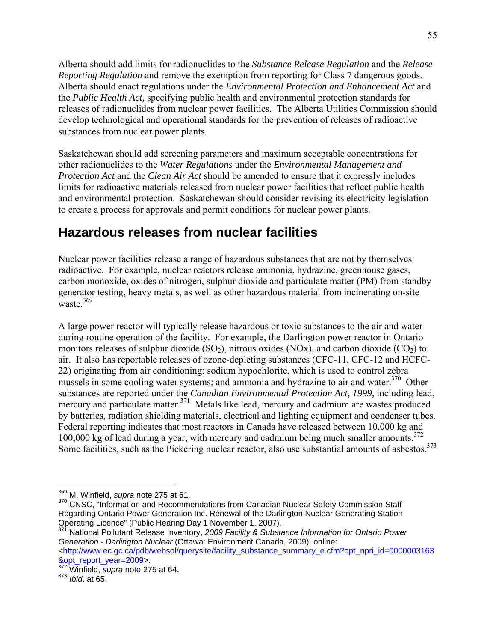Alberta should add limits for radionuclides to the *Substance Release Regulation* and the *Release Reporting Regulation* and remove the exemption from reporting for Class 7 dangerous goods. Alberta should enact regulations under the *Environmental Protection and Enhancement Act* and the *Public Health Act,* specifying public health and environmental protection standards for releases of radionuclides from nuclear power facilities. The Alberta Utilities Commission should develop technological and operational standards for the prevention of releases of radioactive substances from nuclear power plants.

Saskatchewan should add screening parameters and maximum acceptable concentrations for other radionuclides to the *Water Regulations* under the *Environmental Management and Protection Act* and the *Clean Air Act* should be amended to ensure that it expressly includes limits for radioactive materials released from nuclear power facilities that reflect public health and environmental protection. Saskatchewan should consider revising its electricity legislation to create a process for approvals and permit conditions for nuclear power plants.

## **Hazardous releases from nuclear facilities**

Nuclear power facilities release a range of hazardous substances that are not by themselves radioactive. For example, nuclear reactors release ammonia, hydrazine, greenhouse gases, carbon monoxide, oxides of nitrogen, sulphur dioxide and particulate matter (PM) from standby generator testing, heavy metals, as well as other hazardous material from incinerating on-site waste  $369$ 

A large power reactor will typically release hazardous or toxic substances to the air and water during routine operation of the facility. For example, the Darlington power reactor in Ontario monitors releases of sulphur dioxide (SO<sub>2</sub>), nitrous oxides (NOx), and carbon dioxide (CO<sub>2</sub>) to air. It also has reportable releases of ozone-depleting substances (CFC-11, CFC-12 and HCFC-22) originating from air conditioning; sodium hypochlorite, which is used to control zebra mussels in some cooling water systems; and ammonia and hydrazine to air and water.<sup>370</sup> Other substances are reported under the *Canadian Environmental Protection Act, 1999,* including lead, mercury and particulate matter.<sup>371</sup> Metals like lead, mercury and cadmium are wastes produced by batteries, radiation shielding materials, electrical and lighting equipment and condenser tubes. Federal reporting indicates that most reactors in Canada have released between 10,000 kg and 100,000 kg of lead during a year, with mercury and cadmium being much smaller amounts.<sup>372</sup> Some facilities, such as the Pickering nuclear reactor, also use substantial amounts of asbestos.<sup>373</sup>

 $\overline{a}$ 369 M. Winfield, *supra* note 275 at 61.

<sup>&</sup>lt;sup>370</sup> CNSC, "Information and Recommendations from Canadian Nuclear Safety Commission Staff Regarding Ontario Power Generation Inc. Renewal of the Darlington Nuclear Generating Station Operating Licence" (Public Hearing Day 1 November 1, 2007).

<sup>371</sup> National Pollutant Release Inventory, *2009 Facility & Substance Information for Ontario Power Generation - Darlington Nuclear* (Ottawa: Environment Canada, 2009), online: <http://www.ec.gc.ca/pdb/websol/querysite/facility\_substance\_summary\_e.cfm?opt\_npri\_id=0000003163

<sup>&</sup>amp;opt\_report\_year=2009>.

<sup>372</sup> Winfield, *supra* note 275 at 64.

<sup>373</sup> *Ibid*. at 65.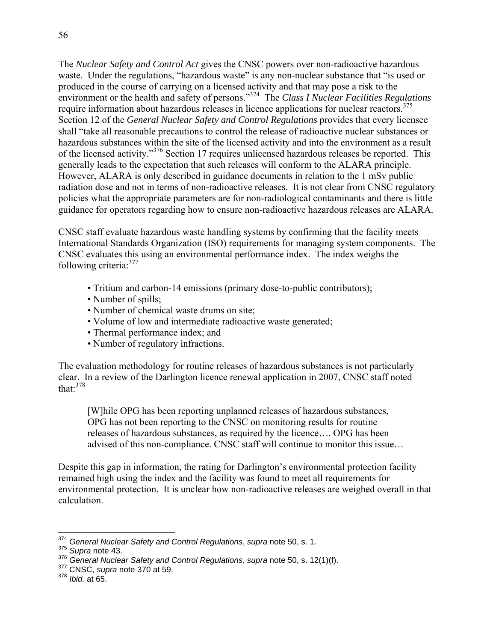The *Nuclear Safety and Control Act* gives the CNSC powers over non-radioactive hazardous waste. Under the regulations, "hazardous waste" is any non-nuclear substance that "is used or produced in the course of carrying on a licensed activity and that may pose a risk to the environment or the health and safety of persons."374 The *Class I Nuclear Facilities Regulations* require information about hazardous releases in licence applications for nuclear reactors.<sup>375</sup> Section 12 of the *General Nuclear Safety and Control Regulations* provides that every licensee shall "take all reasonable precautions to control the release of radioactive nuclear substances or hazardous substances within the site of the licensed activity and into the environment as a result of the licensed activity."<sup>376</sup> Section 17 requires unlicensed hazardous releases be reported. This generally leads to the expectation that such releases will conform to the ALARA principle. However, ALARA is only described in guidance documents in relation to the 1 mSv public radiation dose and not in terms of non-radioactive releases. It is not clear from CNSC regulatory policies what the appropriate parameters are for non-radiological contaminants and there is little guidance for operators regarding how to ensure non-radioactive hazardous releases are ALARA.

CNSC staff evaluate hazardous waste handling systems by confirming that the facility meets International Standards Organization (ISO) requirements for managing system components. The CNSC evaluates this using an environmental performance index. The index weighs the following criteria:377

- Tritium and carbon-14 emissions (primary dose-to-public contributors);
- Number of spills;
- Number of chemical waste drums on site;
- Volume of low and intermediate radioactive waste generated;
- Thermal performance index; and
- Number of regulatory infractions.

The evaluation methodology for routine releases of hazardous substances is not particularly clear. In a review of the Darlington licence renewal application in 2007, CNSC staff noted that: $378$ 

[W]hile OPG has been reporting unplanned releases of hazardous substances, OPG has not been reporting to the CNSC on monitoring results for routine releases of hazardous substances, as required by the licence…. OPG has been advised of this non-compliance. CNSC staff will continue to monitor this issue…

Despite this gap in information, the rating for Darlington's environmental protection facility remained high using the index and the facility was found to meet all requirements for environmental protection. It is unclear how non-radioactive releases are weighed overall in that calculation.

1

<sup>374</sup> *General Nuclear Safety and Control Regulations*, *supra* note 50, s. 1.

<sup>375</sup> *Supra* note 43.

<sup>376</sup> *General Nuclear Safety and Control Regulations*, *supra* note 50, s. 12(1)(f). 377 CNSC, *supra* note 370 at 59.

<sup>378</sup> *Ibid.* at 65.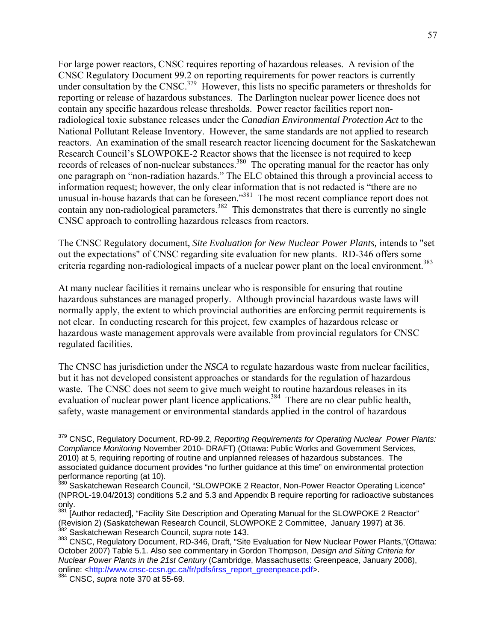For large power reactors, CNSC requires reporting of hazardous releases. A revision of the CNSC Regulatory Document 99.2 on reporting requirements for power reactors is currently under consultation by the CNSC.<sup>379</sup> However, this lists no specific parameters or thresholds for reporting or release of hazardous substances. The Darlington nuclear power licence does not contain any specific hazardous release thresholds. Power reactor facilities report nonradiological toxic substance releases under the *Canadian Environmental Protection Act* to the National Pollutant Release Inventory. However, the same standards are not applied to research reactors. An examination of the small research reactor licencing document for the Saskatchewan Research Council's SLOWPOKE-2 Reactor shows that the licensee is not required to keep records of releases of non-nuclear substances.<sup>380</sup> The operating manual for the reactor has only one paragraph on "non-radiation hazards." The ELC obtained this through a provincial access to information request; however, the only clear information that is not redacted is "there are no unusual in-house hazards that can be foreseen."<sup>381</sup> The most recent compliance report does not contain any non-radiological parameters.<sup>382</sup> This demonstrates that there is currently no single CNSC approach to controlling hazardous releases from reactors.

The CNSC Regulatory document, *Site Evaluation for New Nuclear Power Plants,* intends to "set out the expectations" of CNSC regarding site evaluation for new plants. RD-346 offers some criteria regarding non-radiological impacts of a nuclear power plant on the local environment.<sup>383</sup>

At many nuclear facilities it remains unclear who is responsible for ensuring that routine hazardous substances are managed properly. Although provincial hazardous waste laws will normally apply, the extent to which provincial authorities are enforcing permit requirements is not clear. In conducting research for this project, few examples of hazardous release or hazardous waste management approvals were available from provincial regulators for CNSC regulated facilities.

The CNSC has jurisdiction under the *NSCA* to regulate hazardous waste from nuclear facilities, but it has not developed consistent approaches or standards for the regulation of hazardous waste. The CNSC does not seem to give much weight to routine hazardous releases in its evaluation of nuclear power plant licence applications.<sup>384</sup> There are no clear public health, safety, waste management or environmental standards applied in the control of hazardous

 $\overline{a}$ 379 CNSC, Regulatory Document, RD-99.2, *Reporting Requirements for Operating Nuclear Power Plants: Compliance Monitoring* November 2010- DRAFT) (Ottawa: Public Works and Government Services, 2010) at 5, requiring reporting of routine and unplanned releases of hazardous substances. The associated guidance document provides "no further guidance at this time" on environmental protection performance reporting (at 10).

<sup>&</sup>lt;sup>380</sup> Saskatchewan Research Council, "SLOWPOKE 2 Reactor, Non-Power Reactor Operating Licence" (NPROL-19.04/2013) conditions 5.2 and 5.3 and Appendix B require reporting for radioactive substances only.

<sup>&</sup>lt;sup>381</sup> [Author redacted], "Facility Site Description and Operating Manual for the SLOWPOKE 2 Reactor" (Revision 2) (Saskatchewan Research Council, SLOWPOKE 2 Committee, January 1997) at 36. 382 Saskatchewan Research Council, *supra* note 143.

<sup>383</sup> CNSC, Regulatory Document, RD-346, Draft, "Site Evaluation for New Nuclear Power Plants,"(Ottawa: October 2007) Table 5.1. Also see commentary in Gordon Thompson, *Design and Siting Criteria for Nuclear Power Plants in the 21st Century* (Cambridge, Massachusetts: Greenpeace, January 2008), online: <http://www.cnsc-ccsn.gc.ca/fr/pdfs/irss\_report\_greenpeace.pdf>.

<sup>384</sup> CNSC, *supra* note 370 at 55-69.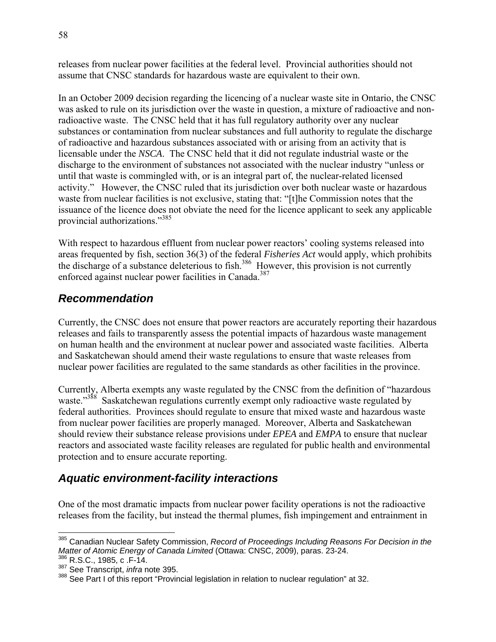releases from nuclear power facilities at the federal level. Provincial authorities should not assume that CNSC standards for hazardous waste are equivalent to their own.

In an October 2009 decision regarding the licencing of a nuclear waste site in Ontario, the CNSC was asked to rule on its jurisdiction over the waste in question, a mixture of radioactive and nonradioactive waste. The CNSC held that it has full regulatory authority over any nuclear substances or contamination from nuclear substances and full authority to regulate the discharge of radioactive and hazardous substances associated with or arising from an activity that is licensable under the *NSCA*. The CNSC held that it did not regulate industrial waste or the discharge to the environment of substances not associated with the nuclear industry "unless or until that waste is commingled with, or is an integral part of, the nuclear-related licensed activity." However, the CNSC ruled that its jurisdiction over both nuclear waste or hazardous waste from nuclear facilities is not exclusive, stating that: "[t]he Commission notes that the issuance of the licence does not obviate the need for the licence applicant to seek any applicable provincial authorizations."385

With respect to hazardous effluent from nuclear power reactors' cooling systems released into areas frequented by fish, section 36(3) of the federal *Fisheries Act* would apply, which prohibits the discharge of a substance deleterious to fish.<sup>386</sup> However, this provision is not currently enforced against nuclear power facilities in Canada.<sup>387</sup>

#### *Recommendation*

Currently, the CNSC does not ensure that power reactors are accurately reporting their hazardous releases and fails to transparently assess the potential impacts of hazardous waste management on human health and the environment at nuclear power and associated waste facilities. Alberta and Saskatchewan should amend their waste regulations to ensure that waste releases from nuclear power facilities are regulated to the same standards as other facilities in the province.

Currently, Alberta exempts any waste regulated by the CNSC from the definition of "hazardous waste."<sup>388</sup> Saskatchewan regulations currently exempt only radioactive waste regulated by federal authorities. Provinces should regulate to ensure that mixed waste and hazardous waste from nuclear power facilities are properly managed. Moreover, Alberta and Saskatchewan should review their substance release provisions under *EPEA* and *EMPA* to ensure that nuclear reactors and associated waste facility releases are regulated for public health and environmental protection and to ensure accurate reporting.

## *Aquatic environment-facility interactions*

One of the most dramatic impacts from nuclear power facility operations is not the radioactive releases from the facility, but instead the thermal plumes, fish impingement and entrainment in

<sup>&</sup>lt;sup>385</sup> Canadian Nuclear Safety Commission, *Record of Proceedings Including Reasons For Decision in the Matter of Atomic Energy of Canada Limited* (Ottawa: CNSC, 2009), paras. 23-24.<br><sup>386</sup> R.S.C., 1985, c .F-14.

<sup>387</sup> See Transcript, *infra* note 395.

<sup>388</sup> See Part I of this report "Provincial legislation in relation to nuclear regulation" at 32.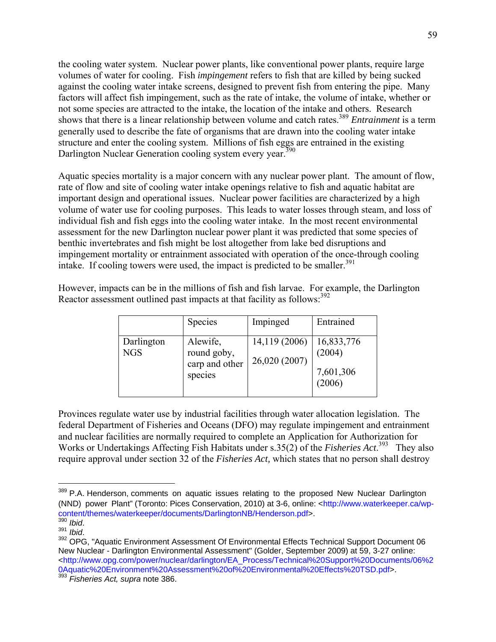the cooling water system. Nuclear power plants, like conventional power plants, require large volumes of water for cooling. Fish *impingement* refers to fish that are killed by being sucked against the cooling water intake screens, designed to prevent fish from entering the pipe. Many factors will affect fish impingement, such as the rate of intake, the volume of intake, whether or not some species are attracted to the intake, the location of the intake and others. Research shows that there is a linear relationship between volume and catch rates.389 *Entrainment* is a term generally used to describe the fate of organisms that are drawn into the cooling water intake structure and enter the cooling system. Millions of fish eggs are entrained in the existing Darlington Nuclear Generation cooling system every year.<sup>390</sup>

Aquatic species mortality is a major concern with any nuclear power plant. The amount of flow, rate of flow and site of cooling water intake openings relative to fish and aquatic habitat are important design and operational issues. Nuclear power facilities are characterized by a high volume of water use for cooling purposes. This leads to water losses through steam, and loss of individual fish and fish eggs into the cooling water intake. In the most recent environmental assessment for the new Darlington nuclear power plant it was predicted that some species of benthic invertebrates and fish might be lost altogether from lake bed disruptions and impingement mortality or entrainment associated with operation of the once-through cooling intake. If cooling towers were used, the impact is predicted to be smaller.<sup>391</sup>

However, impacts can be in the millions of fish and fish larvae. For example, the Darlington Reactor assessment outlined past impacts at that facility as follows:<sup>392</sup>

|                          | <b>Species</b>                                       | Impinged                       | Entrained                                   |
|--------------------------|------------------------------------------------------|--------------------------------|---------------------------------------------|
| Darlington<br><b>NGS</b> | Alewife,<br>round goby,<br>carp and other<br>species | 14,119 (2006)<br>26,020 (2007) | 16,833,776<br>(2004)<br>7,601,306<br>(2006) |

Provinces regulate water use by industrial facilities through water allocation legislation. The federal Department of Fisheries and Oceans (DFO) may regulate impingement and entrainment and nuclear facilities are normally required to complete an Application for Authorization for Works or Undertakings Affecting Fish Habitats under s.35(2) of the *Fisheries Act*.<sup>393</sup> They also require approval under section 32 of the *Fisheries Act,* which states that no person shall destroy

1

<sup>&</sup>lt;sup>389</sup> P.A. Henderson, comments on aquatic issues relating to the proposed New Nuclear Darlington (NND) power Plant" (Toronto: Pices Conservation, 2010) at 3-6, online: <http://www.waterkeeper.ca/wpcontent/themes/waterkeeper/documents/DarlingtonNB/Henderson.pdf>.<br><sup>390</sup> Ibid.

<sup>390</sup> *Ibid*. 391 *Ibid*. 392 OPG, "Aquatic Environment Assessment Of Environmental Effects Technical Support Document 06 New Nuclear - Darlington Environmental Assessment" (Golder, September 2009) at 59, 3-27 online: <http://www.opg.com/power/nuclear/darlington/EA\_Process/Technical%20Support%20Documents/06%2 0Aquatic%20Environment%20Assessment%20of%20Environmental%20Effects%20TSD.pdf>.

<sup>393</sup> *Fisheries Act, supra* note 386.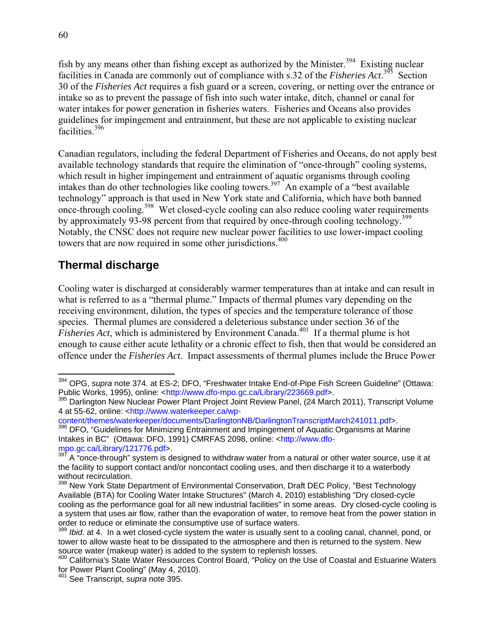fish by any means other than fishing except as authorized by the Minister.<sup>394</sup> Existing nuclear facilities in Canada are commonly out of compliance with s.32 of the *Fisheries Act*.<sup>395</sup> Section 30 of the *Fisheries Act* requires a fish guard or a screen, covering, or netting over the entrance or intake so as to prevent the passage of fish into such water intake, ditch, channel or canal for water intakes for power generation in fisheries waters. Fisheries and Oceans also provides guidelines for impingement and entrainment, but these are not applicable to existing nuclear facilities<sup>396</sup>

Canadian regulators, including the federal Department of Fisheries and Oceans, do not apply best available technology standards that require the elimination of "once-through" cooling systems, which result in higher impingement and entrainment of aquatic organisms through cooling intakes than do other technologies like cooling towers.<sup>397</sup> An example of a "best available" technology" approach is that used in New York state and California, which have both banned once-through cooling.398 Wet closed-cycle cooling can also reduce cooling water requirements by approximately 93-98 percent from that required by once-through cooling technology.<sup>399</sup> Notably, the CNSC does not require new nuclear power facilities to use lower-impact cooling towers that are now required in some other jurisdictions.<sup>400</sup>

## **Thermal discharge**

Cooling water is discharged at considerably warmer temperatures than at intake and can result in what is referred to as a "thermal plume." Impacts of thermal plumes vary depending on the receiving environment, dilution, the types of species and the temperature tolerance of those species. Thermal plumes are considered a deleterious substance under section 36 of the *Fisheries Act*, which is administered by Environment Canada.<sup>401</sup> If a thermal plume is hot enough to cause either acute lethality or a chronic effect to fish, then that would be considered an offence under the *Fisheries Act*. Impact assessments of thermal plumes include the Bruce Power

content/themes/waterkeeper/documents/DarlingtonNB/DarlingtonTranscriptMarch241011.pdf>. 396 DFO, "Guidelines for Minimizing Entrainment and Impingement of Aquatic Organisms at Marine Intakes in BC" (Ottawa: DFO, 1991) CMRFAS 2098, online: <http://www.dfompo.gc.ca/Library/121776.pdf>.

 $\overline{a}$ 394 OPG, *supra* note 374*.* at ES-2; DFO, "Freshwater Intake End-of-Pipe Fish Screen Guideline" (Ottawa: Public Works, 1995), online: <http://www.dfo-mpo.gc.ca/Library/223669.pdf>.

<sup>395</sup> Darlington New Nuclear Power Plant Project Joint Review Panel, (24 March 2011), Transcript Volume 4 at 55-62, online: <http://www.waterkeeper.ca/wp-

 $397$  A "once-through" system is designed to withdraw water from a natural or other water source, use it at the facility to support contact and/or noncontact cooling uses, and then discharge it to a waterbody without recirculation.

<sup>&</sup>lt;sup>398</sup> New York State Department of Environmental Conservation, Draft DEC Policy, "Best Technology Available (BTA) for Cooling Water Intake Structures" (March 4, 2010) establishing "Dry closed-cycle cooling as the performance goal for all new industrial facilities" in some areas. Dry closed-cycle cooling is a system that uses air flow, rather than the evaporation of water, to remove heat from the power station in order to reduce or eliminate the consumptive use of surface waters.

<sup>&</sup>lt;sup>399</sup> *Ibid.* at 4. In a wet closed-cycle system the water is usually sent to a cooling canal, channel, pond, or tower to allow waste heat to be dissipated to the atmosphere and then is returned to the system. New source water (makeup water) is added to the system to replenish losses.

<sup>&</sup>lt;sup>400</sup> California's State Water Resources Control Board, "Policy on the Use of Coastal and Estuarine Waters for Power Plant Cooling" (May 4, 2010).

<sup>401</sup> See Transcript, *supra* note 395.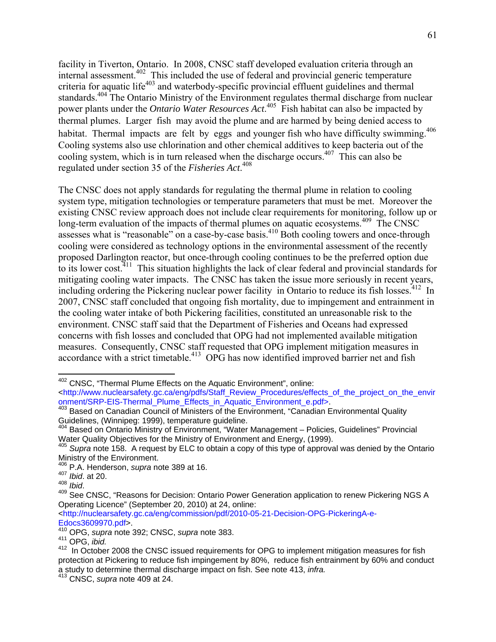facility in Tiverton, Ontario. In 2008, CNSC staff developed evaluation criteria through an internal assessment.<sup>402</sup> This included the use of federal and provincial generic temperature criteria for aquatic life<sup>403</sup> and waterbody-specific provincial effluent guidelines and thermal standards.<sup>404</sup> The Ontario Ministry of the Environment regulates thermal discharge from nuclear power plants under the *Ontario Water Resources Act*. 405 Fish habitat can also be impacted by thermal plumes. Larger fish may avoid the plume and are harmed by being denied access to habitat. Thermal impacts are felt by eggs and younger fish who have difficulty swimming.<sup>406</sup> Cooling systems also use chlorination and other chemical additives to keep bacteria out of the cooling system, which is in turn released when the discharge occurs.<sup>407</sup> This can also be regulated under section 35 of the *Fisheries Act*. 408

The CNSC does not apply standards for regulating the thermal plume in relation to cooling system type, mitigation technologies or temperature parameters that must be met. Moreover the existing CNSC review approach does not include clear requirements for monitoring, follow up or long-term evaluation of the impacts of thermal plumes on aquatic ecosystems.<sup>409</sup> The CNSC assesses what is "reasonable" on a case-by-case basis.<sup>410</sup> Both cooling towers and once-through cooling were considered as technology options in the environmental assessment of the recently proposed Darlington reactor, but once-through cooling continues to be the preferred option due to its lower cost.<sup>411</sup> This situation highlights the lack of clear federal and provincial standards for mitigating cooling water impacts. The CNSC has taken the issue more seriously in recent years, including ordering the Pickering nuclear power facility in Ontario to reduce its fish losses.<sup>412</sup> In 2007, CNSC staff concluded that ongoing fish mortality, due to impingement and entrainment in the cooling water intake of both Pickering facilities, constituted an unreasonable risk to the environment. CNSC staff said that the Department of Fisheries and Oceans had expressed concerns with fish losses and concluded that OPG had not implemented available mitigation measures. Consequently, CNSC staff requested that OPG implement mitigation measures in accordance with a strict timetable.<sup>413</sup> OPG has now identified improved barrier net and fish

1

<http://nuclearsafety.gc.ca/eng/commission/pdf/2010-05-21-Decision-OPG-PickeringA-e-Edocs3609970.pdf>.

<sup>&</sup>lt;sup>402</sup> CNSC, "Thermal Plume Effects on the Aquatic Environment", online:

<sup>&</sup>lt;http://www.nuclearsafety.gc.ca/eng/pdfs/Staff\_Review\_Procedures/effects\_of\_the\_project\_on\_the\_envir onment/SRP-EIS-Thermal\_Plume\_Effects\_in\_Aquatic\_Environment\_e.pdf>. <br><sup>403</sup> Based on Canadian Council of Ministers of the Environment, "Canadian Environmental Quality

Guidelines, (Winnipeg: 1999), temperature guideline.

<sup>404</sup> Based on Ontario Ministry of Environment, "Water Management – Policies, Guidelines" Provincial Water Quality Objectives for the Ministry of Environment and Energy, (1999).<br><sup>405</sup> Supra note 158. A request by ELC to obtain a copy of this type of approval was denied by the Ontario

Ministry of the Environment.

<sup>406</sup> P.A. Henderson, *supra* note 389 at 16.

<sup>407</sup> *Ibid*. at 20.

<sup>408</sup> *Ibid*. 409 See CNSC, "Reasons for Decision: Ontario Power Generation application to renew Pickering NGS A Operating Licence" (September 20, 2010) at 24, online:

<sup>410</sup> OPG, *supra* note 392; CNSC, *supra* note 383.

<sup>411</sup> OPG, *ibid.*

<sup>412</sup> In October 2008 the CNSC issued requirements for OPG to implement mitigation measures for fish protection at Pickering to reduce fish impingement by 80%, reduce fish entrainment by 60% and conduct a study to determine thermal discharge impact on fish. See note 413, *infra.*

<sup>&</sup>lt;sup>3</sup> CNSC, *supra* note 409 at 24.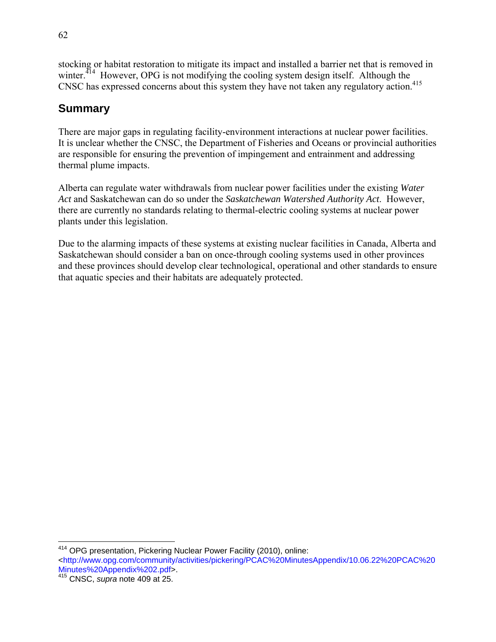stocking or habitat restoration to mitigate its impact and installed a barrier net that is removed in winter. $414$  However, OPG is not modifying the cooling system design itself. Although the CNSC has expressed concerns about this system they have not taken any regulatory action.<sup>415</sup>

## **Summary**

There are major gaps in regulating facility-environment interactions at nuclear power facilities. It is unclear whether the CNSC, the Department of Fisheries and Oceans or provincial authorities are responsible for ensuring the prevention of impingement and entrainment and addressing thermal plume impacts.

Alberta can regulate water withdrawals from nuclear power facilities under the existing *Water Act* and Saskatchewan can do so under the *Saskatchewan Watershed Authority Act*. However, there are currently no standards relating to thermal-electric cooling systems at nuclear power plants under this legislation.

Due to the alarming impacts of these systems at existing nuclear facilities in Canada, Alberta and Saskatchewan should consider a ban on once-through cooling systems used in other provinces and these provinces should develop clear technological, operational and other standards to ensure that aquatic species and their habitats are adequately protected.

 $\overline{a}$ <sup>414</sup> OPG presentation, Pickering Nuclear Power Facility (2010), online:

<sup>&</sup>lt;http://www.opg.com/community/activities/pickering/PCAC%20MinutesAppendix/10.06.22%20PCAC%20 Minutes%20Appendix%202.pdf>.

<sup>415</sup> CNSC, *supra* note 409 at 25.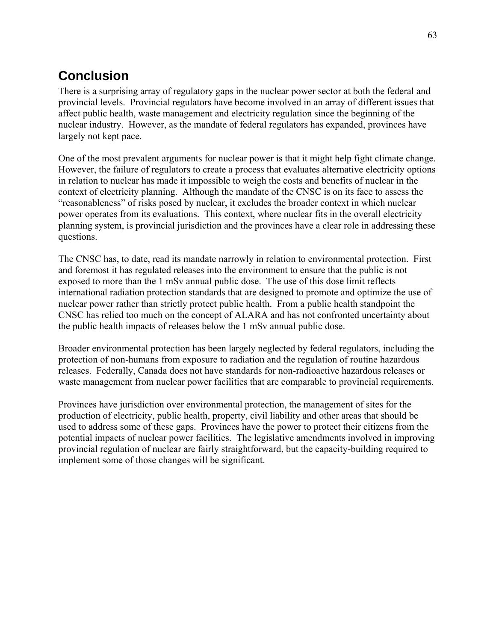## **Conclusion**

There is a surprising array of regulatory gaps in the nuclear power sector at both the federal and provincial levels. Provincial regulators have become involved in an array of different issues that affect public health, waste management and electricity regulation since the beginning of the nuclear industry. However, as the mandate of federal regulators has expanded, provinces have largely not kept pace.

One of the most prevalent arguments for nuclear power is that it might help fight climate change. However, the failure of regulators to create a process that evaluates alternative electricity options in relation to nuclear has made it impossible to weigh the costs and benefits of nuclear in the context of electricity planning. Although the mandate of the CNSC is on its face to assess the "reasonableness" of risks posed by nuclear, it excludes the broader context in which nuclear power operates from its evaluations. This context, where nuclear fits in the overall electricity planning system, is provincial jurisdiction and the provinces have a clear role in addressing these questions.

The CNSC has, to date, read its mandate narrowly in relation to environmental protection. First and foremost it has regulated releases into the environment to ensure that the public is not exposed to more than the 1 mSv annual public dose. The use of this dose limit reflects international radiation protection standards that are designed to promote and optimize the use of nuclear power rather than strictly protect public health. From a public health standpoint the CNSC has relied too much on the concept of ALARA and has not confronted uncertainty about the public health impacts of releases below the 1 mSv annual public dose.

Broader environmental protection has been largely neglected by federal regulators, including the protection of non-humans from exposure to radiation and the regulation of routine hazardous releases. Federally, Canada does not have standards for non-radioactive hazardous releases or waste management from nuclear power facilities that are comparable to provincial requirements.

Provinces have jurisdiction over environmental protection, the management of sites for the production of electricity, public health, property, civil liability and other areas that should be used to address some of these gaps. Provinces have the power to protect their citizens from the potential impacts of nuclear power facilities. The legislative amendments involved in improving provincial regulation of nuclear are fairly straightforward, but the capacity-building required to implement some of those changes will be significant.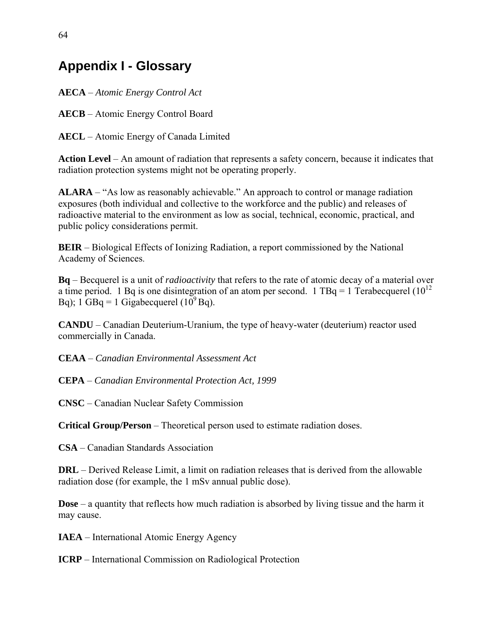# **Appendix I - Glossary**

**AECA** – *Atomic Energy Control Act*

**AECB** – Atomic Energy Control Board

**AECL** – Atomic Energy of Canada Limited

**Action Level** – An amount of radiation that represents a safety concern, because it indicates that radiation protection systems might not be operating properly.

**ALARA** – "As low as reasonably achievable." An approach to control or manage radiation exposures (both individual and collective to the workforce and the public) and releases of radioactive material to the environment as low as social, technical, economic, practical, and public policy considerations permit.

**BEIR** – Biological Effects of Ionizing Radiation, a report commissioned by the National Academy of Sciences.

**Bq** – Becquerel is a unit of *radioactivity* that refers to the rate of atomic decay of a material over a time period. 1 Bq is one disintegration of an atom per second. 1 TBq = 1 Terabecquerel  $(10^{12}$ Bq); 1 GBq = 1 Gigabecquerel  $(10^9$ Bq).

**CANDU** – Canadian Deuterium-Uranium, the type of heavy-water (deuterium) reactor used commercially in Canada.

**CEAA** – *Canadian Environmental Assessment Act*

**CEPA** – *Canadian Environmental Protection Act, 1999*

**CNSC** – Canadian Nuclear Safety Commission

**Critical Group/Person** – Theoretical person used to estimate radiation doses.

**CSA** – Canadian Standards Association

**DRL** – Derived Release Limit, a limit on radiation releases that is derived from the allowable radiation dose (for example, the 1 mSv annual public dose).

**Dose** – a quantity that reflects how much radiation is absorbed by living tissue and the harm it may cause.

**IAEA** – International Atomic Energy Agency

**ICRP** – International Commission on Radiological Protection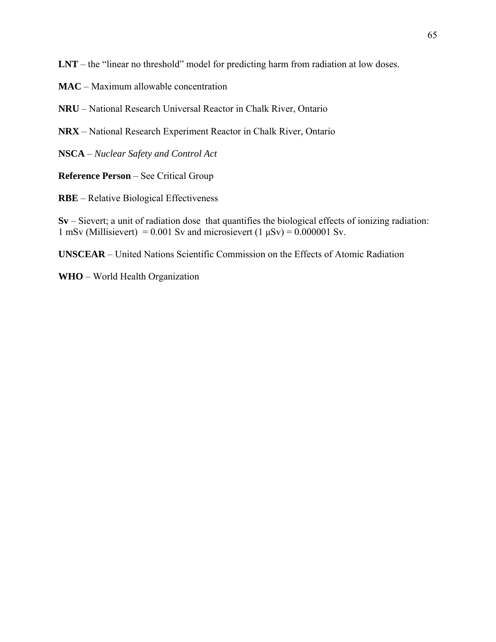**LNT** – the "linear no threshold" model for predicting harm from radiation at low doses.

- **MAC** Maximum allowable concentration
- **NRU** National Research Universal Reactor in Chalk River, Ontario
- **NRX** National Research Experiment Reactor in Chalk River, Ontario
- **NSCA** *Nuclear Safety and Control Act*

**Reference Person** – See Critical Group

**RBE** – Relative Biological Effectiveness

**Sv** – Sievert; a unit of radiation dose that quantifies the biological effects of ionizing radiation: 1 mSv (Millisievert) = 0.001 Sv and microsievert (1  $\mu$ Sv) = 0.000001 Sv.

**UNSCEAR** – United Nations Scientific Commission on the Effects of Atomic Radiation

**WHO** – World Health Organization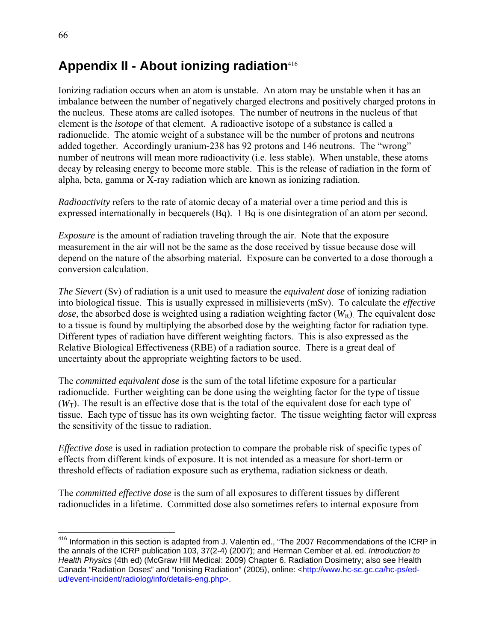# **Appendix II - About ionizing radiation**<sup>416</sup>

Ionizing radiation occurs when an atom is unstable. An atom may be unstable when it has an imbalance between the number of negatively charged electrons and positively charged protons in the nucleus. These atoms are called isotopes. The number of neutrons in the nucleus of that element is the *isotope* of that element. A radioactive isotope of a substance is called a radionuclide. The atomic weight of a substance will be the number of protons and neutrons added together. Accordingly uranium-238 has 92 protons and 146 neutrons. The "wrong" number of neutrons will mean more radioactivity (i.e. less stable). When unstable, these atoms decay by releasing energy to become more stable. This is the release of radiation in the form of alpha, beta, gamma or X-ray radiation which are known as ionizing radiation.

*Radioactivity* refers to the rate of atomic decay of a material over a time period and this is expressed internationally in becquerels (Bq). 1 Bq is one disintegration of an atom per second.

*Exposure* is the amount of radiation traveling through the air. Note that the exposure measurement in the air will not be the same as the dose received by tissue because dose will depend on the nature of the absorbing material. Exposure can be converted to a dose thorough a conversion calculation.

*The Sievert* (Sv) of radiation is a unit used to measure the *equivalent dose* of ionizing radiation into biological tissue. This is usually expressed in millisieverts (mSv). To calculate the *effective dose*, the absorbed dose is weighted using a radiation weighting factor  $(W_R)$ . The equivalent dose to a tissue is found by multiplying the absorbed dose by the weighting factor for radiation type. Different types of radiation have different weighting factors. This is also expressed as the Relative Biological Effectiveness (RBE) of a radiation source. There is a great deal of uncertainty about the appropriate weighting factors to be used.

The *committed equivalent dose* is the sum of the total lifetime exposure for a particular radionuclide. Further weighting can be done using the weighting factor for the type of tissue  $(W_T)$ . The result is an effective dose that is the total of the equivalent dose for each type of tissue. Each type of tissue has its own weighting factor. The tissue weighting factor will express the sensitivity of the tissue to radiation.

*Effective dose* is used in radiation protection to compare the probable risk of specific types of effects from different kinds of exposure. It is not intended as a measure for short-term or threshold effects of radiation exposure such as erythema, radiation sickness or death.

The *committed effective dose* is the sum of all exposures to different tissues by different radionuclides in a lifetime. Committed dose also sometimes refers to internal exposure from

 $\overline{a}$ 

<sup>&</sup>lt;sup>416</sup> Information in this section is adapted from J. Valentin ed., "The 2007 Recommendations of the ICRP in the annals of the ICRP publication 103, 37(2-4) (2007); and Herman Cember et al. ed. *Introduction to Health Physics* (4th ed) (McGraw Hill Medical: 2009) Chapter 6, Radiation Dosimetry; also see Health Canada "Radiation Doses" and "Ionising Radiation" (2005), online: <http://www.hc-sc.gc.ca/hc-ps/edud/event-incident/radiolog/info/details-eng.php>.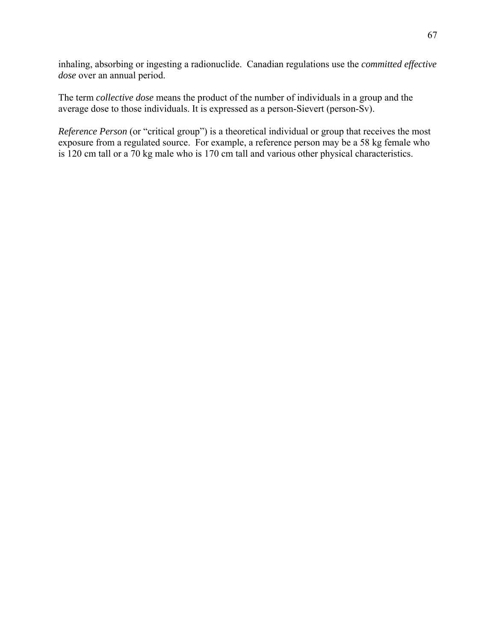inhaling, absorbing or ingesting a radionuclide. Canadian regulations use the *committed effective dose* over an annual period.

The term *collective dose* means the product of the number of individuals in a group and the average dose to those individuals. It is expressed as a person-Sievert (person-Sv).

*Reference Person* (or "critical group") is a theoretical individual or group that receives the most exposure from a regulated source. For example, a reference person may be a 58 kg female who is 120 cm tall or a 70 kg male who is 170 cm tall and various other physical characteristics.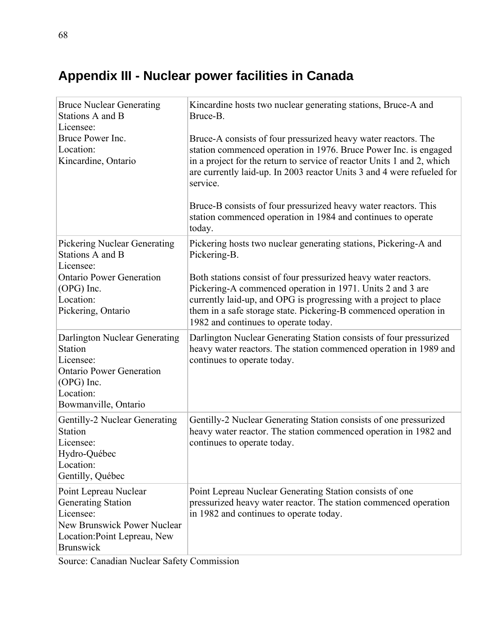# **Appendix III - Nuclear power facilities in Canada**

| <b>Bruce Nuclear Generating</b><br>Stations A and B<br>Licensee:<br>Bruce Power Inc.<br>Location:<br>Kincardine, Ontario                                 | Kincardine hosts two nuclear generating stations, Bruce-A and<br>Bruce-B.<br>Bruce-A consists of four pressurized heavy water reactors. The<br>station commenced operation in 1976. Bruce Power Inc. is engaged<br>in a project for the return to service of reactor Units 1 and 2, which<br>are currently laid-up. In 2003 reactor Units 3 and 4 were refueled for<br>service.<br>Bruce-B consists of four pressurized heavy water reactors. This<br>station commenced operation in 1984 and continues to operate<br>today. |
|----------------------------------------------------------------------------------------------------------------------------------------------------------|------------------------------------------------------------------------------------------------------------------------------------------------------------------------------------------------------------------------------------------------------------------------------------------------------------------------------------------------------------------------------------------------------------------------------------------------------------------------------------------------------------------------------|
| <b>Pickering Nuclear Generating</b><br>Stations A and B<br>Licensee:<br><b>Ontario Power Generation</b><br>(OPG) Inc.<br>Location:<br>Pickering, Ontario | Pickering hosts two nuclear generating stations, Pickering-A and<br>Pickering-B.<br>Both stations consist of four pressurized heavy water reactors.<br>Pickering-A commenced operation in 1971. Units 2 and 3 are<br>currently laid-up, and OPG is progressing with a project to place<br>them in a safe storage state. Pickering-B commenced operation in<br>1982 and continues to operate today.                                                                                                                           |
| Darlington Nuclear Generating<br>Station<br>Licensee:<br><b>Ontario Power Generation</b><br>(OPG) Inc.<br>Location:<br>Bowmanville, Ontario              | Darlington Nuclear Generating Station consists of four pressurized<br>heavy water reactors. The station commenced operation in 1989 and<br>continues to operate today.                                                                                                                                                                                                                                                                                                                                                       |
| Gentilly-2 Nuclear Generating<br>Station<br>Licensee:<br>Hydro-Québec<br>Location:<br>Gentilly, Québec                                                   | Gentilly-2 Nuclear Generating Station consists of one pressurized<br>heavy water reactor. The station commenced operation in 1982 and<br>continues to operate today.                                                                                                                                                                                                                                                                                                                                                         |
| Point Lepreau Nuclear<br><b>Generating Station</b><br>Licensee:<br>New Brunswick Power Nuclear<br>Location: Point Lepreau, New<br><b>Brunswick</b>       | Point Lepreau Nuclear Generating Station consists of one<br>pressurized heavy water reactor. The station commenced operation<br>in 1982 and continues to operate today.                                                                                                                                                                                                                                                                                                                                                      |

Source: Canadian Nuclear Safety Commission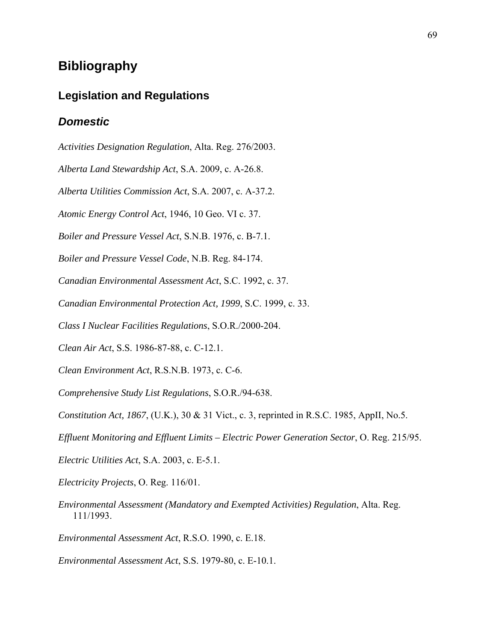# **Bibliography**

## **Legislation and Regulations**

#### *Domestic*

*Activities Designation Regulation*, Alta. Reg. 276/2003.

*Alberta Land Stewardship Act*, S.A. 2009, c. A-26.8.

*Alberta Utilities Commission Act*, S.A. 2007, c. A-37.2.

*Atomic Energy Control Act*, 1946, 10 Geo. VI c. 37.

*Boiler and Pressure Vessel Act*, S.N.B. 1976, c. B-7.1.

*Boiler and Pressure Vessel Code*, N.B. Reg. 84-174.

*Canadian Environmental Assessment Act*, S.C. 1992, c. 37.

*Canadian Environmental Protection Act, 1999*, S.C. 1999, c. 33.

*Class I Nuclear Facilities Regulations*, S.O.R./2000-204.

*Clean Air Act*, S.S. 1986-87-88, c. C-12.1.

*Clean Environment Act*, R.S.N.B. 1973, c. C-6.

*Comprehensive Study List Regulations*, S.O.R./94-638.

*Constitution Act, 1867*, (U.K.), 30 & 31 Vict., c. 3, reprinted in R.S.C. 1985, AppII, No.5.

*Effluent Monitoring and Effluent Limits – Electric Power Generation Sector*, O. Reg. 215/95.

*Electric Utilities Act*, S.A. 2003, c. E-5.1.

*Electricity Projects*, O. Reg. 116/01.

*Environmental Assessment (Mandatory and Exempted Activities) Regulation*, Alta. Reg. 111/1993.

*Environmental Assessment Act*, R.S.O. 1990, c. E.18.

*Environmental Assessment Act*, S.S. 1979-80, c. E-10.1.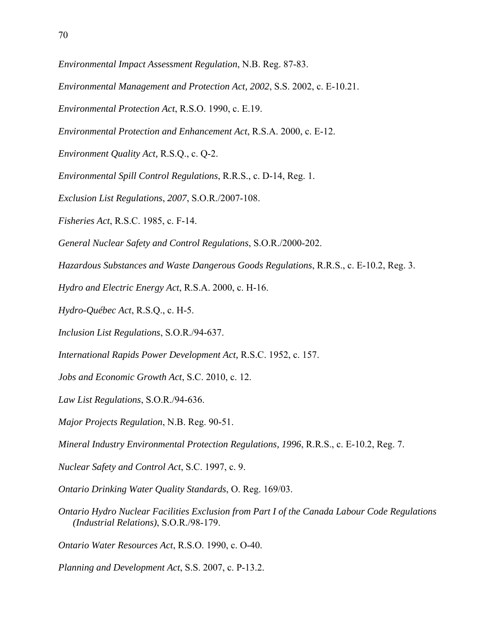- *Environmental Impact Assessment Regulation*, N.B. Reg. 87-83.
- *Environmental Management and Protection Act, 2002*, S.S. 2002, c. E-10.21.
- *Environmental Protection Act*, R.S.O. 1990, c. E.19.
- *Environmental Protection and Enhancement Act*, R.S.A. 2000, c. E-12.
- *Environment Quality Act,* R.S.Q., c. Q-2.
- *Environmental Spill Control Regulations*, R.R.S., c. D-14, Reg. 1.
- *Exclusion List Regulations*, *2007*, S.O.R./2007-108.
- *Fisheries Act*, R.S.C. 1985, c. F-14.
- *General Nuclear Safety and Control Regulations*, S.O.R./2000-202.
- *Hazardous Substances and Waste Dangerous Goods Regulations*, R.R.S., c. E-10.2, Reg. 3.
- *Hydro and Electric Energy Act*, R.S.A. 2000, c. H-16.
- *Hydro-Québec Act*, R.S.Q., c. H-5.
- *Inclusion List Regulations*, S.O.R./94-637.
- *International Rapids Power Development Act,* R.S.C. 1952, c. 157.
- *Jobs and Economic Growth Act*, S.C. 2010, c. 12.
- *Law List Regulations*, S.O.R./94-636.
- *Major Projects Regulation*, N.B. Reg. 90-51.
- *Mineral Industry Environmental Protection Regulations, 1996*, R.R.S., c. E-10.2, Reg. 7.
- *Nuclear Safety and Control Act*, S.C. 1997, c. 9.
- *Ontario Drinking Water Quality Standards*, O. Reg. 169/03.
- *Ontario Hydro Nuclear Facilities Exclusion from Part I of the Canada Labour Code Regulations (Industrial Relations)*, S.O.R./98-179.
- *Ontario Water Resources Act*, R.S.O. 1990, c. O-40.
- *Planning and Development Act*, S.S. 2007, c. P-13.2.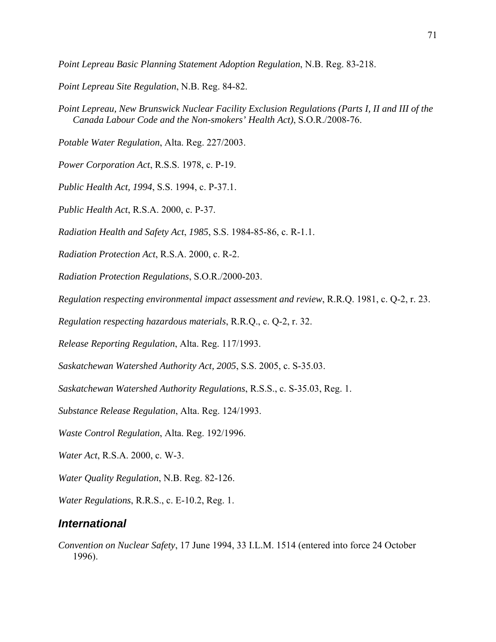*Point Lepreau Basic Planning Statement Adoption Regulation*, N.B. Reg. 83-218.

*Point Lepreau Site Regulation*, N.B. Reg. 84-82.

*Point Lepreau, New Brunswick Nuclear Facility Exclusion Regulations (Parts I, II and III of the Canada Labour Code and the Non-smokers' Health Act)*, S.O.R./2008-76.

*Potable Water Regulation*, Alta. Reg. 227/2003.

*Power Corporation Act*, R.S.S. 1978, c. P-19.

*Public Health Act, 1994*, S.S. 1994, c. P-37.1.

*Public Health Act*, R.S.A. 2000, c. P-37.

*Radiation Health and Safety Act*, *1985*, S.S. 1984-85-86, c. R-1.1.

*Radiation Protection Act*, R.S.A. 2000, c. R-2.

*Radiation Protection Regulations*, S.O.R./2000-203.

*Regulation respecting environmental impact assessment and review*, R.R.Q. 1981, c. Q-2, r. 23.

*Regulation respecting hazardous materials*, R.R.Q., c. Q-2, r. 32.

*Release Reporting Regulation*, Alta. Reg. 117/1993.

*Saskatchewan Watershed Authority Act, 2005*, S.S. 2005, c. S-35.03.

*Saskatchewan Watershed Authority Regulations*, R.S.S., c. S-35.03, Reg. 1.

*Substance Release Regulation*, Alta. Reg. 124/1993.

*Waste Control Regulation*, Alta. Reg. 192/1996.

*Water Act*, R.S.A. 2000, c. W-3.

*Water Quality Regulation*, N.B. Reg. 82-126.

*Water Regulations*, R.R.S., c. E-10.2, Reg. 1.

#### *International*

*Convention on Nuclear Safety*, 17 June 1994, 33 I.L.M. 1514 (entered into force 24 October 1996).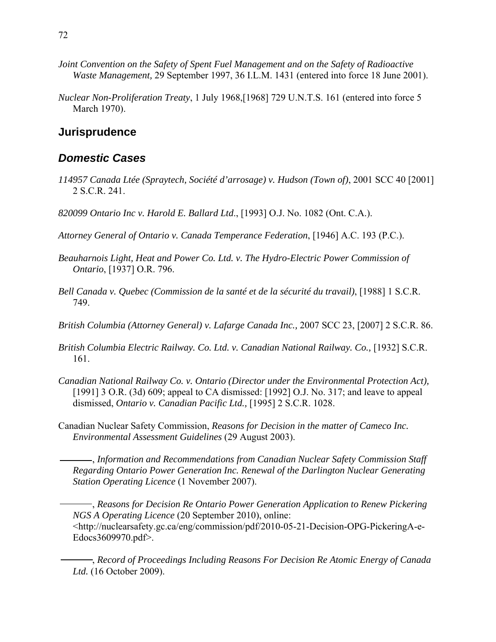- *Joint Convention on the Safety of Spent Fuel Management and on the Safety of Radioactive Waste Management,* 29 September 1997, 36 I.L.M. 1431 (entered into force 18 June 2001).
- *Nuclear Non-Proliferation Treaty*, 1 July 1968,[1968] 729 U.N.T.S. 161 (entered into force 5 March 1970).

## **Jurisprudence**

#### *Domestic Cases*

- *114957 Canada Ltée (Spraytech, Société d'arrosage) v. Hudson (Town of)*, 2001 SCC 40 [2001] 2 S.C.R. 241.
- *820099 Ontario Inc v. Harold E. Ballard Ltd*., [1993] O.J. No. 1082 (Ont. C.A.).
- *Attorney General of Ontario v. Canada Temperance Federation*, [1946] A.C. 193 (P.C.).
- *Beauharnois Light, Heat and Power Co. Ltd. v. The Hydro-Electric Power Commission of Ontario*, [1937] O.R. 796.
- *Bell Canada v. Quebec (Commission de la santé et de la sécurité du travail)*, [1988] 1 S.C.R. 749.
- *British Columbia (Attorney General) v. Lafarge Canada Inc.,* 2007 SCC 23, [2007] 2 S.C.R. 86.
- *British Columbia Electric Railway. Co. Ltd. v. Canadian National Railway. Co.,* [1932] S.C.R. 161.
- *Canadian National Railway Co. v. Ontario (Director under the Environmental Protection Act),* [1991] 3 O.R. (3d) 609; appeal to CA dismissed: [1992] O.J. No. 317; and leave to appeal dismissed, *Ontario v. Canadian Pacific Ltd.,* [1995] 2 S.C.R. 1028.
- Canadian Nuclear Safety Commission, *Reasons for Decision in the matter of Cameco Inc. Environmental Assessment Guidelines* (29 August 2003).

 , *Information and Recommendations from Canadian Nuclear Safety Commission Staff Regarding Ontario Power Generation Inc. Renewal of the Darlington Nuclear Generating Station Operating Licence* (1 November 2007).

 , *Reasons for Decision Re Ontario Power Generation Application to Renew Pickering NGS A Operating Licence* (20 September 2010), online: <http://nuclearsafety.gc.ca/eng/commission/pdf/2010-05-21-Decision-OPG-PickeringA-e-Edocs3609970.pdf>.

 , *Record of Proceedings Including Reasons For Decision Re Atomic Energy of Canada Ltd.* (16 October 2009).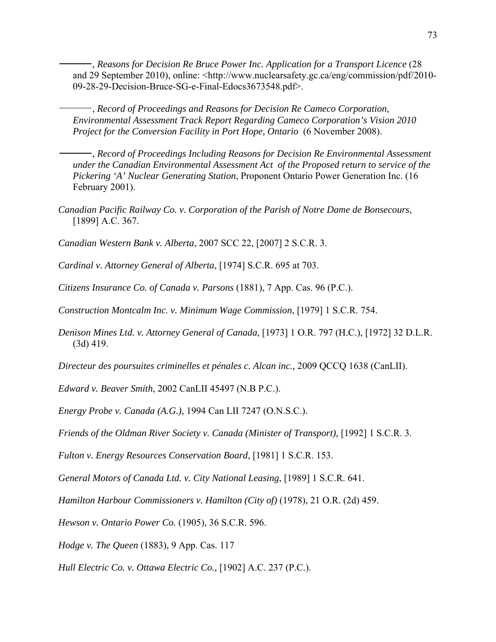, *Reasons for Decision Re Bruce Power Inc. Application for a Transport Licence* (28 and 29 September 2010), online: <http://www.nuclearsafety.gc.ca/eng/commission/pdf/2010- 09-28-29-Decision-Bruce-SG-e-Final-Edocs3673548.pdf>.

 , *Record of Proceedings and Reasons for Decision Re Cameco Corporation, Environmental Assessment Track Report Regarding Cameco Corporation's Vision 2010 Project for the Conversion Facility in Port Hope, Ontario* (6 November 2008).

 , *Record of Proceedings Including Reasons for Decision Re Environmental Assessment under the Canadian Environmental Assessment Act of the Proposed return to service of the Pickering 'A' Nuclear Generating Station*, Proponent Ontario Power Generation Inc. (16 February 2001).

*Canadian Pacific Railway Co. v. Corporation of the Parish of Notre Dame de Bonsecours*, [1899] A.C. 367.

*Canadian Western Bank v. Alberta*, 2007 SCC 22, [2007] 2 S.C.R. 3.

*Cardinal v. Attorney General of Alberta*, [1974] S.C.R. 695 at 703.

*Citizens Insurance Co. of Canada v. Parsons* (1881), 7 App. Cas. 96 (P.C.).

*Construction Montcalm Inc. v. Minimum Wage Commission*, [1979] 1 S.C.R. 754.

*Denison Mines Ltd. v. Attorney General of Canada*, [1973] 1 O.R. 797 (H.C.), [1972] 32 D.L.R. (3d) 419.

*Directeur des poursuites criminelles et pénales c. Alcan inc.,* 2009 QCCQ 1638 (CanLII).

*Edward v. Beaver Smith*, 2002 CanLII 45497 (N.B P.C.).

*Energy Probe v. Canada (A.G.),* 1994 Can LII 7247 (O.N.S.C.).

*Friends of the Oldman River Society v. Canada (Minister of Transport),* [1992] 1 S.C.R. 3.

*Fulton v. Energy Resources Conservation Board*, [1981] 1 S.C.R. 153.

*General Motors of Canada Ltd. v. City National Leasing*, [1989] 1 S.C.R. 641.

*Hamilton Harbour Commissioners v. Hamilton (City of)* (1978), 21 O.R. (2d) 459.

*Hewson v. Ontario Power Co.* (1905), 36 S.C.R. 596.

*Hodge v. The Queen* (1883), 9 App. Cas. 117

*Hull Electric Co. v. Ottawa Electric Co.,* [1902] A.C. 237 (P.C.).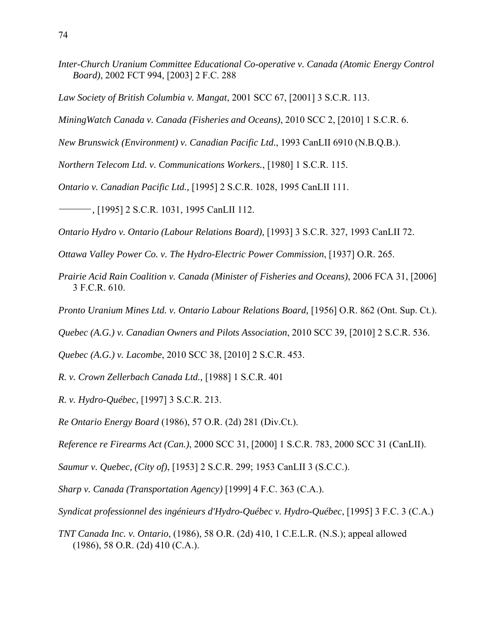- *Inter-Church Uranium Committee Educational Co-operative v. Canada (Atomic Energy Control Board)*, 2002 FCT 994, [2003] 2 F.C. 288
- *Law Society of British Columbia v. Mangat*, 2001 SCC 67, [2001] 3 S.C.R. 113.
- *MiningWatch Canada v. Canada (Fisheries and Oceans)*, 2010 SCC 2, [2010] 1 S.C.R. 6.
- *New Brunswick (Environment) v. Canadian Pacific Ltd.*, 1993 CanLII 6910 (N.B.Q.B.).
- *Northern Telecom Ltd. v. Communications Workers.*, [1980] 1 S.C.R. 115.
- *Ontario v. Canadian Pacific Ltd.,* [1995] 2 S.C.R. 1028, 1995 CanLII 111.
- *,* [1995] 2 S.C.R. 1031, 1995 CanLII 112.
- *Ontario Hydro v. Ontario (Labour Relations Board),* [1993] 3 S.C.R. 327, 1993 CanLII 72.
- *Ottawa Valley Power Co. v. The Hydro-Electric Power Commission*, [1937] O.R. 265.
- *Prairie Acid Rain Coalition v. Canada (Minister of Fisheries and Oceans)*, 2006 FCA 31, [2006] 3 F.C.R. 610.
- *Pronto Uranium Mines Ltd. v. Ontario Labour Relations Board,* [1956] O.R. 862 (Ont. Sup. Ct.).
- *Quebec (A.G.) v. Canadian Owners and Pilots Association*, 2010 SCC 39, [2010] 2 S.C.R. 536.
- *Quebec (A.G.) v. Lacombe*, 2010 SCC 38, [2010] 2 S.C.R. 453.
- *R. v. Crown Zellerbach Canada Ltd.,* [1988] 1 S.C.R. 401
- *R. v. Hydro-Québec*, [1997] 3 S.C.R. 213.
- *Re Ontario Energy Board* (1986), 57 O.R. (2d) 281 (Div.Ct.).
- *Reference re Firearms Act (Can.)*, 2000 SCC 31, [2000] 1 S.C.R. 783, 2000 SCC 31 (CanLII).
- *Saumur v. Quebec, (City of)*, [1953] 2 S.C.R. 299; 1953 CanLII 3 (S.C.C.).
- *Sharp v. Canada (Transportation Agency)* [1999] 4 F.C. 363 (C.A.).
- *Syndicat professionnel des ingénieurs d'Hydro-Québec v. Hydro-Québec*, [1995] 3 F.C. 3 (C.A.)
- *TNT Canada Inc. v. Ontario*, (1986), 58 O.R. (2d) 410, 1 C.E.L.R. (N.S.); appeal allowed (1986), 58 O.R. (2d) 410 (C.A.).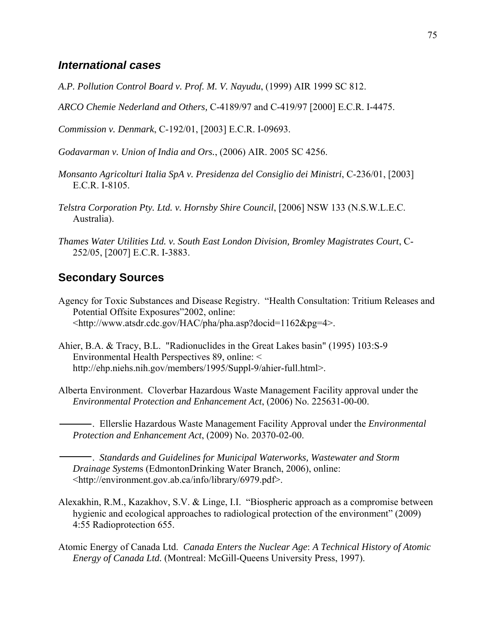### *International cases*

- *A.P. Pollution Control Board v. Prof. M. V. Nayudu*, (1999) AIR 1999 SC 812.
- *ARCO Chemie Nederland and Others,* C-4189/97 and C-419/97 [2000] E.C.R. I-4475.

*Commission v. Denmark*, C-192/01, [2003] E.C.R. I-09693.

*Godavarman v. Union of India and Ors.*, (2006) AIR. 2005 SC 4256.

- *Monsanto Agricolturi Italia SpA v. Presidenza del Consiglio dei Ministri*, C-236/01, [2003] E.C.R. I-8105.
- *Telstra Corporation Pty. Ltd. v. Hornsby Shire Council*, [2006] NSW 133 (N.S.W.L.E.C. Australia).
- *Thames Water Utilities Ltd. v. South East London Division, Bromley Magistrates Court*, C-252/05, [2007] E.C.R. I-3883.

#### **Secondary Sources**

- Agency for Toxic Substances and Disease Registry. "Health Consultation: Tritium Releases and Potential Offsite Exposures"2002, online: <http://www.atsdr.cdc.gov/HAC/pha/pha.asp?docid=1162&pg=4>.
- Ahier, B.A. & Tracy, B.L. "Radionuclides in the Great Lakes basin" (1995) 103:S-9 Environmental Health Perspectives 89, online: < http://ehp.niehs.nih.gov/members/1995/Suppl-9/ahier-full.html>.
- Alberta Environment. Cloverbar Hazardous Waste Management Facility approval under the *Environmental Protection and Enhancement Act*, (2006) No. 225631-00-00.

 . Ellerslie Hazardous Waste Management Facility Approval under the *Environmental Protection and Enhancement Act*, (2009) No. 20370-02-00.

 . *Standards and Guidelines for Municipal Waterworks, Wastewater and Storm Drainage System*s (EdmontonDrinking Water Branch, 2006), online: <http://environment.gov.ab.ca/info/library/6979.pdf>.

- Alexakhin, R.M., Kazakhov, S.V. & Linge, I.I. "Biospheric approach as a compromise between hygienic and ecological approaches to radiological protection of the environment" (2009) 4:55 Radioprotection 655.
- Atomic Energy of Canada Ltd. *Canada Enters the Nuclear Age*: *A Technical History of Atomic Energy of Canada Ltd.* (Montreal: McGill-Queens University Press, 1997).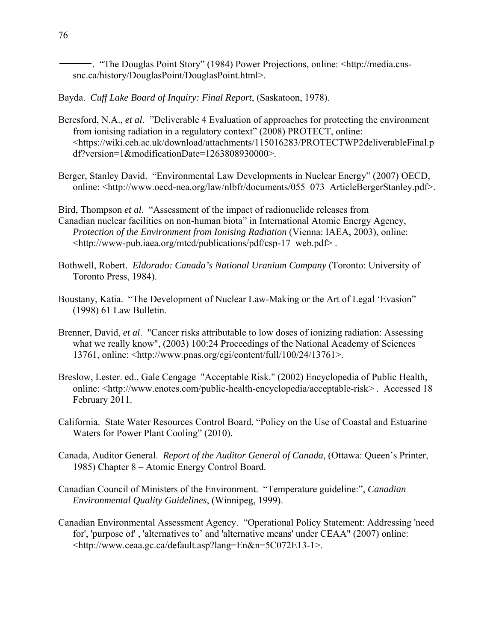. "The Douglas Point Story" (1984) Power Projections, online: <http://media.cnssnc.ca/history/DouglasPoint/DouglasPoint.html>.

Bayda. *Cuff Lake Board of Inquiry: Final Report*, (Saskatoon, 1978).

- Beresford, N.A., *et al*. "Deliverable 4 Evaluation of approaches for protecting the environment from ionising radiation in a regulatory context" (2008) PROTECT, online: <https://wiki.ceh.ac.uk/download/attachments/115016283/PROTECTWP2deliverableFinal.p df?version=1&modificationDate=1263808930000>.
- Berger, Stanley David. "Environmental Law Developments in Nuclear Energy" (2007) OECD, online: <http://www.oecd-nea.org/law/nlbfr/documents/055\_073\_ArticleBergerStanley.pdf>.

Bird, Thompson *et al*. "Assessment of the impact of radionuclide releases from Canadian nuclear facilities on non-human biota" in International Atomic Energy Agency, *Protection of the Environment from Ionising Radiation* (Vienna: IAEA, 2003), online: <http://www-pub.iaea.org/mtcd/publications/pdf/csp-17\_web.pdf> .

- Bothwell, Robert. *Eldorado: Canada's National Uranium Company* (Toronto: University of Toronto Press, 1984).
- Boustany, Katia. "The Development of Nuclear Law-Making or the Art of Legal 'Evasion" (1998) 61 Law Bulletin.
- Brenner, David, *et al*. "Cancer risks attributable to low doses of ionizing radiation: Assessing what we really know", (2003) 100:24 Proceedings of the National Academy of Sciences 13761, online: <http://www.pnas.org/cgi/content/full/100/24/13761>.
- Breslow, Lester. ed., Gale Cengage "Acceptable Risk." (2002) Encyclopedia of Public Health, online: <http://www.enotes.com/public-health-encyclopedia/acceptable-risk> . Accessed 18 February 2011.
- California. State Water Resources Control Board, "Policy on the Use of Coastal and Estuarine Waters for Power Plant Cooling" (2010).
- Canada, Auditor General. *Report of the Auditor General of Canada*, (Ottawa: Queen's Printer, 1985) Chapter 8 – Atomic Energy Control Board.
- Canadian Council of Ministers of the Environment. "Temperature guideline:", *Canadian Environmental Quality Guidelines*, (Winnipeg, 1999).
- Canadian Environmental Assessment Agency. "Operational Policy Statement: Addressing 'need for', 'purpose of' , 'alternatives to' and 'alternative means' under CEAA" (2007) online: <http://www.ceaa.gc.ca/default.asp?lang=En&n=5C072E13-1>.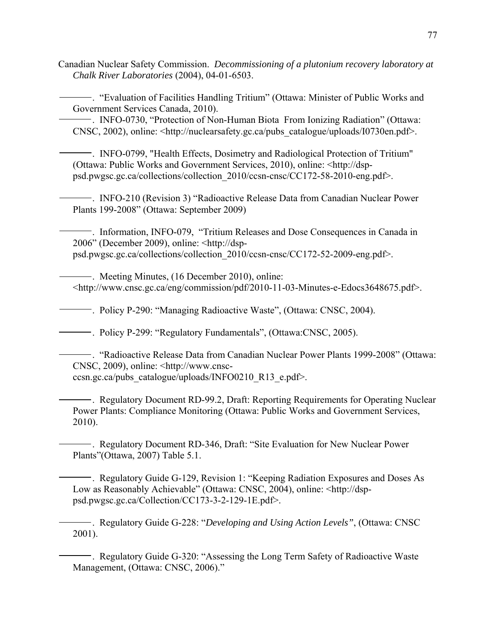Canadian Nuclear Safety Commission. *Decommissioning of a plutonium recovery laboratory at Chalk River Laboratories* (2004), 04-01-6503.

 . "Evaluation of Facilities Handling Tritium" (Ottawa: Minister of Public Works and Government Services Canada, 2010).

 . INFO-0730, "Protection of Non-Human Biota From Ionizing Radiation" (Ottawa: CNSC, 2002), online: <http://nuclearsafety.gc.ca/pubs\_catalogue/uploads/I0730en.pdf>.

 . INFO-0799, "Health Effects, Dosimetry and Radiological Protection of Tritium" (Ottawa: Public Works and Government Services, 2010), online: <http://dsppsd.pwgsc.gc.ca/collections/collection\_2010/ccsn-cnsc/CC172-58-2010-eng.pdf>.

 . INFO-210 (Revision 3) "Radioactive Release Data from Canadian Nuclear Power Plants 199-2008" (Ottawa: September 2009)

 . Information, INFO-079, "Tritium Releases and Dose Consequences in Canada in 2006" (December 2009), online: <http://dsppsd.pwgsc.gc.ca/collections/collection\_2010/ccsn-cnsc/CC172-52-2009-eng.pdf>.

 . Meeting Minutes, (16 December 2010), online: <http://www.cnsc.gc.ca/eng/commission/pdf/2010-11-03-Minutes-e-Edocs3648675.pdf>.

. Policy P-290: "Managing Radioactive Waste", (Ottawa: CNSC, 2004).

. Policy P-299: "Regulatory Fundamentals", (Ottawa:CNSC, 2005).

 . "Radioactive Release Data from Canadian Nuclear Power Plants 1999-2008" (Ottawa: CNSC, 2009), online: <http://www.cnscccsn.gc.ca/pubs\_catalogue/uploads/INFO0210\_R13\_e.pdf>.

 . Regulatory Document RD-99.2, Draft: Reporting Requirements for Operating Nuclear Power Plants: Compliance Monitoring (Ottawa: Public Works and Government Services, 2010).

 . Regulatory Document RD-346, Draft: "Site Evaluation for New Nuclear Power Plants"(Ottawa, 2007) Table 5.1.

 . Regulatory Guide G-129, Revision 1: "Keeping Radiation Exposures and Doses As Low as Reasonably Achievable" (Ottawa: CNSC, 2004), online: <http://dsppsd.pwgsc.gc.ca/Collection/CC173-3-2-129-1E.pdf>.

 . Regulatory Guide G-228: "*Developing and Using Action Levels"*, (Ottawa: CNSC 2001).

 . Regulatory Guide G-320: "Assessing the Long Term Safety of Radioactive Waste Management, (Ottawa: CNSC, 2006)."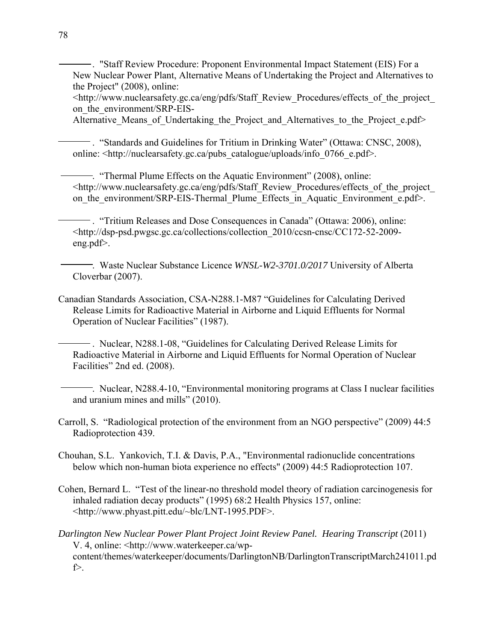. "Staff Review Procedure: Proponent Environmental Impact Statement (EIS) For a New Nuclear Power Plant, Alternative Means of Undertaking the Project and Alternatives to the Project" (2008), online:

<http://www.nuclearsafety.gc.ca/eng/pdfs/Staff\_Review\_Procedures/effects\_of\_the\_project\_ on the environment/SRP-EIS-

Alternative Means of Undertaking the Project and Alternatives to the Project e.pdf>

 . "Standards and Guidelines for Tritium in Drinking Water" (Ottawa: CNSC, 2008), online:  $\langle$ http://nuclearsafety.gc.ca/pubs\_catalogue/uploads/info\_0766\_e.pdf>.

 . "Thermal Plume Effects on the Aquatic Environment" (2008), online: <http://www.nuclearsafety.gc.ca/eng/pdfs/Staff\_Review\_Procedures/effects\_of\_the\_project\_ on the environment/SRP-EIS-Thermal Plume Effects in Aquatic Environment e.pdf>.

 . "Tritium Releases and Dose Consequences in Canada" (Ottawa: 2006), online: <http://dsp-psd.pwgsc.gc.ca/collections/collection\_2010/ccsn-cnsc/CC172-52-2009 eng.pdf>.

 . Waste Nuclear Substance Licence *WNSL-W2-3701.0/2017* University of Alberta Cloverbar (2007).

Canadian Standards Association, CSA-N288.1-M87 "Guidelines for Calculating Derived Release Limits for Radioactive Material in Airborne and Liquid Effluents for Normal Operation of Nuclear Facilities" (1987).

 . Nuclear, N288.1-08, "Guidelines for Calculating Derived Release Limits for Radioactive Material in Airborne and Liquid Effluents for Normal Operation of Nuclear Facilities" 2nd ed. (2008).

 . Nuclear, N288.4-10, "Environmental monitoring programs at Class I nuclear facilities and uranium mines and mills" (2010).

Carroll, S. "Radiological protection of the environment from an NGO perspective" (2009) 44:5 Radioprotection 439.

Chouhan, S.L. Yankovich, T.I. & Davis, P.A., "Environmental radionuclide concentrations below which non-human biota experience no effects" (2009) 44:5 Radioprotection 107.

Cohen, Bernard L. "Test of the linear-no threshold model theory of radiation carcinogenesis for inhaled radiation decay products" (1995) 68:2 Health Physics 157, online: <http://www.phyast.pitt.edu/~blc/LNT-1995.PDF>.

*Darlington New Nuclear Power Plant Project Joint Review Panel. Hearing Transcript* (2011) V. 4, online: <http://www.waterkeeper.ca/wpcontent/themes/waterkeeper/documents/DarlingtonNB/DarlingtonTranscriptMarch241011.pd f>.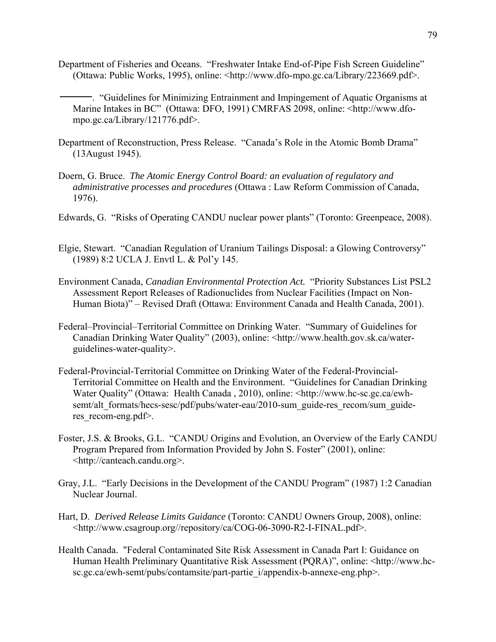Department of Fisheries and Oceans. "Freshwater Intake End-of-Pipe Fish Screen Guideline" (Ottawa: Public Works, 1995), online: <http://www.dfo-mpo.gc.ca/Library/223669.pdf>.

 . "Guidelines for Minimizing Entrainment and Impingement of Aquatic Organisms at Marine Intakes in BC" (Ottawa: DFO, 1991) CMRFAS 2098, online: <http://www.dfompo.gc.ca/Library/121776.pdf>.

- Department of Reconstruction, Press Release. "Canada's Role in the Atomic Bomb Drama" (13August 1945).
- Doern, G. Bruce. *The Atomic Energy Control Board: an evaluation of regulatory and administrative processes and procedures* (Ottawa : Law Reform Commission of Canada, 1976).
- Edwards, G. "Risks of Operating CANDU nuclear power plants" (Toronto: Greenpeace, 2008).
- Elgie, Stewart. "Canadian Regulation of Uranium Tailings Disposal: a Glowing Controversy" (1989) 8:2 UCLA J. Envtl L. & Pol'y 145.
- Environment Canada, *Canadian Environmental Protection Act.* "Priority Substances List PSL2 Assessment Report Releases of Radionuclides from Nuclear Facilities (Impact on Non-Human Biota)" – Revised Draft (Ottawa: Environment Canada and Health Canada, 2001).
- Federal–Provincial–Territorial Committee on Drinking Water. "Summary of Guidelines for Canadian Drinking Water Quality" (2003), online: <http://www.health.gov.sk.ca/waterguidelines-water-quality>.
- Federal-Provincial-Territorial Committee on Drinking Water of the Federal-Provincial-Territorial Committee on Health and the Environment. "Guidelines for Canadian Drinking Water Quality" (Ottawa: Health Canada , 2010), online: <http://www.hc-sc.gc.ca/ewhsemt/alt\_formats/hecs-sesc/pdf/pubs/water-eau/2010-sum\_guide-res\_recom/sum\_guideres recom-eng.pdf>.
- Foster, J.S. & Brooks, G.L. "CANDU Origins and Evolution, an Overview of the Early CANDU Program Prepared from Information Provided by John S. Foster" (2001), online: <http://canteach.candu.org>.
- Gray, J.L. "Early Decisions in the Development of the CANDU Program" (1987) 1:2 Canadian Nuclear Journal.
- Hart, D. *Derived Release Limits Guidance* (Toronto: CANDU Owners Group, 2008), online: <http://www.csagroup.org//repository/ca/COG-06-3090-R2-I-FINAL.pdf>.
- Health Canada. "Federal Contaminated Site Risk Assessment in Canada Part I: Guidance on Human Health Preliminary Quantitative Risk Assessment (PQRA)", online: <http://www.hcsc.gc.ca/ewh-semt/pubs/contamsite/part-partie\_i/appendix-b-annexe-eng.php>.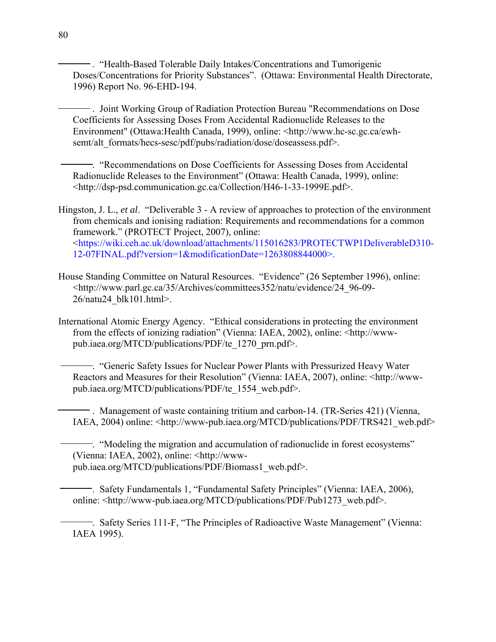. "Health-Based Tolerable Daily Intakes/Concentrations and Tumorigenic Doses/Concentrations for Priority Substances". (Ottawa: Environmental Health Directorate, 1996) Report No. 96-EHD-194.

 . Joint Working Group of Radiation Protection Bureau "Recommendations on Dose Coefficients for Assessing Doses From Accidental Radionuclide Releases to the Environment" (Ottawa:Health Canada, 1999), online: <http://www.hc-sc.gc.ca/ewhsemt/alt\_formats/hecs-sesc/pdf/pubs/radiation/dose/doseassess.pdf>.

 . "Recommendations on Dose Coefficients for Assessing Doses from Accidental Radionuclide Releases to the Environment" (Ottawa: Health Canada, 1999), online: <http://dsp-psd.communication.gc.ca/Collection/H46-1-33-1999E.pdf>.

Hingston, J. L., *et al*. "Deliverable 3 - A review of approaches to protection of the environment from chemicals and ionising radiation: Requirements and recommendations for a common framework." (PROTECT Project, 2007), online: <https://wiki.ceh.ac.uk/download/attachments/115016283/PROTECTWP1DeliverableD310- 12-07FINAL.pdf?version=1&modificationDate=1263808844000>.

House Standing Committee on Natural Resources. "Evidence" (26 September 1996), online: <http://www.parl.gc.ca/35/Archives/committees352/natu/evidence/24\_96-09- 26/natu24\_blk101.html>.

International Atomic Energy Agency. "Ethical considerations in protecting the environment from the effects of ionizing radiation" (Vienna: IAEA, 2002), online: <http://wwwpub.iaea.org/MTCD/publications/PDF/te\_1270\_prn.pdf>.

 . "Generic Safety Issues for Nuclear Power Plants with Pressurized Heavy Water Reactors and Measures for their Resolution" (Vienna: IAEA, 2007), online: <http://wwwpub.iaea.org/MTCD/publications/PDF/te\_1554\_web.pdf>.

 . Management of waste containing tritium and carbon-14. (TR-Series 421) (Vienna, IAEA, 2004) online: <http://www-pub.iaea.org/MTCD/publications/PDF/TRS421\_web.pdf>

 . "Modeling the migration and accumulation of radionuclide in forest ecosystems" (Vienna: IAEA, 2002), online: <http://wwwpub.iaea.org/MTCD/publications/PDF/Biomass1\_web.pdf>.

 . Safety Fundamentals 1, "Fundamental Safety Principles" (Vienna: IAEA, 2006), online: <http://www-pub.iaea.org/MTCD/publications/PDF/Pub1273\_web.pdf>.

 . Safety Series 111-F, "The Principles of Radioactive Waste Management" (Vienna: IAEA 1995).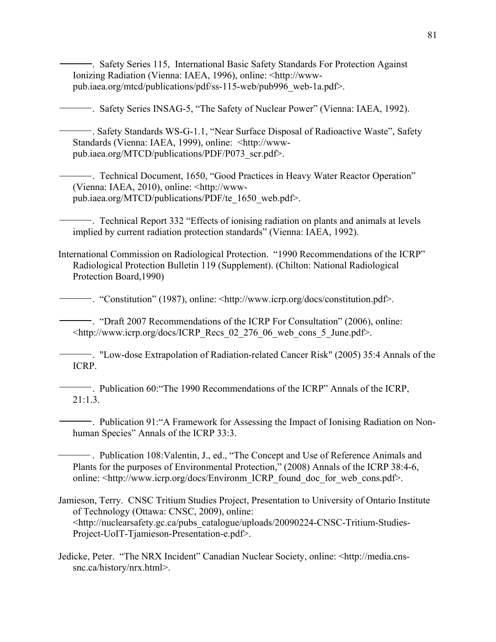. Safety Series 115, International Basic Safety Standards For Protection Against Ionizing Radiation (Vienna: IAEA, 1996), online: <http://wwwpub.iaea.org/mtcd/publications/pdf/ss-115-web/pub996\_web-1a.pdf>.

. Safety Series INSAG-5, "The Safety of Nuclear Power" (Vienna: IAEA, 1992).

 . Safety Standards WS-G-1.1, "Near Surface Disposal of Radioactive Waste", Safety Standards (Vienna: IAEA, 1999), online: <http://wwwpub.iaea.org/MTCD/publications/PDF/P073\_scr.pdf>.

 . Technical Document, 1650, "Good Practices in Heavy Water Reactor Operation" (Vienna: IAEA, 2010), online: <http://wwwpub.iaea.org/MTCD/publications/PDF/te\_1650\_web.pdf>.

 . Technical Report 332 "Effects of ionising radiation on plants and animals at levels implied by current radiation protection standards" (Vienna: IAEA, 1992).

International Commission on Radiological Protection. "1990 Recommendations of the ICRP" Radiological Protection Bulletin 119 (Supplement). (Chilton: National Radiological Protection Board,1990)

. "Constitution" (1987), online: <http://www.icrp.org/docs/constitution.pdf>.

 . "Draft 2007 Recommendations of the ICRP For Consultation" (2006), online: <http://www.icrp.org/docs/ICRP\_Recs\_02\_276\_06\_web\_cons\_5\_June.pdf>.

 . "Low-dose Extrapolation of Radiation-related Cancer Risk" (2005) 35:4 Annals of the ICRP.

 . Publication 60:"The 1990 Recommendations of the ICRP" Annals of the ICRP, 21:1.3.

 . Publication 91:"A Framework for Assessing the Impact of Ionising Radiation on Nonhuman Species" Annals of the ICRP 33:3.

 . Publication 108:Valentin, J., ed., "The Concept and Use of Reference Animals and Plants for the purposes of Environmental Protection," (2008) Annals of the ICRP 38:4-6, online: <http://www.icrp.org/docs/Environm\_ICRP\_found\_doc\_for\_web\_cons.pdf>.

Jamieson, Terry. CNSC Tritium Studies Project, Presentation to University of Ontario Institute of Technology (Ottawa: CNSC, 2009), online: <http://nuclearsafety.gc.ca/pubs\_catalogue/uploads/20090224-CNSC-Tritium-Studies-Project-UoIT-Tjamieson-Presentation-e.pdf>.

Jedicke, Peter. "The NRX Incident" Canadian Nuclear Society, online: <http://media.cnssnc.ca/history/nrx.html>.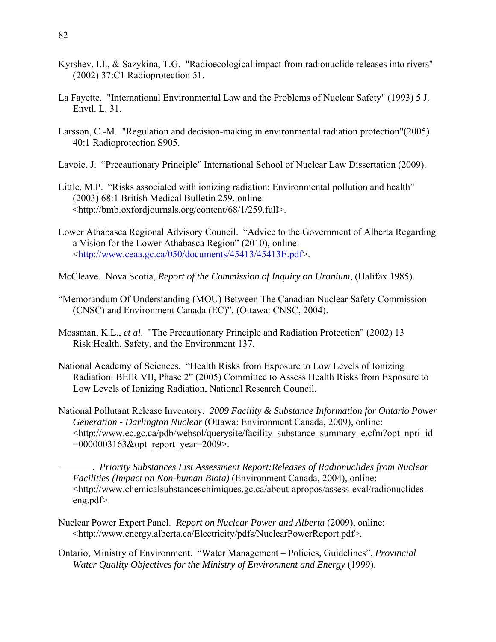- Kyrshev, I.I., & Sazykina, T.G. "Radioecological impact from radionuclide releases into rivers" (2002) 37:C1 Radioprotection 51.
- La Fayette. "International Environmental Law and the Problems of Nuclear Safety" (1993) 5 J. Envtl. L. 31.
- Larsson, C.-M. "Regulation and decision-making in environmental radiation protection"(2005) 40:1 Radioprotection S905.
- Lavoie, J. "Precautionary Principle" International School of Nuclear Law Dissertation (2009).
- Little, M.P. "Risks associated with ionizing radiation: Environmental pollution and health" (2003) 68:1 British Medical Bulletin 259, online: <http://bmb.oxfordjournals.org/content/68/1/259.full>.
- Lower Athabasca Regional Advisory Council. "Advice to the Government of Alberta Regarding a Vision for the Lower Athabasca Region" (2010), online: <http://www.ceaa.gc.ca/050/documents/45413/45413E.pdf>.
- McCleave. Nova Scotia, *Report of the Commission of Inquiry on Uranium*, (Halifax 1985).
- "Memorandum Of Understanding (MOU) Between The Canadian Nuclear Safety Commission (CNSC) and Environment Canada (EC)", (Ottawa: CNSC, 2004).
- Mossman, K.L., *et al*. "The Precautionary Principle and Radiation Protection" (2002) 13 Risk:Health, Safety, and the Environment 137.
- National Academy of Sciences. "Health Risks from Exposure to Low Levels of Ionizing Radiation: BEIR VII, Phase 2" (2005) Committee to Assess Health Risks from Exposure to Low Levels of Ionizing Radiation, National Research Council.
- National Pollutant Release Inventory. *2009 Facility & Substance Information for Ontario Power Generation - Darlington Nuclear* (Ottawa: Environment Canada, 2009), online: <http://www.ec.gc.ca/pdb/websol/querysite/facility\_substance\_summary\_e.cfm?opt\_npri\_id =0000003163&opt\_report\_year=2009>.
	- . *Priority Substances List Assessment Report:Releases of Radionuclides from Nuclear Facilities (Impact on Non-human Biota)* (Environment Canada, 2004), online: <http://www.chemicalsubstanceschimiques.gc.ca/about-apropos/assess-eval/radionuclideseng.pdf>.
- Nuclear Power Expert Panel. *Report on Nuclear Power and Alberta* (2009), online: <http://www.energy.alberta.ca/Electricity/pdfs/NuclearPowerReport.pdf>.
- Ontario, Ministry of Environment. "Water Management Policies, Guidelines", *Provincial Water Quality Objectives for the Ministry of Environment and Energy* (1999).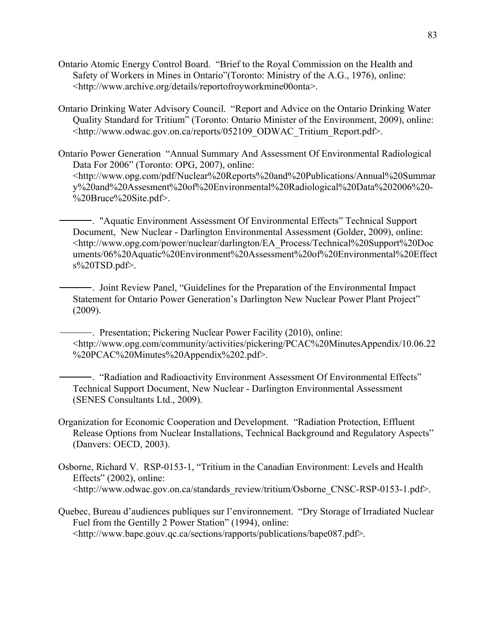- Ontario Atomic Energy Control Board. "Brief to the Royal Commission on the Health and Safety of Workers in Mines in Ontario"(Toronto: Ministry of the A.G., 1976), online: <http://www.archive.org/details/reportofroyworkmine00onta>.
- Ontario Drinking Water Advisory Council. "Report and Advice on the Ontario Drinking Water Quality Standard for Tritium" (Toronto: Ontario Minister of the Environment, 2009), online: <http://www.odwac.gov.on.ca/reports/052109\_ODWAC\_Tritium\_Report.pdf>.

Ontario Power Generation "Annual Summary And Assessment Of Environmental Radiological Data For 2006" (Toronto: OPG, 2007), online: <http://www.opg.com/pdf/Nuclear%20Reports%20and%20Publications/Annual%20Summar y%20and%20Assesment%20of%20Environmental%20Radiological%20Data%202006%20- %20Bruce%20Site.pdf>.

 . "Aquatic Environment Assessment Of Environmental Effects" Technical Support Document, New Nuclear - Darlington Environmental Assessment (Golder, 2009), online: <http://www.opg.com/power/nuclear/darlington/EA\_Process/Technical%20Support%20Doc uments/06%20Aquatic%20Environment%20Assessment%20of%20Environmental%20Effect s%20TSD.pdf>.

 . Joint Review Panel, "Guidelines for the Preparation of the Environmental Impact Statement for Ontario Power Generation's Darlington New Nuclear Power Plant Project" (2009).

 . Presentation; Pickering Nuclear Power Facility (2010), online: <http://www.opg.com/community/activities/pickering/PCAC%20MinutesAppendix/10.06.22 %20PCAC%20Minutes%20Appendix%202.pdf>.

 . "Radiation and Radioactivity Environment Assessment Of Environmental Effects" Technical Support Document, New Nuclear - Darlington Environmental Assessment (SENES Consultants Ltd., 2009).

- Organization for Economic Cooperation and Development. "Radiation Protection, Effluent Release Options from Nuclear Installations, Technical Background and Regulatory Aspects" (Danvers: OECD, 2003).
- Osborne, Richard V. RSP-0153-1, "Tritium in the Canadian Environment: Levels and Health Effects" (2002), online: <http://www.odwac.gov.on.ca/standards\_review/tritium/Osborne\_CNSC-RSP-0153-1.pdf>.
- Quebec, Bureau d'audiences publiques sur l'environnement. "Dry Storage of Irradiated Nuclear Fuel from the Gentilly 2 Power Station" (1994), online: <http://www.bape.gouv.qc.ca/sections/rapports/publications/bape087.pdf>.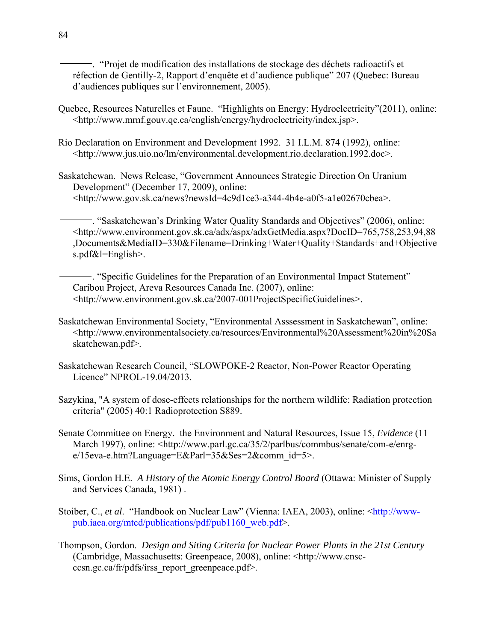. "Projet de modification des installations de stockage des déchets radioactifs et réfection de Gentilly-2, Rapport d'enquête et d'audience publique" 207 (Quebec: Bureau d'audiences publiques sur l'environnement, 2005).

- Quebec, Resources Naturelles et Faune. "Highlights on Energy: Hydroelectricity"(2011), online: <http://www.mrnf.gouv.qc.ca/english/energy/hydroelectricity/index.jsp>.
- Rio Declaration on Environment and Development 1992. 31 I.L.M. 874 (1992), online: <http://www.jus.uio.no/lm/environmental.development.rio.declaration.1992.doc>.
- Saskatchewan. News Release, "Government Announces Strategic Direction On Uranium Development" (December 17, 2009), online: <http://www.gov.sk.ca/news?newsId=4c9d1ce3-a344-4b4e-a0f5-a1e02670cbea>.

 . "Saskatchewan's Drinking Water Quality Standards and Objectives" (2006), online: <http://www.environment.gov.sk.ca/adx/aspx/adxGetMedia.aspx?DocID=765,758,253,94,88 ,Documents&MediaID=330&Filename=Drinking+Water+Quality+Standards+and+Objective s.pdf&l=English>.

 . "Specific Guidelines for the Preparation of an Environmental Impact Statement" Caribou Project, Areva Resources Canada Inc. (2007), online: <http://www.environment.gov.sk.ca/2007-001ProjectSpecificGuidelines>.

- Saskatchewan Environmental Society, "Environmental Asssessment in Saskatchewan", online: <http://www.environmentalsociety.ca/resources/Environmental%20Assessment%20in%20Sa skatchewan.pdf>.
- Saskatchewan Research Council, "SLOWPOKE-2 Reactor, Non-Power Reactor Operating Licence" NPROL-19.04/2013.
- Sazykina, "A system of dose-effects relationships for the northern wildlife: Radiation protection criteria" (2005) 40:1 Radioprotection S889.
- Senate Committee on Energy. the Environment and Natural Resources, Issue 15, *Evidence* (11 March 1997), online: <http://www.parl.gc.ca/35/2/parlbus/commbus/senate/com-e/enrge/15eva-e.htm?Language=E&Parl=35&Ses=2&comm\_id=5>.
- Sims, Gordon H.E. *A History of the Atomic Energy Control Board* (Ottawa: Minister of Supply and Services Canada, 1981) .
- Stoiber, C., *et al*. "Handbook on Nuclear Law" (Vienna: IAEA, 2003), online: <http://wwwpub.iaea.org/mtcd/publications/pdf/pub1160\_web.pdf>.
- Thompson, Gordon. *Design and Siting Criteria for Nuclear Power Plants in the 21st Century* (Cambridge, Massachusetts: Greenpeace, 2008), online: <http://www.cnscccsn.gc.ca/fr/pdfs/irss\_report\_greenpeace.pdf>.